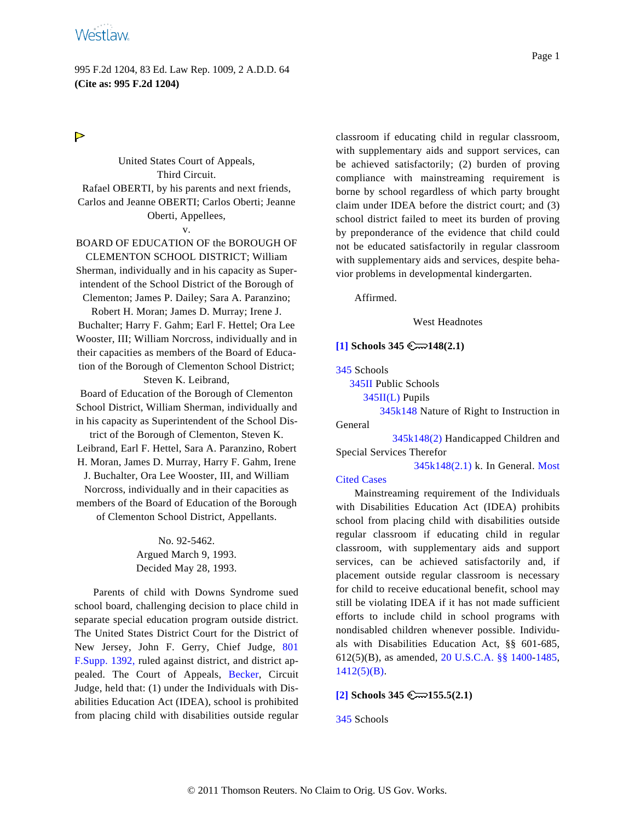# **Westlaw**

995 F.2d 1204, 83 Ed. Law Rep. 1009, 2 A.D.D. 64 **(Cite as: 995 F.2d 1204)**

# $\triangleright$

United States Court of Appeals, Third Circuit. Rafael OBERTI, by his parents and next friends, Carlos and Jeanne OBERTI; Carlos Oberti; Jeanne Oberti, Appellees,

#### v.

# BOARD OF EDUCATION OF the BOROUGH OF

CLEMENTON SCHOOL DISTRICT; William Sherman, individually and in his capacity as Superintendent of the School District of the Borough of Clementon; James P. Dailey; Sara A. Paranzino;

<span id="page-0-0"></span>Robert H. Moran; James D. Murray; Irene J. Buchalter; Harry F. Gahm; Earl F. Hettel; Ora Lee Wooster, III; William Norcross, individually and in their capacities as members of the Board of Education of the Borough of Clementon School District; Steven K. Leibrand,

Board of Education of the Borough of Clementon School District, William Sherman, individually and in his capacity as Superintendent of the School Dis-

trict of the Borough of Clementon, Steven K. Leibrand, Earl F. Hettel, Sara A. Paranzino, Robert H. Moran, James D. Murray, Harry F. Gahm, Irene J. Buchalter, Ora Lee Wooster, III, and William

Norcross, individually and in their capacities as members of the Board of Education of the Borough of Clementon School District, Appellants.

> No. 92-5462. Argued March 9, 1993. Decided May 28, 1993.

<span id="page-0-1"></span>Parents of child with Downs Syndrome sued school board, challenging decision to place child in separate special education program outside district. The United States District Court for the District of New Jersey, John F. Gerry, Chief Judge, [801](http://www.westlaw.com/Find/Default.wl?rs=dfa1.0&vr=2.0&DB=345&FindType=Y&SerialNum=1992151684) [F.Supp. 1392](http://www.westlaw.com/Find/Default.wl?rs=dfa1.0&vr=2.0&DB=345&FindType=Y&SerialNum=1992151684), ruled against district, and district appealed. The Court of Appeals, [Becker](http://www.westlaw.com/Find/Default.wl?rs=dfa1.0&vr=2.0&DB=PROFILER-WLD&DocName=0241737601&FindType=h), Circuit Judge, held that: (1) under the Individuals with Disabilities Education Act (IDEA), school is prohibited from placing child with disabilities outside regular classroom if educating child in regular classroom, with supplementary aids and support services, can be achieved satisfactorily; (2) burden of proving compliance with mainstreaming requirement is borne by school regardless of which party brought claim under IDEA before the district court; and (3) school district failed to meet its burden of proving by preponderance of the evidence that child could not be educated satisfactorily in regular classroom with supplementary aids and services, despite behavior problems in developmental kindergarten.

Affirmed.

#### West Headnotes

#### **[\[1\]](#page-5-0) Schools 345 148(2.1)**

[345](http://www.westlaw.com/KeyNumber/Default.wl?rs=dfa1.0&vr=2.0&CMD=KEY&DocName=345) Schools

[345II](http://www.westlaw.com/KeyNumber/Default.wl?rs=dfa1.0&vr=2.0&CMD=KEY&DocName=345II) Public Schools

345II(L) [Pupils](http://www.westlaw.com/KeyNumber/Default.wl?rs=dfa1.0&vr=2.0&CMD=KEY&DocName=345II%28L%29)

[345k148](http://www.westlaw.com/KeyNumber/Default.wl?rs=dfa1.0&vr=2.0&CMD=KEY&DocName=345k148) Nature of Right to Instruction in General

345k148(2) [Handicapped](http://www.westlaw.com/KeyNumber/Default.wl?rs=dfa1.0&vr=2.0&CMD=KEY&DocName=345k148%282%29) Children and Special Services Therefor

[345k148\(2.1\)](http://www.westlaw.com/KeyNumber/Default.wl?rs=dfa1.0&vr=2.0&CMD=KEY&DocName=345k148%282.1%29) k. In General. [Most](http://www.westlaw.com/Digest/Default.wl?rs=dfa1.0&vr=2.0&CMD=MCC&DocName=345k148%282.1%29)

# [Cited Cases](http://www.westlaw.com/Digest/Default.wl?rs=dfa1.0&vr=2.0&CMD=MCC&DocName=345k148%282.1%29)

Mainstreaming requirement of the Individuals with Disabilities Education Act (IDEA) prohibits school from placing child with disabilities outside regular classroom if educating child in regular classroom, with supplementary aids and support services, can be achieved satisfactorily and, if placement outside regular classroom is necessary for child to receive educational benefit, school may still be violating IDEA if it has not made sufficient efforts to include child in school programs with nondisabled children whenever possible. Individuals with Disabilities Education Act, §§ 601-685, 612(5)(B), as amended, [20 U.S.C.A. §§ 1400](http://www.westlaw.com/Find/Default.wl?rs=dfa1.0&vr=2.0&DB=1000546&DocName=20USCAS1400&FindType=L)[-1485,](http://www.westlaw.com/Find/Default.wl?rs=dfa1.0&vr=2.0&DB=1000546&DocName=20USCAS1485&FindType=L)  $1412(5)(B)$ .

#### **[\[2\]](#page-14-0) Schools 345 155.5(2.1)**

[345](http://www.westlaw.com/KeyNumber/Default.wl?rs=dfa1.0&vr=2.0&CMD=KEY&DocName=345) Schools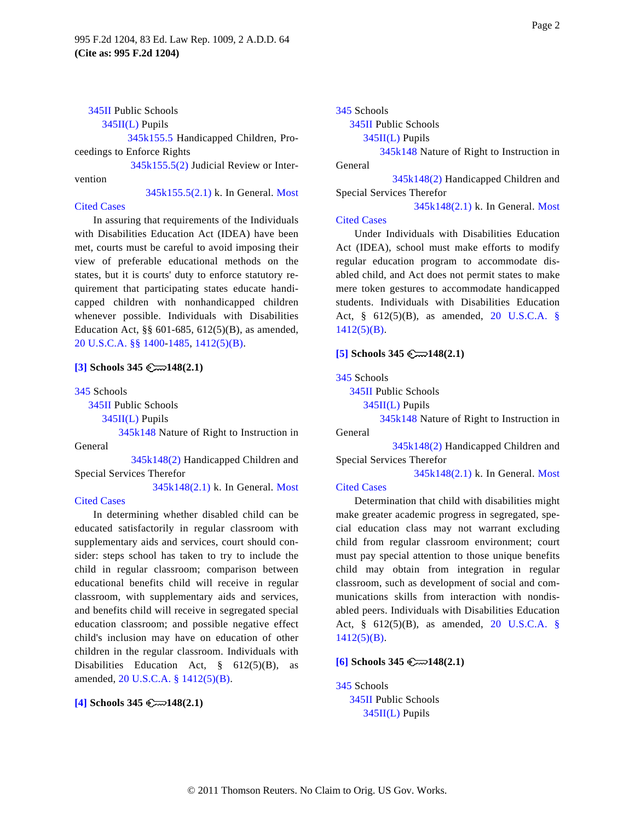[345II](http://www.westlaw.com/KeyNumber/Default.wl?rs=dfa1.0&vr=2.0&CMD=KEY&DocName=345II) Public Schools

345II(L) [Pupils](http://www.westlaw.com/KeyNumber/Default.wl?rs=dfa1.0&vr=2.0&CMD=KEY&DocName=345II%28L%29)

[345k155.5](http://www.westlaw.com/KeyNumber/Default.wl?rs=dfa1.0&vr=2.0&CMD=KEY&DocName=345k155.5) Handicapped Children, Proceedings to Enforce Rights

345k155.5(2) [Judicial Rev](http://www.westlaw.com/KeyNumber/Default.wl?rs=dfa1.0&vr=2.0&CMD=KEY&DocName=345k155.5%282%29)iew or Intervention

[345k155.5\(2.1\)](http://www.westlaw.com/KeyNumber/Default.wl?rs=dfa1.0&vr=2.0&CMD=KEY&DocName=345k155.5%282.1%29) k. In General. [Most](http://www.westlaw.com/Digest/Default.wl?rs=dfa1.0&vr=2.0&CMD=MCC&DocName=345k155.5%282.1%29)

# [Cited Cases](http://www.westlaw.com/Digest/Default.wl?rs=dfa1.0&vr=2.0&CMD=MCC&DocName=345k155.5%282.1%29)

In assuring that requirements of the Individuals with Disabilities Education Act (IDEA) have been met, courts must be careful to avoid imposing their view of preferable educational methods on the states, but it is courts' duty to enforce statutory requirement that participating states educate handicapped children with nonhandicapped children whenever possible. Individuals with Disabilities Education Act, §§ 601-685, 612(5)(B), as amended, [20 U.S.C.A. §§ 1400](http://www.westlaw.com/Find/Default.wl?rs=dfa1.0&vr=2.0&DB=1000546&DocName=20USCAS1400&FindType=L)[-1485,](http://www.westlaw.com/Find/Default.wl?rs=dfa1.0&vr=2.0&DB=1000546&DocName=20USCAS1485&FindType=L) [1412\(5\)\(B\)](http://www.westlaw.com/Find/Default.wl?rs=dfa1.0&vr=2.0&DB=1000546&DocName=20USCAS1412&FindType=L).

# <span id="page-1-2"></span><span id="page-1-0"></span>**[\[3\]](#page-16-0) Schools 345 148(2.1)**

[345](http://www.westlaw.com/KeyNumber/Default.wl?rs=dfa1.0&vr=2.0&CMD=KEY&DocName=345) Schools

[345II](http://www.westlaw.com/KeyNumber/Default.wl?rs=dfa1.0&vr=2.0&CMD=KEY&DocName=345II) Public Schools

345II(L) [Pupils](http://www.westlaw.com/KeyNumber/Default.wl?rs=dfa1.0&vr=2.0&CMD=KEY&DocName=345II%28L%29)

[345k148](http://www.westlaw.com/KeyNumber/Default.wl?rs=dfa1.0&vr=2.0&CMD=KEY&DocName=345k148) Nature of Right to Instruction in General

345k148(2) [Handicapped](http://www.westlaw.com/KeyNumber/Default.wl?rs=dfa1.0&vr=2.0&CMD=KEY&DocName=345k148%282%29) Children and Special Services Therefor

[345k148\(2.1\)](http://www.westlaw.com/KeyNumber/Default.wl?rs=dfa1.0&vr=2.0&CMD=KEY&DocName=345k148%282.1%29) k. In General. [Most](http://www.westlaw.com/Digest/Default.wl?rs=dfa1.0&vr=2.0&CMD=MCC&DocName=345k148%282.1%29)

# [Cited Cases](http://www.westlaw.com/Digest/Default.wl?rs=dfa1.0&vr=2.0&CMD=MCC&DocName=345k148%282.1%29)

In determining whether disabled child can be educated satisfactorily in regular classroom with supplementary aids and services, court should consider: steps school has taken to try to include the child in regular classroom; comparison between educational benefits child will receive in regular classroom, with supplementary aids and services, and benefits child will receive in segregated special education classroom; and possible negative effect child's inclusion may have on education of other children in the regular classroom. Individuals with Disabilities Education Act, § 612(5)(B), as amended, [20 U.S.C.A. § 1412\(5\)\(B\)](http://www.westlaw.com/Find/Default.wl?rs=dfa1.0&vr=2.0&DB=1000546&DocName=20USCAS1412&FindType=L).

# <span id="page-1-3"></span><span id="page-1-1"></span>**[\[4\]](#page-16-1) Schools 345 148(2.1)**

[345](http://www.westlaw.com/KeyNumber/Default.wl?rs=dfa1.0&vr=2.0&CMD=KEY&DocName=345) Schools [345II](http://www.westlaw.com/KeyNumber/Default.wl?rs=dfa1.0&vr=2.0&CMD=KEY&DocName=345II) Public Schools

345II(L) [Pupils](http://www.westlaw.com/KeyNumber/Default.wl?rs=dfa1.0&vr=2.0&CMD=KEY&DocName=345II%28L%29)

[345k148](http://www.westlaw.com/KeyNumber/Default.wl?rs=dfa1.0&vr=2.0&CMD=KEY&DocName=345k148) Nature of Right to Instruction in General

345k148(2) [Handicapped](http://www.westlaw.com/KeyNumber/Default.wl?rs=dfa1.0&vr=2.0&CMD=KEY&DocName=345k148%282%29) Children and Special Services Therefor

[345k148\(2.1\)](http://www.westlaw.com/KeyNumber/Default.wl?rs=dfa1.0&vr=2.0&CMD=KEY&DocName=345k148%282.1%29) k. In General. [Most](http://www.westlaw.com/Digest/Default.wl?rs=dfa1.0&vr=2.0&CMD=MCC&DocName=345k148%282.1%29)

# [Cited Cases](http://www.westlaw.com/Digest/Default.wl?rs=dfa1.0&vr=2.0&CMD=MCC&DocName=345k148%282.1%29)

Under Individuals with Disabilities Education Act (IDEA), school must make efforts to modify regular education program to accommodate disabled child, and Act does not permit states to make mere token gestures to accommodate handicapped students. Individuals with Disabilities Education Act, § 612(5)(B), as amended, [20 U.S.C.A.](http://www.westlaw.com/Find/Default.wl?rs=dfa1.0&vr=2.0&DB=1000546&DocName=20USCAS1412&FindType=L) §  $1412(5)(B)$ .

# **[\[5\]](#page-16-2) Schools 345 148(2.1)**

[345](http://www.westlaw.com/KeyNumber/Default.wl?rs=dfa1.0&vr=2.0&CMD=KEY&DocName=345) Schools

[345II](http://www.westlaw.com/KeyNumber/Default.wl?rs=dfa1.0&vr=2.0&CMD=KEY&DocName=345II) Public Schools

345II(L) [Pupils](http://www.westlaw.com/KeyNumber/Default.wl?rs=dfa1.0&vr=2.0&CMD=KEY&DocName=345II%28L%29)

[345k148](http://www.westlaw.com/KeyNumber/Default.wl?rs=dfa1.0&vr=2.0&CMD=KEY&DocName=345k148) Nature of Right to Instruction in General

345k148(2) [Handicapped](http://www.westlaw.com/KeyNumber/Default.wl?rs=dfa1.0&vr=2.0&CMD=KEY&DocName=345k148%282%29) Children and Special Services Therefor

[345k148\(2.1\)](http://www.westlaw.com/KeyNumber/Default.wl?rs=dfa1.0&vr=2.0&CMD=KEY&DocName=345k148%282.1%29) k. In General. [Most](http://www.westlaw.com/Digest/Default.wl?rs=dfa1.0&vr=2.0&CMD=MCC&DocName=345k148%282.1%29)

# [Cited Cases](http://www.westlaw.com/Digest/Default.wl?rs=dfa1.0&vr=2.0&CMD=MCC&DocName=345k148%282.1%29)

Determination that child with disabilities might make greater academic progress in segregated, special education class may not warrant excluding child from regular classroom environment; court must pay special attention to those unique benefits child may obtain from integration in regular classroom, such as development of social and communications skills from interaction with nondisabled peers. Individuals with Disabilities Education Act, § 612(5)(B), as amended, [20 U.S.C.A.](http://www.westlaw.com/Find/Default.wl?rs=dfa1.0&vr=2.0&DB=1000546&DocName=20USCAS1412&FindType=L) § [1412\(5\)\(B\)](http://www.westlaw.com/Find/Default.wl?rs=dfa1.0&vr=2.0&DB=1000546&DocName=20USCAS1412&FindType=L).

# **[\[6\]](#page-17-0) Schools 345 148(2.1)**

[345](http://www.westlaw.com/KeyNumber/Default.wl?rs=dfa1.0&vr=2.0&CMD=KEY&DocName=345) Schools [345II](http://www.westlaw.com/KeyNumber/Default.wl?rs=dfa1.0&vr=2.0&CMD=KEY&DocName=345II) Public Schools 345II(L) [Pupils](http://www.westlaw.com/KeyNumber/Default.wl?rs=dfa1.0&vr=2.0&CMD=KEY&DocName=345II%28L%29)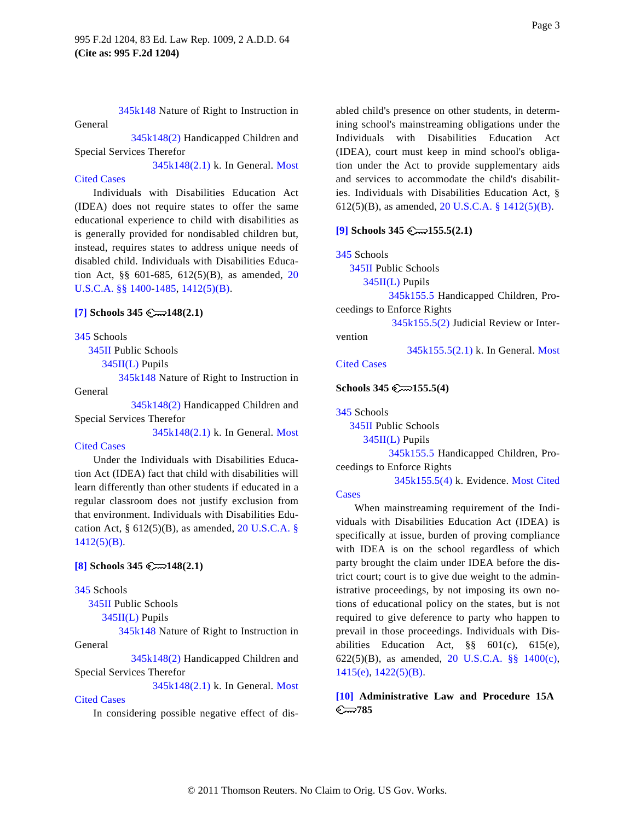[345k148](http://www.westlaw.com/KeyNumber/Default.wl?rs=dfa1.0&vr=2.0&CMD=KEY&DocName=345k148) Nature of Right to Instruction in General

345k148(2) [Handicapped](http://www.westlaw.com/KeyNumber/Default.wl?rs=dfa1.0&vr=2.0&CMD=KEY&DocName=345k148%282%29) Children and Special Services Therefor

[345k148\(2.1\)](http://www.westlaw.com/KeyNumber/Default.wl?rs=dfa1.0&vr=2.0&CMD=KEY&DocName=345k148%282.1%29) k. In General. [Most](http://www.westlaw.com/Digest/Default.wl?rs=dfa1.0&vr=2.0&CMD=MCC&DocName=345k148%282.1%29) [Cited Cases](http://www.westlaw.com/Digest/Default.wl?rs=dfa1.0&vr=2.0&CMD=MCC&DocName=345k148%282.1%29)

<span id="page-2-2"></span>Individuals with Disabilities Education Act (IDEA) does not require states to offer the same educational experience to child with disabilities as is generally provided for nondisabled children but, instead, requires states to address unique needs of disabled child. Individuals with Disabilities Education Act, §§ 601-685, 612(5)(B), as amended, [20](http://www.westlaw.com/Find/Default.wl?rs=dfa1.0&vr=2.0&DB=1000546&DocName=20USCAS1400&FindType=L) [U.S.C.A. §§ 1400](http://www.westlaw.com/Find/Default.wl?rs=dfa1.0&vr=2.0&DB=1000546&DocName=20USCAS1400&FindType=L)[-1485,](http://www.westlaw.com/Find/Default.wl?rs=dfa1.0&vr=2.0&DB=1000546&DocName=20USCAS1485&FindType=L) [1412\(5\)\(B\)](http://www.westlaw.com/Find/Default.wl?rs=dfa1.0&vr=2.0&DB=1000546&DocName=20USCAS1412&FindType=L).

# <span id="page-2-0"></span>**[\[7\]](#page-17-0) Schools 345 148(2.1)**

[345](http://www.westlaw.com/KeyNumber/Default.wl?rs=dfa1.0&vr=2.0&CMD=KEY&DocName=345) Schools

[345II](http://www.westlaw.com/KeyNumber/Default.wl?rs=dfa1.0&vr=2.0&CMD=KEY&DocName=345II) Public Schools

345II(L) [Pupils](http://www.westlaw.com/KeyNumber/Default.wl?rs=dfa1.0&vr=2.0&CMD=KEY&DocName=345II%28L%29)

[345k148](http://www.westlaw.com/KeyNumber/Default.wl?rs=dfa1.0&vr=2.0&CMD=KEY&DocName=345k148) Nature of Right to Instruction in

General

345k148(2) [Handicapped](http://www.westlaw.com/KeyNumber/Default.wl?rs=dfa1.0&vr=2.0&CMD=KEY&DocName=345k148%282%29) Children and Special Services Therefor

[345k148\(2.1\)](http://www.westlaw.com/KeyNumber/Default.wl?rs=dfa1.0&vr=2.0&CMD=KEY&DocName=345k148%282.1%29) k. In General. [Most](http://www.westlaw.com/Digest/Default.wl?rs=dfa1.0&vr=2.0&CMD=MCC&DocName=345k148%282.1%29)

# [Cited Cases](http://www.westlaw.com/Digest/Default.wl?rs=dfa1.0&vr=2.0&CMD=MCC&DocName=345k148%282.1%29)

Under the Individuals with Disabilities Education Act (IDEA) fact that child with disabilities will learn differently than other students if educated in a regular classroom does not justify exclusion from that environment. Individuals with Disabilities Education Act,  $\S$  612(5)(B), as amended, 20 U.S.C.A.  $\S$  $1412(5)(B)$ .

# <span id="page-2-1"></span>**[\[8\]](#page-18-0) Schools 345 148(2.1)**

[345](http://www.westlaw.com/KeyNumber/Default.wl?rs=dfa1.0&vr=2.0&CMD=KEY&DocName=345) Schools

[345II](http://www.westlaw.com/KeyNumber/Default.wl?rs=dfa1.0&vr=2.0&CMD=KEY&DocName=345II) Public Schools

```
345II(L) Pupils
```
[345k148](http://www.westlaw.com/KeyNumber/Default.wl?rs=dfa1.0&vr=2.0&CMD=KEY&DocName=345k148) Nature of Right to Instruction in General

345k148(2) [Handicapped](http://www.westlaw.com/KeyNumber/Default.wl?rs=dfa1.0&vr=2.0&CMD=KEY&DocName=345k148%282%29) Children and Special Services Therefor

[345k148\(2.1\)](http://www.westlaw.com/KeyNumber/Default.wl?rs=dfa1.0&vr=2.0&CMD=KEY&DocName=345k148%282.1%29) k. In General. [Most](http://www.westlaw.com/Digest/Default.wl?rs=dfa1.0&vr=2.0&CMD=MCC&DocName=345k148%282.1%29)

# <span id="page-2-3"></span>[Cited Cases](http://www.westlaw.com/Digest/Default.wl?rs=dfa1.0&vr=2.0&CMD=MCC&DocName=345k148%282.1%29)

In considering possible negative effect of dis-

abled child's presence on other students, in determining school's mainstreaming obligations under the Individuals with Disabilities Education Act (IDEA), court must keep in mind school's obligation under the Act to provide supplementary aids and services to accommodate the child's disabilities. Individuals with Disabilities Education Act, § 612(5)(B), as amended, [20 U.S.C.A. § 1412\(5\)\(B\)](http://www.westlaw.com/Find/Default.wl?rs=dfa1.0&vr=2.0&DB=1000546&DocName=20USCAS1412&FindType=L).

# **[\[9\]](#page-19-0) Schools 345 155.5(2.1)**

[345](http://www.westlaw.com/KeyNumber/Default.wl?rs=dfa1.0&vr=2.0&CMD=KEY&DocName=345) Schools

[345II](http://www.westlaw.com/KeyNumber/Default.wl?rs=dfa1.0&vr=2.0&CMD=KEY&DocName=345II) Public Schools

345II(L) [Pupils](http://www.westlaw.com/KeyNumber/Default.wl?rs=dfa1.0&vr=2.0&CMD=KEY&DocName=345II%28L%29)

[345k155.5](http://www.westlaw.com/KeyNumber/Default.wl?rs=dfa1.0&vr=2.0&CMD=KEY&DocName=345k155.5) Handicapped Children, Proceedings to Enforce Rights

345k155.5(2) [Judicial Rev](http://www.westlaw.com/KeyNumber/Default.wl?rs=dfa1.0&vr=2.0&CMD=KEY&DocName=345k155.5%282%29)iew or Inter-

vention

[345k155.5\(2.1\)](http://www.westlaw.com/KeyNumber/Default.wl?rs=dfa1.0&vr=2.0&CMD=KEY&DocName=345k155.5%282.1%29) k. In General. [Most](http://www.westlaw.com/Digest/Default.wl?rs=dfa1.0&vr=2.0&CMD=MCC&DocName=345k155.5%282.1%29)

# [Cited Cases](http://www.westlaw.com/Digest/Default.wl?rs=dfa1.0&vr=2.0&CMD=MCC&DocName=345k155.5%282.1%29)

# **Schools 345 155.5(4)**

[345](http://www.westlaw.com/KeyNumber/Default.wl?rs=dfa1.0&vr=2.0&CMD=KEY&DocName=345) Schools

[345II](http://www.westlaw.com/KeyNumber/Default.wl?rs=dfa1.0&vr=2.0&CMD=KEY&DocName=345II) Public Schools

```
345II(L) Pupils
```
[345k155.5](http://www.westlaw.com/KeyNumber/Default.wl?rs=dfa1.0&vr=2.0&CMD=KEY&DocName=345k155.5) Handicapped Children, Proceedings to Enforce Rights

345k155.5(4) [k. Evidence.](http://www.westlaw.com/KeyNumber/Default.wl?rs=dfa1.0&vr=2.0&CMD=KEY&DocName=345k155.5%284%29) [Most Cited](http://www.westlaw.com/Digest/Default.wl?rs=dfa1.0&vr=2.0&CMD=MCC&DocName=345k155.5%284%29) **[Cases](http://www.westlaw.com/Digest/Default.wl?rs=dfa1.0&vr=2.0&CMD=MCC&DocName=345k155.5%284%29)** 

When mainstreaming requirement of the Individuals with Disabilities Education Act (IDEA) is specifically at issue, burden of proving compliance with IDEA is on the school regardless of which party brought the claim under IDEA before the district court; court is to give due weight to the administrative proceedings, by not imposing its own notions of educational policy on the states, but is not required to give deference to party who happen to prevail in those proceedings. Individuals with Disabilities Education Act, §§ 601(c), 615(e), 622(5)(B), as amended, [20 U.S.C.A. §§ 1400\(](http://www.westlaw.com/Find/Default.wl?rs=dfa1.0&vr=2.0&DB=1000546&DocName=20USCAS1400&FindType=L)c), [1415\(e\)](http://www.westlaw.com/Find/Default.wl?rs=dfa1.0&vr=2.0&DB=1000546&DocName=20USCAS1415&FindType=L), [1422\(5\)\(B\)](http://www.westlaw.com/Find/Default.wl?rs=dfa1.0&vr=2.0&DB=1000546&DocName=20USCAS1422&FindType=L).

**[\[10\]](#page-20-0) Administrative Law and Procedure 15A 785**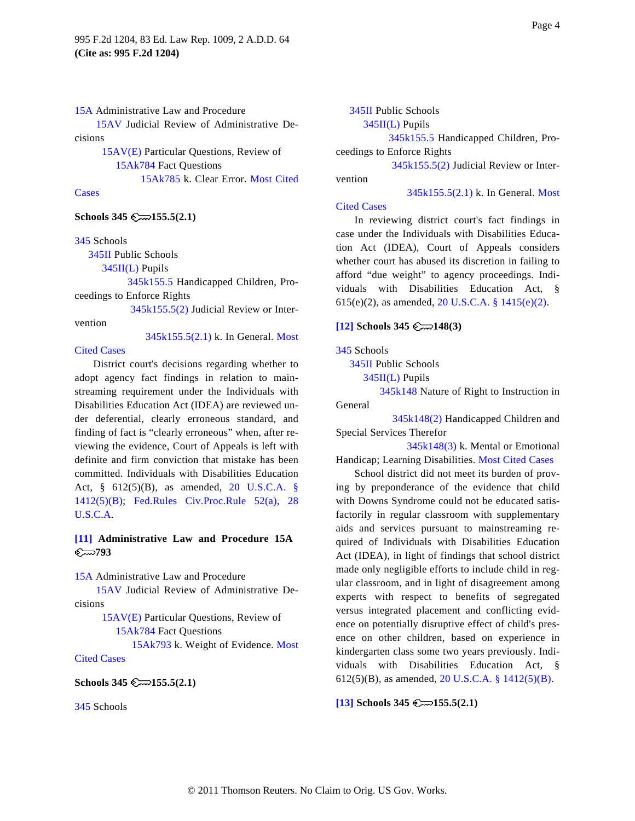[15A](http://www.westlaw.com/KeyNumber/Default.wl?rs=dfa1.0&vr=2.0&CMD=KEY&DocName=15A) Administrative Law and Procedure

[15AV](http://www.westlaw.com/KeyNumber/Default.wl?rs=dfa1.0&vr=2.0&CMD=KEY&DocName=15AV) Judicial Review of Administrative Decisions

> 15AV(E) [Partic](http://www.westlaw.com/KeyNumber/Default.wl?rs=dfa1.0&vr=2.0&CMD=KEY&DocName=15AV%28E%29)ular Questions, Review of [15Ak784](http://www.westlaw.com/KeyNumber/Default.wl?rs=dfa1.0&vr=2.0&CMD=KEY&DocName=15Ak784) Fact Questions

> > 15Ak785 k. [Clear Erro](http://www.westlaw.com/KeyNumber/Default.wl?rs=dfa1.0&vr=2.0&CMD=KEY&DocName=15Ak785)r. [Most Cited](http://www.westlaw.com/Digest/Default.wl?rs=dfa1.0&vr=2.0&CMD=MCC&DocName=15Ak785)

[345k155.5\(2.1\)](http://www.westlaw.com/KeyNumber/Default.wl?rs=dfa1.0&vr=2.0&CMD=KEY&DocName=345k155.5%282.1%29) k. In General. [Most](http://www.westlaw.com/Digest/Default.wl?rs=dfa1.0&vr=2.0&CMD=MCC&DocName=345k155.5%282.1%29)

# **[Cases](http://www.westlaw.com/Digest/Default.wl?rs=dfa1.0&vr=2.0&CMD=MCC&DocName=15Ak785)**

# **Schools 345 155.5(2.1)**

[345](http://www.westlaw.com/KeyNumber/Default.wl?rs=dfa1.0&vr=2.0&CMD=KEY&DocName=345) Schools

[345II](http://www.westlaw.com/KeyNumber/Default.wl?rs=dfa1.0&vr=2.0&CMD=KEY&DocName=345II) Public Schools

345II(L) [Pupils](http://www.westlaw.com/KeyNumber/Default.wl?rs=dfa1.0&vr=2.0&CMD=KEY&DocName=345II%28L%29)

[345k155.5](http://www.westlaw.com/KeyNumber/Default.wl?rs=dfa1.0&vr=2.0&CMD=KEY&DocName=345k155.5) Handicapped Children, Proceedings to Enforce Rights

<span id="page-3-1"></span>345k155.5(2) [Judicial Rev](http://www.westlaw.com/KeyNumber/Default.wl?rs=dfa1.0&vr=2.0&CMD=KEY&DocName=345k155.5%282%29)iew or Intervention

#### [Cited Cases](http://www.westlaw.com/Digest/Default.wl?rs=dfa1.0&vr=2.0&CMD=MCC&DocName=345k155.5%282.1%29)

District court's decisions regarding whether to adopt agency fact findings in relation to mainstreaming requirement under the Individuals with Disabilities Education Act (IDEA) are reviewed under deferential, clearly erroneous standard, and finding of fact is "clearly erroneous" when, after reviewing the evidence, Court of Appeals is left with definite and firm conviction that mistake has been committed. Individuals with Disabilities Education Act, § 612(5)(B), as amended, [20 U.S.C.A.](http://www.westlaw.com/Find/Default.wl?rs=dfa1.0&vr=2.0&DB=1000546&DocName=20USCAS1412&FindType=L) § [1412\(5\)\(B\)](http://www.westlaw.com/Find/Default.wl?rs=dfa1.0&vr=2.0&DB=1000546&DocName=20USCAS1412&FindType=L); [Fed.Rules Civ.Proc.Rule 52\(a\),](http://www.westlaw.com/Find/Default.wl?rs=dfa1.0&vr=2.0&DB=1004365&DocName=USFRCPR52&FindType=L) 28 [U.S.C.A](http://www.westlaw.com/Find/Default.wl?rs=dfa1.0&vr=2.0&DB=1004365&DocName=USFRCPR52&FindType=L).

# <span id="page-3-0"></span>**[\[11\]](#page-21-0) Administrative Law and Procedure 15A 793**

[15A](http://www.westlaw.com/KeyNumber/Default.wl?rs=dfa1.0&vr=2.0&CMD=KEY&DocName=15A) Administrative Law and Procedure

[15AV](http://www.westlaw.com/KeyNumber/Default.wl?rs=dfa1.0&vr=2.0&CMD=KEY&DocName=15AV) Judicial Review of Administrative Decisions

> 15AV(E) [Partic](http://www.westlaw.com/KeyNumber/Default.wl?rs=dfa1.0&vr=2.0&CMD=KEY&DocName=15AV%28E%29)ular Questions, Review of [15Ak784](http://www.westlaw.com/KeyNumber/Default.wl?rs=dfa1.0&vr=2.0&CMD=KEY&DocName=15Ak784) Fact Questions

15Ak793 k. [Weight of](http://www.westlaw.com/KeyNumber/Default.wl?rs=dfa1.0&vr=2.0&CMD=KEY&DocName=15Ak793) Evidence. [Most](http://www.westlaw.com/Digest/Default.wl?rs=dfa1.0&vr=2.0&CMD=MCC&DocName=15Ak793) [Cited Cases](http://www.westlaw.com/Digest/Default.wl?rs=dfa1.0&vr=2.0&CMD=MCC&DocName=15Ak793)

# **Schools 345 155.5(2.1)**

<span id="page-3-2"></span>[345](http://www.westlaw.com/KeyNumber/Default.wl?rs=dfa1.0&vr=2.0&CMD=KEY&DocName=345) Schools

[345II](http://www.westlaw.com/KeyNumber/Default.wl?rs=dfa1.0&vr=2.0&CMD=KEY&DocName=345II) Public Schools

345II(L) [Pupils](http://www.westlaw.com/KeyNumber/Default.wl?rs=dfa1.0&vr=2.0&CMD=KEY&DocName=345II%28L%29)

[345k155.5](http://www.westlaw.com/KeyNumber/Default.wl?rs=dfa1.0&vr=2.0&CMD=KEY&DocName=345k155.5) Handicapped Children, Proceedings to Enforce Rights

345k155.5(2) [Judicial Rev](http://www.westlaw.com/KeyNumber/Default.wl?rs=dfa1.0&vr=2.0&CMD=KEY&DocName=345k155.5%282%29)iew or Intervention

[345k155.5\(2.1\)](http://www.westlaw.com/KeyNumber/Default.wl?rs=dfa1.0&vr=2.0&CMD=KEY&DocName=345k155.5%282.1%29) k. In General. [Most](http://www.westlaw.com/Digest/Default.wl?rs=dfa1.0&vr=2.0&CMD=MCC&DocName=345k155.5%282.1%29) [Cited Cases](http://www.westlaw.com/Digest/Default.wl?rs=dfa1.0&vr=2.0&CMD=MCC&DocName=345k155.5%282.1%29)

In reviewing district court's fact findings in case under the Individuals with Disabilities Education Act (IDEA), Court of Appeals considers whether court has abused its discretion in failing to afford "due weight" to agency proceedings. Individuals with Disabilities Education Act, § 615(e)(2), as amended, [20 U.S.C.A. § 1415\(e\)\(2\)](http://www.westlaw.com/Find/Default.wl?rs=dfa1.0&vr=2.0&DB=1000546&DocName=20USCAS1415&FindType=L).

#### **[\[12\]](#page-21-1) Schools 345 148(3)**

[345](http://www.westlaw.com/KeyNumber/Default.wl?rs=dfa1.0&vr=2.0&CMD=KEY&DocName=345) Schools

[345II](http://www.westlaw.com/KeyNumber/Default.wl?rs=dfa1.0&vr=2.0&CMD=KEY&DocName=345II) Public Schools

345II(L) [Pupils](http://www.westlaw.com/KeyNumber/Default.wl?rs=dfa1.0&vr=2.0&CMD=KEY&DocName=345II%28L%29)

[345k148](http://www.westlaw.com/KeyNumber/Default.wl?rs=dfa1.0&vr=2.0&CMD=KEY&DocName=345k148) Nature of Right to Instruction in General

345k148(2) [Handicapped](http://www.westlaw.com/KeyNumber/Default.wl?rs=dfa1.0&vr=2.0&CMD=KEY&DocName=345k148%282%29) Children and Special Services Therefor

[345k148\(3\)](http://www.westlaw.com/KeyNumber/Default.wl?rs=dfa1.0&vr=2.0&CMD=KEY&DocName=345k148%283%29) k. Mental or Emotional Handicap; Learning Disabilities. [Most Cited Cases](http://www.westlaw.com/Digest/Default.wl?rs=dfa1.0&vr=2.0&CMD=MCC&DocName=345k148%283%29)

School district did not meet its burden of proving by preponderance of the evidence that child with Downs Syndrome could not be educated satisfactorily in regular classroom with supplementary aids and services pursuant to mainstreaming required of Individuals with Disabilities Education Act (IDEA), in light of findings that school district made only negligible efforts to include child in regular classroom, and in light of disagreement among experts with respect to benefits of segregated versus integrated placement and conflicting evidence on potentially disruptive effect of child's presence on other children, based on experience in kindergarten class some two years previously. Individuals with Disabilities Education Act, § 612(5)(B), as amended, [20 U.S.C.A. § 1412\(5\)\(B\)](http://www.westlaw.com/Find/Default.wl?rs=dfa1.0&vr=2.0&DB=1000546&DocName=20USCAS1412&FindType=L).

# **[\[13\]](#page-24-0) Schools 345 155.5(2.1)**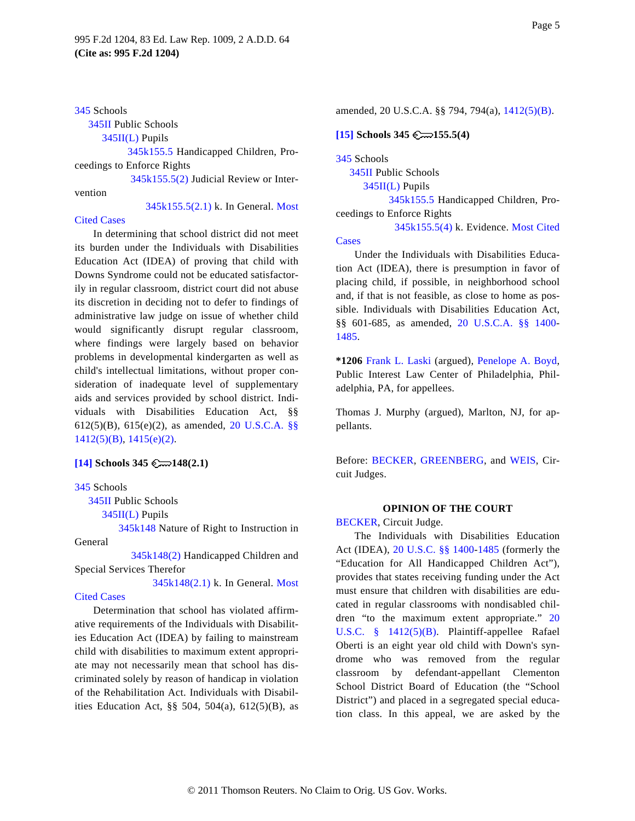#### <span id="page-4-1"></span>[345](http://www.westlaw.com/KeyNumber/Default.wl?rs=dfa1.0&vr=2.0&CMD=KEY&DocName=345) Schools

[345II](http://www.westlaw.com/KeyNumber/Default.wl?rs=dfa1.0&vr=2.0&CMD=KEY&DocName=345II) Public Schools

345II(L) [Pupils](http://www.westlaw.com/KeyNumber/Default.wl?rs=dfa1.0&vr=2.0&CMD=KEY&DocName=345II%28L%29)

[345k155.5](http://www.westlaw.com/KeyNumber/Default.wl?rs=dfa1.0&vr=2.0&CMD=KEY&DocName=345k155.5) Handicapped Children, Proceedings to Enforce Rights

345k155.5(2) [Judicial Rev](http://www.westlaw.com/KeyNumber/Default.wl?rs=dfa1.0&vr=2.0&CMD=KEY&DocName=345k155.5%282%29)iew or Intervention

[345k155.5\(2.1\)](http://www.westlaw.com/KeyNumber/Default.wl?rs=dfa1.0&vr=2.0&CMD=KEY&DocName=345k155.5%282.1%29) k. In General. [Most](http://www.westlaw.com/Digest/Default.wl?rs=dfa1.0&vr=2.0&CMD=MCC&DocName=345k155.5%282.1%29)

# [Cited Cases](http://www.westlaw.com/Digest/Default.wl?rs=dfa1.0&vr=2.0&CMD=MCC&DocName=345k155.5%282.1%29)

In determining that school district did not meet its burden under the Individuals with Disabilities Education Act (IDEA) of proving that child with Downs Syndrome could not be educated satisfactorily in regular classroom, district court did not abuse its discretion in deciding not to defer to findings of administrative law judge on issue of whether child would significantly disrupt regular classroom, where findings were largely based on behavior problems in developmental kindergarten as well as child's intellectual limitations, without proper consideration of inadequate level of supplementary aids and services provided by school district. Individuals with Disabilities Education Act, §§ 612(5)(B), 615(e)(2), as amended, [20 U.S.C.A. §§](http://www.westlaw.com/Find/Default.wl?rs=dfa1.0&vr=2.0&DB=1000546&DocName=20USCAS1412&FindType=L) [1412\(5\)\(B\)](http://www.westlaw.com/Find/Default.wl?rs=dfa1.0&vr=2.0&DB=1000546&DocName=20USCAS1412&FindType=L), [1415\(e\)\(2\)](http://www.westlaw.com/Find/Default.wl?rs=dfa1.0&vr=2.0&DB=1000546&DocName=20USCAS1415&FindType=L).

# <span id="page-4-0"></span>**[\[14\]](#page-24-1) Schools 345**  $\mathbb{C}$  **148(2.1)**

[345](http://www.westlaw.com/KeyNumber/Default.wl?rs=dfa1.0&vr=2.0&CMD=KEY&DocName=345) Schools

[345II](http://www.westlaw.com/KeyNumber/Default.wl?rs=dfa1.0&vr=2.0&CMD=KEY&DocName=345II) Public Schools

345II(L) [Pupils](http://www.westlaw.com/KeyNumber/Default.wl?rs=dfa1.0&vr=2.0&CMD=KEY&DocName=345II%28L%29)

[345k148](http://www.westlaw.com/KeyNumber/Default.wl?rs=dfa1.0&vr=2.0&CMD=KEY&DocName=345k148) Nature of Right to Instruction in

345k148(2) [Handicapped](http://www.westlaw.com/KeyNumber/Default.wl?rs=dfa1.0&vr=2.0&CMD=KEY&DocName=345k148%282%29) Children and Special Services Therefor

[345k148\(2.1\)](http://www.westlaw.com/KeyNumber/Default.wl?rs=dfa1.0&vr=2.0&CMD=KEY&DocName=345k148%282.1%29) k. In General. [Most](http://www.westlaw.com/Digest/Default.wl?rs=dfa1.0&vr=2.0&CMD=MCC&DocName=345k148%282.1%29)

# [Cited Cases](http://www.westlaw.com/Digest/Default.wl?rs=dfa1.0&vr=2.0&CMD=MCC&DocName=345k148%282.1%29)

General

Determination that school has violated affirmative requirements of the Individuals with Disabilities Education Act (IDEA) by failing to mainstream child with disabilities to maximum extent appropriate may not necessarily mean that school has discriminated solely by reason of handicap in violation of the Rehabilitation Act. Individuals with Disabilities Education Act, §§ 504, 504(a), 612(5)(B), as amended, 20 U.S.C.A. §§ 794, 794(a), [1412\(5\)\(B\)](http://www.westlaw.com/Find/Default.wl?rs=dfa1.0&vr=2.0&DB=1000546&DocName=20USCAS1412&FindType=L).

# **[\[15\]](#page-25-0) Schools 345 155.5(4)**

[345](http://www.westlaw.com/KeyNumber/Default.wl?rs=dfa1.0&vr=2.0&CMD=KEY&DocName=345) Schools [345II](http://www.westlaw.com/KeyNumber/Default.wl?rs=dfa1.0&vr=2.0&CMD=KEY&DocName=345II) Public Schools

345II(L) [Pupils](http://www.westlaw.com/KeyNumber/Default.wl?rs=dfa1.0&vr=2.0&CMD=KEY&DocName=345II%28L%29)

[345k155.5](http://www.westlaw.com/KeyNumber/Default.wl?rs=dfa1.0&vr=2.0&CMD=KEY&DocName=345k155.5) Handicapped Children, Proceedings to Enforce Rights

345k155.5(4) [k. Evidence.](http://www.westlaw.com/KeyNumber/Default.wl?rs=dfa1.0&vr=2.0&CMD=KEY&DocName=345k155.5%284%29) [Most Cited](http://www.westlaw.com/Digest/Default.wl?rs=dfa1.0&vr=2.0&CMD=MCC&DocName=345k155.5%284%29) **[Cases](http://www.westlaw.com/Digest/Default.wl?rs=dfa1.0&vr=2.0&CMD=MCC&DocName=345k155.5%284%29)** 

Under the Individuals with Disabilities Education Act (IDEA), there is presumption in favor of placing child, if possible, in neighborhood school and, if that is not feasible, as close to home as possible. Individuals with Disabilities Education Act, §§ 601-685, as amended, [20 U.S.C.A. §§ 14](http://www.westlaw.com/Find/Default.wl?rs=dfa1.0&vr=2.0&DB=1000546&DocName=20USCAS1400&FindType=L)00[-](http://www.westlaw.com/Find/Default.wl?rs=dfa1.0&vr=2.0&DB=1000546&DocName=20USCAS1485&FindType=L) [1485.](http://www.westlaw.com/Find/Default.wl?rs=dfa1.0&vr=2.0&DB=1000546&DocName=20USCAS1485&FindType=L)

**\*1206** [Frank L. Laski](http://www.westlaw.com/Find/Default.wl?rs=dfa1.0&vr=2.0&DB=PROFILER-WLD&DocName=0117765201&FindType=h) (argued), [Penelope A. Boyd](http://www.westlaw.com/Find/Default.wl?rs=dfa1.0&vr=2.0&DB=PROFILER-WLD&DocName=0286960501&FindType=h), Public Interest Law Center of Philadelphia, Philadelphia, PA, for appellees.

Thomas J. Murphy (argued), Marlton, NJ, for appellants.

Before: [BECKER](http://www.westlaw.com/Find/Default.wl?rs=dfa1.0&vr=2.0&DB=PROFILER-WLD&DocName=0241737601&FindType=h), [GREENBERG](http://www.westlaw.com/Find/Default.wl?rs=dfa1.0&vr=2.0&DB=PROFILER-WLD&DocName=0138098601&FindType=h), and [WEIS](http://www.westlaw.com/Find/Default.wl?rs=dfa1.0&vr=2.0&DB=PROFILER-WLD&DocName=0240894101&FindType=h), Circuit Judges.

# **OPINION OF THE COURT**

[BECKER](http://www.westlaw.com/Find/Default.wl?rs=dfa1.0&vr=2.0&DB=PROFILER-WLD&DocName=0241737601&FindType=h), Circuit Judge.

The Individuals with Disabilities Education Act (IDEA), [20 U.S.C. §§ 1400](http://www.westlaw.com/Find/Default.wl?rs=dfa1.0&vr=2.0&DB=1000546&DocName=20USCAS1400&FindType=L)[-1485](http://www.westlaw.com/Find/Default.wl?rs=dfa1.0&vr=2.0&DB=1000546&DocName=20USCAS1485&FindType=L) (formerly the "Education for All Handicapped Children Act"), provides that states receiving funding under the Act must ensure that children with disabilities are educated in regular classrooms with nondisabled children "to the maximum extent appropriate." [20](http://www.westlaw.com/Find/Default.wl?rs=dfa1.0&vr=2.0&DB=1000546&DocName=20USCAS1412&FindType=L) [U.S.C. § 1412\(5\)](http://www.westlaw.com/Find/Default.wl?rs=dfa1.0&vr=2.0&DB=1000546&DocName=20USCAS1412&FindType=L)(B). Plaintiff-appellee Rafael Oberti is an eight year old child with Down's syndrome who was removed from the regular classroom by defendant-appellant Clementon School District Board of Education (the "School District") and placed in a segregated special education class. In this appeal, we are asked by the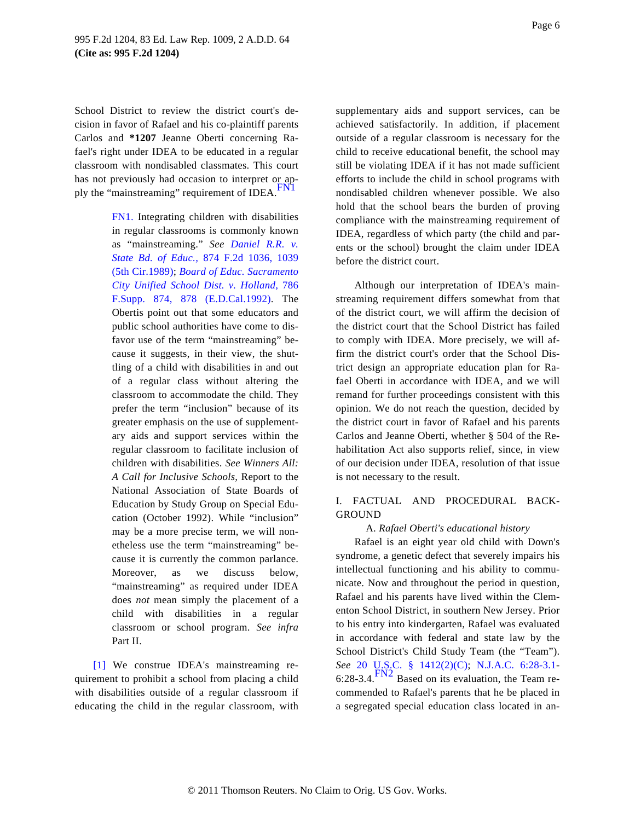School District to review the district court's decision in favor of Rafael and his co-plaintiff parents Carlos and **\*1207** Jeanne Oberti concerning Rafael's right under IDEA to be educated in a regular classroom with nondisabled classmates. This court has not previously had occasion to interpret or apply the "mainstreaming" requirement o[f IDEA.](#page-5-1)

> <span id="page-5-2"></span><span id="page-5-1"></span>[FN1.](#page-5-2) Integrating children with disabilities in regular classrooms is commonly known as "mainstreaming." *See [Daniel R.R. v](http://www.westlaw.com/Find/Default.wl?rs=dfa1.0&vr=2.0&DB=350&FindType=Y&ReferencePositionType=S&SerialNum=1989078426&ReferencePosition=1039). [State Bd. of Educ](http://www.westlaw.com/Find/Default.wl?rs=dfa1.0&vr=2.0&DB=350&FindType=Y&ReferencePositionType=S&SerialNum=1989078426&ReferencePosition=1039).,* [874 F.2d 1036, 103](http://www.westlaw.com/Find/Default.wl?rs=dfa1.0&vr=2.0&DB=350&FindType=Y&ReferencePositionType=S&SerialNum=1989078426&ReferencePosition=1039)9 [\(5th Cir.1989\)](http://www.westlaw.com/Find/Default.wl?rs=dfa1.0&vr=2.0&DB=350&FindType=Y&ReferencePositionType=S&SerialNum=1989078426&ReferencePosition=1039); *[Board of Educ. Sacramento](http://www.westlaw.com/Find/Default.wl?rs=dfa1.0&vr=2.0&DB=345&FindType=Y&ReferencePositionType=S&SerialNum=1992058844&ReferencePosition=878) [City Unified School Dist. v. Holland,](http://www.westlaw.com/Find/Default.wl?rs=dfa1.0&vr=2.0&DB=345&FindType=Y&ReferencePositionType=S&SerialNum=1992058844&ReferencePosition=878)* 786 [F.Supp. 874, 878 \(E.D.Cal.1](http://www.westlaw.com/Find/Default.wl?rs=dfa1.0&vr=2.0&DB=345&FindType=Y&ReferencePositionType=S&SerialNum=1992058844&ReferencePosition=878)992). The Obertis point out that some educators and public school authorities have come to disfavor use of the term "mainstreaming" because it suggests, in their view, the shuttling of a child with disabilities in and out of a regular class without altering the classroom to accommodate the child. They prefer the term "inclusion" because of its greater emphasis on the use of supplementary aids and support services within the regular classroom to facilitate inclusion of children with disabilities. *See Winners All: A Call for Inclusive Schools,* Report to the National Association of State Boards of Education by Study Group on Special Education (October 1992). While "inclusion" may be a more precise term, we will nonetheless use the term "mainstreaming" because it is currently the common parlance. Moreover, as we discuss below, "mainstreaming" as required under IDEA does *not* mean simply the placement of a child with disabilities in a regular classroom or school program. *See infra* Part II.

<span id="page-5-3"></span><span id="page-5-0"></span>[\[1\]](#page-0-0) We construe IDEA's mainstreaming requirement to prohibit a school from placing a child with disabilities outside of a regular classroom if educating the child in the regular classroom, with supplementary aids and support services, can be achieved satisfactorily. In addition, if placement outside of a regular classroom is necessary for the child to receive educational benefit, the school may still be violating IDEA if it has not made sufficient efforts to include the child in school programs with nondisabled children whenever possible. We also hold that the school bears the burden of proving compliance with the mainstreaming requirement of IDEA, regardless of which party (the child and parents or the school) brought the claim under IDEA before the district court.

Although our interpretation of IDEA's mainstreaming requirement differs somewhat from that of the district court, we will affirm the decision of the district court that the School District has failed to comply with IDEA. More precisely, we will affirm the district court's order that the School District design an appropriate education plan for Rafael Oberti in accordance with IDEA, and we will remand for further proceedings consistent with this opinion. We do not reach the question, decided by the district court in favor of Rafael and his parents Carlos and Jeanne Oberti, whether § 504 of the Rehabilitation Act also supports relief, since, in view of our decision under IDEA, resolution of that issue is not necessary to the result.

# I. FACTUAL AND PROCEDURAL BACK-GROUND

# A. *Rafael Oberti's educational history*

Rafael is an eight year old child with Down's syndrome, a genetic defect that severely impairs his intellectual functioning and his ability to communicate. Now and throughout the period in question, Rafael and his parents have lived within the Clementon School District, in southern New Jersey. Prior to his entry into kindergarten, Rafael was evaluated in accordance with federal and state law by the School District's Child Study Team (the "Team"). *See* [20 U.S.C. § 1412\(2\)\(](http://www.westlaw.com/Find/Default.wl?rs=dfa1.0&vr=2.0&DB=1000546&DocName=20USCAS1412&FindType=L)C); [N.J.A.C. 6:28-3.](http://www.westlaw.com/Find/Default.wl?rs=dfa1.0&vr=2.0&DB=1012299&DocName=NJADC6%3A28-3.1&FindType=L)1- [6:28-3.4.](#page-6-0) $\frac{FN}{TN}$  Based on its evaluation, the Team recommended to Rafael's parents that he be placed in a segregated special education class located in an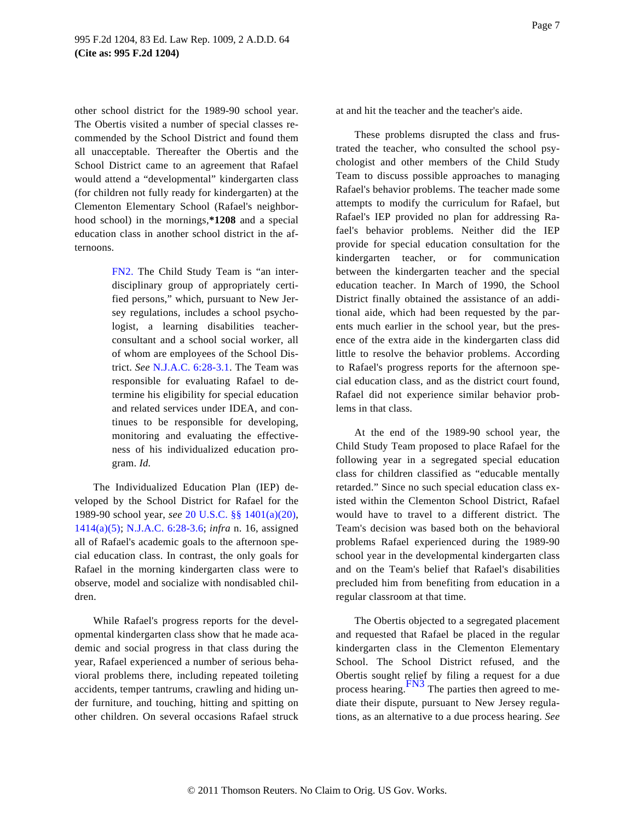other school district for the 1989-90 school year. The Obertis visited a number of special classes recommended by the School District and found them all unacceptable. Thereafter the Obertis and the School District came to an agreement that Rafael would attend a "developmental" kindergarten class (for children not fully ready for kindergarten) at the Clementon Elementary School (Rafael's neighborhood school) in the mornings,**\*1208** and a special education class in another school district in the afternoons.

> <span id="page-6-0"></span>[FN2.](#page-5-3) The Child Study Team is "an interdisciplinary group of appropriately certified persons," which, pursuant to New Jersey regulations, includes a school psychologist, a learning disabilities teacherconsultant and a school social worker, all of whom are employees of the School District. *See* [N.J.A.C. 6:28-3.1](http://www.westlaw.com/Find/Default.wl?rs=dfa1.0&vr=2.0&DB=1012299&DocName=NJADC6%3A28-3.1&FindType=L). The Team was responsible for evaluating Rafael to determine his eligibility for special education and related services under IDEA, and continues to be responsible for developing, monitoring and evaluating the effectiveness of his individualized education program. *Id.*

The Individualized Education Plan (IEP) developed by the School District for Rafael for the 1989-90 school year, *see* [20 U.S.C. §§ 1401\(a\)\(20\)](http://www.westlaw.com/Find/Default.wl?rs=dfa1.0&vr=2.0&DB=1000546&DocName=20USCAS1401&FindType=L), [1414\(a\)\(5\)](http://www.westlaw.com/Find/Default.wl?rs=dfa1.0&vr=2.0&DB=1000546&DocName=20USCAS1414&FindType=L); [N.J.A.C. 6:28-3.6](http://www.westlaw.com/Find/Default.wl?rs=dfa1.0&vr=2.0&DB=1012299&DocName=NJADC6%3A28-3.6&FindType=L); *infra* n. 16, assigned all of Rafael's academic goals to the afternoon special education class. In contrast, the only goals for Rafael in the morning kindergarten class were to observe, model and socialize with nondisabled children.

<span id="page-6-1"></span>While Rafael's progress reports for the developmental kindergarten class show that he made academic and social progress in that class during the year, Rafael experienced a number of serious behavioral problems there, including repeated toileting accidents, temper tantrums, crawling and hiding under furniture, and touching, hitting and spitting on other children. On several occasions Rafael struck at and hit the teacher and the teacher's aide.

These problems disrupted the class and frustrated the teacher, who consulted the school psychologist and other members of the Child Study Team to discuss possible approaches to managing Rafael's behavior problems. The teacher made some attempts to modify the curriculum for Rafael, but Rafael's IEP provided no plan for addressing Rafael's behavior problems. Neither did the IEP provide for special education consultation for the kindergarten teacher, or for communication between the kindergarten teacher and the special education teacher. In March of 1990, the School District finally obtained the assistance of an additional aide, which had been requested by the parents much earlier in the school year, but the presence of the extra aide in the kindergarten class did little to resolve the behavior problems. According to Rafael's progress reports for the afternoon special education class, and as the district court found, Rafael did not experience similar behavior problems in that class.

At the end of the 1989-90 school year, the Child Study Team proposed to place Rafael for the following year in a segregated special education class for children classified as "educable mentally retarded." Since no such special education class existed within the Clementon School District, Rafael would have to travel to a different district. The Team's decision was based both on the behavioral problems Rafael experienced during the 1989-90 school year in the developmental kindergarten class and on the Team's belief that Rafael's disabilities precluded him from benefiting from education in a regular classroom at that time.

The Obertis objected to a segregated placement and requested that Rafael be placed in the regular kindergarten class in the Clementon Elementary School. The School District refused, and the Obertis sought relief by filing a request for a due process [hearing.](#page-7-0)  $\frac{FN3}{}$  The parties then agreed to mediate their dispute, pursuant to New Jersey regulations, as an alternative to a due process hearing. *See*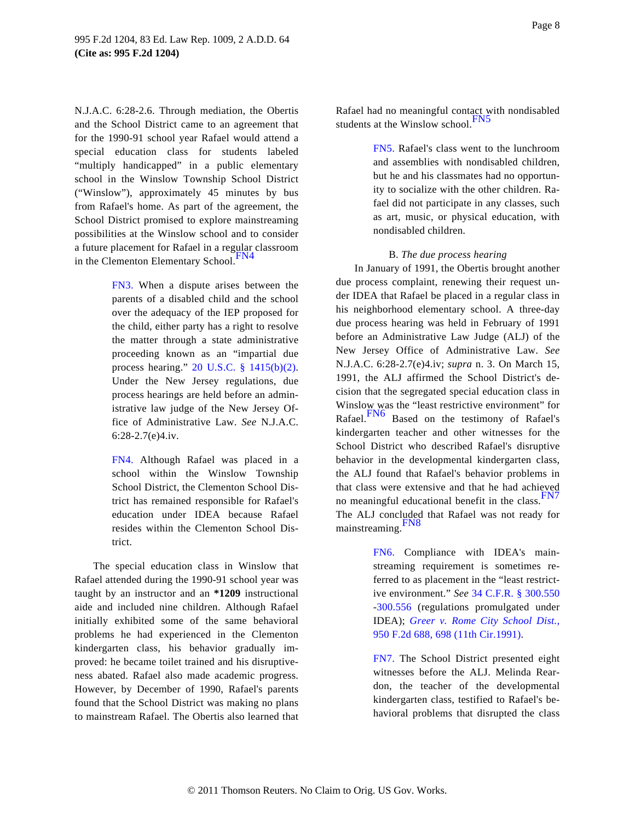<span id="page-7-4"></span><span id="page-7-3"></span>N.J.A.C. 6:28-2.6. Through mediation, the Obertis and the School District came to an agreement that for the 1990-91 school year Rafael would attend a special education class for students labeled "multiply handicapped" in a public elementary school in the Winslow Township School District ("Winslow"), approximately 45 minutes by bus from Rafael's home. As part of the agreement, the School District promised to explore mainstreaming possibilities at the Winslow school and to consider a future placement for Rafael in a regular classroom in the Clementon Elementar[y School.](#page-7-1)<sup>FN4</sup>

> <span id="page-7-2"></span><span id="page-7-0"></span>[FN3.](#page-6-1) When a dispute arises between the parents of a disabled child and the school over the adequacy of the IEP proposed for the child, either party has a right to resolve the matter through a state administrative proceeding known as an "impartial due process hearing." [20 U.S.C. § 1415\(b\)\(2](http://www.westlaw.com/Find/Default.wl?rs=dfa1.0&vr=2.0&DB=1000546&DocName=20USCAS1415&FindType=L)). Under the New Jersey regulations, due process hearings are held before an administrative law judge of the New Jersey Office of Administrative Law. *See* N.J.A.C. 6:28-2.7(e)4.iv.

> <span id="page-7-8"></span><span id="page-7-7"></span><span id="page-7-1"></span>[FN4.](#page-7-2) Although Rafael was placed in a school within the Winslow Township School District, the Clementon School District has remained responsible for Rafael's education under IDEA because Rafael resides within the Clementon School District.

<span id="page-7-9"></span><span id="page-7-6"></span><span id="page-7-5"></span>The special education class in Winslow that Rafael attended during the 1990-91 school year was taught by an instructor and an **\*1209** instructional aide and included nine children. Although Rafael initially exhibited some of the same behavioral problems he had experienced in the Clementon kindergarten class, his behavior gradually improved: he became toilet trained and his disruptiveness abated. Rafael also made academic progress. However, by December of 1990, Rafael's parents found that the School District was making no plans to mainstream Rafael. The Obertis also learned that Page 8

Rafael had no meaningful contact with nondisabled students at the Winslow [school.](#page-7-3) $\frac{\Gamma}{\Gamma}$ 

> [FN5.](#page-7-4) Rafael's class went to the lunchroom and assemblies with nondisabled children, but he and his classmates had no opportunity to socialize with the other children. Rafael did not participate in any classes, such as art, music, or physical education, with nondisabled children.

# B. *The due process hearing*

In January of 1991, the Obertis brought another due process complaint, renewing their request under IDEA that Rafael be placed in a regular class in his neighborhood elementary school. A three-day due process hearing was held in February of 1991 before an Administrative Law Judge (ALJ) of the New Jersey Office of Administrative Law. *See* N.J.A.C. 6:28-2.7(e)4.iv; *supra* n. 3. On March 15, 1991, the ALJ affirmed the School District's decision that the segregated special education class in Winslow was the "least restrictive environment" for [Rafael.](#page-7-5)<sup>FN6</sup> Based on the testimony of Rafael's kindergarten teacher and other witnesses for the School District who described Rafael's disruptive behavior in the developmental kindergarten class, the ALJ found that Rafael's behavior problems in that class were extensive and that he had achieved no meaningful educational benefit in the [class.](#page-7-6)  $\frac{FN}{TN}$ The ALJ concluded that Rafael was not ready for [mainstreaming.](#page-8-0)<sup>FN8</sup>

> [FN6.](#page-7-7) Compliance with IDEA's mainstreaming requirement is sometimes referred to as placement in the "least restrictive environment." *See* [34 C.F.R. § 300.550](http://www.westlaw.com/Find/Default.wl?rs=dfa1.0&vr=2.0&DB=1000547&DocName=34CFRS300.550&FindType=L) [-300.556](http://www.westlaw.com/Find/Default.wl?rs=dfa1.0&vr=2.0&DB=1000547&DocName=34CFRS300.556&FindType=L) (regulations promulgated under IDEA); *[Greer v. Rome City School Dist.](http://www.westlaw.com/Find/Default.wl?rs=dfa1.0&vr=2.0&DB=350&FindType=Y&ReferencePositionType=S&SerialNum=1991207821&ReferencePosition=698),* [950 F.2d 688, 698 \(11th Cir.1991\)](http://www.westlaw.com/Find/Default.wl?rs=dfa1.0&vr=2.0&DB=350&FindType=Y&ReferencePositionType=S&SerialNum=1991207821&ReferencePosition=698).

> [FN7.](#page-7-8) The School District presented eight witnesses before the ALJ. Melinda Reardon, the teacher of the developmental kindergarten class, testified to Rafael's behavioral problems that disrupted the class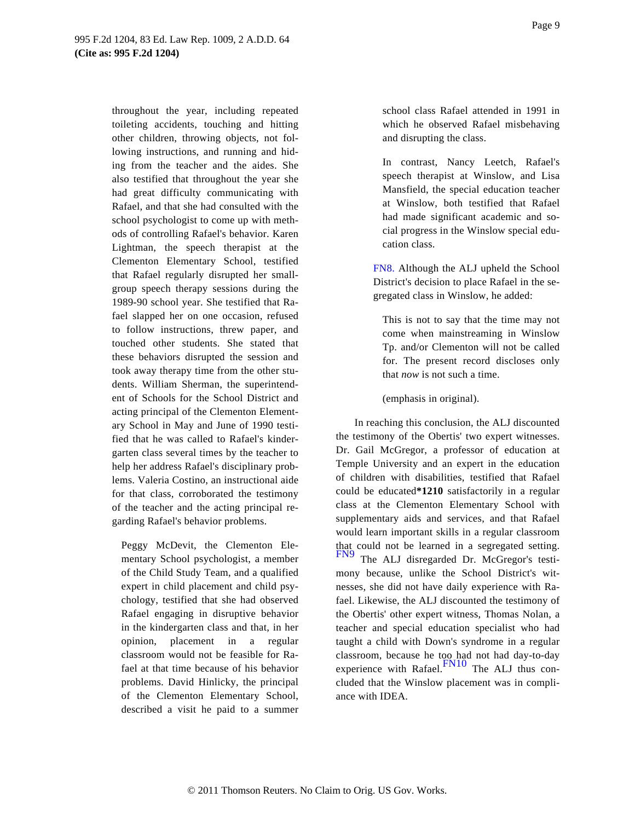<span id="page-8-0"></span>throughout the year, including repeated toileting accidents, touching and hitting other children, throwing objects, not following instructions, and running and hiding from the teacher and the aides. She also testified that throughout the year she had great difficulty communicating with Rafael, and that she had consulted with the school psychologist to come up with methods of controlling Rafael's behavior. Karen Lightman, the speech therapist at the Clementon Elementary School, testified that Rafael regularly disrupted her smallgroup speech therapy sessions during the 1989-90 school year. She testified that Rafael slapped her on one occasion, refused to follow instructions, threw paper, and touched other students. She stated that these behaviors disrupted the session and took away therapy time from the other students. William Sherman, the superintendent of Schools for the School District and acting principal of the Clementon Elementary School in May and June of 1990 testified that he was called to Rafael's kindergarten class several times by the teacher to help her address Rafael's disciplinary problems. Valeria Costino, an instructional aide for that class, corroborated the testimony of the teacher and the acting principal regarding Rafael's behavior problems.

<span id="page-8-2"></span><span id="page-8-1"></span>Peggy McDevit, the Clementon Elementary School psychologist, a member of the Child Study Team, and a qualified expert in child placement and child psychology, testified that she had observed Rafael engaging in disruptive behavior in the kindergarten class and that, in her opinion, placement in a regular classroom would not be feasible for Rafael at that time because of his behavior problems. David Hinlicky, the principal of the Clementon Elementary School, described a visit he paid to a summer school class Rafael attended in 1991 in which he observed Rafael misbehaving and disrupting the class.

In contrast, Nancy Leetch, Rafael's speech therapist at Winslow, and Lisa Mansfield, the special education teacher at Winslow, both testified that Rafael had made significant academic and social progress in the Winslow special education class.

[FN8.](#page-7-9) Although the ALJ upheld the School District's decision to place Rafael in the segregated class in Winslow, he added:

This is not to say that the time may not come when mainstreaming in Winslow Tp. and/or Clementon will not be called for. The present record discloses only that *now* is not such a time.

(emphasis in original).

In reaching this conclusion, the ALJ discounted the testimony of the Obertis' two expert witnesses. Dr. Gail McGregor, a professor of education at Temple University and an expert in the education of children with disabilities, testified that Rafael could be educated**\*1210** satisfactorily in a regular class at the Clementon Elementary School with supplementary aids and services, and that Rafael would learn important skills in a regular classroom that could not be learned in a segregated [setting](#page-9-0). [FN9](#page-9-0) The ALJ disregarded Dr. McGregor's testimony because, unlike the School District's witnesses, she did not have daily experience with Rafael. Likewise, the ALJ discounted the testimony of the Obertis' other expert witness, Thomas Nolan, a teacher and special education specialist who had taught a child with Down's syndrome in a regular classroom, because he too had not had day-to-day experience with [Rafael.](#page-9-1) $\frac{FN10}{FN10}$  The ALJ thus concluded that the Winslow placement was in compliance with IDEA.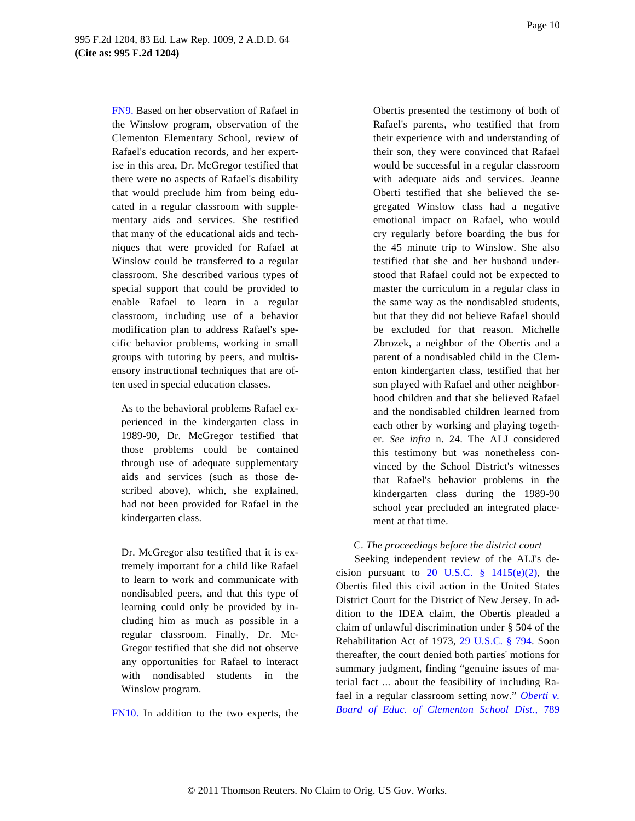<span id="page-9-0"></span>[FN9.](#page-8-1) Based on her observation of Rafael in the Winslow program, observation of the Clementon Elementary School, review of Rafael's education records, and her expertise in this area, Dr. McGregor testified that there were no aspects of Rafael's disability that would preclude him from being educated in a regular classroom with supplementary aids and services. She testified that many of the educational aids and techniques that were provided for Rafael at Winslow could be transferred to a regular classroom. She described various types of special support that could be provided to enable Rafael to learn in a regular classroom, including use of a behavior modification plan to address Rafael's specific behavior problems, working in small groups with tutoring by peers, and multisensory instructional techniques that are often used in special education classes.

As to the behavioral problems Rafael experienced in the kindergarten class in 1989-90, Dr. McGregor testified that those problems could be contained through use of adequate supplementary aids and services (such as those described above), which, she explained, had not been provided for Rafael in the kindergarten class.

Dr. McGregor also testified that it is extremely important for a child like Rafael to learn to work and communicate with nondisabled peers, and that this type of learning could only be provided by including him as much as possible in a regular classroom. Finally, Dr. Mc-Gregor testified that she did not observe any opportunities for Rafael to interact with nondisabled students in the Winslow program.

<span id="page-9-1"></span>[FN10.](#page-8-2) In addition to the two experts, the

Obertis presented the testimony of both of Rafael's parents, who testified that from their experience with and understanding of their son, they were convinced that Rafael would be successful in a regular classroom with adequate aids and services. Jeanne Oberti testified that she believed the segregated Winslow class had a negative emotional impact on Rafael, who would cry regularly before boarding the bus for the 45 minute trip to Winslow. She also testified that she and her husband understood that Rafael could not be expected to master the curriculum in a regular class in the same way as the nondisabled students, but that they did not believe Rafael should be excluded for that reason. Michelle Zbrozek, a neighbor of the Obertis and a parent of a nondisabled child in the Clementon kindergarten class, testified that her son played with Rafael and other neighborhood children and that she believed Rafael and the nondisabled children learned from each other by working and playing together. *See infra* n. 24. The ALJ considered this testimony but was nonetheless convinced by the School District's witnesses that Rafael's behavior problems in the kindergarten class during the 1989-90 school year precluded an integrated placement at that time.

# C. *The proceedings before the district court*

Seeking independent review of the ALJ's decision pursuant to 20 U.S.C.  $\S$  1415(e)(2), the Obertis filed this civil action in the United States District Court for the District of New Jersey. In addition to the IDEA claim, the Obertis pleaded a claim of unlawful discrimination under § 504 of the Rehabilitation Act of 1973, [29 U.S.C. § 79](http://www.westlaw.com/Find/Default.wl?rs=dfa1.0&vr=2.0&DB=1000546&DocName=29USCAS794&FindType=L)4. Soon thereafter, the court denied both parties' motions for summary judgment, finding "genuine issues of material fact ... about the feasibility of including Rafael in a regular classroom setting now." *[Oberti v.](http://www.westlaw.com/Find/Default.wl?rs=dfa1.0&vr=2.0&DB=345&FindType=Y&ReferencePositionType=S&SerialNum=1992080944&ReferencePosition=1336) [Board of Educ. of Clementon School D](http://www.westlaw.com/Find/Default.wl?rs=dfa1.0&vr=2.0&DB=345&FindType=Y&ReferencePositionType=S&SerialNum=1992080944&ReferencePosition=1336)ist.,* 789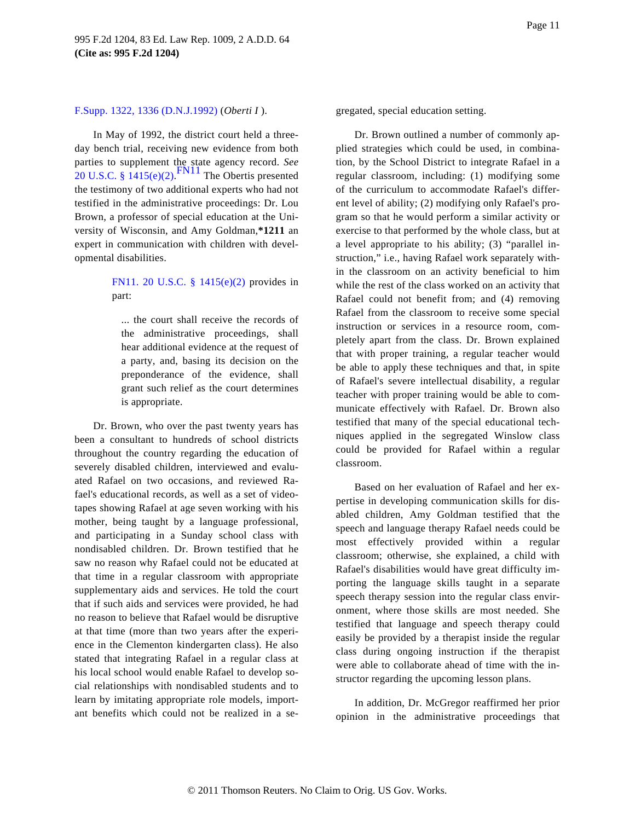#### [F.Supp. 1322, 1336 \(D.N.J.1992\)](http://www.westlaw.com/Find/Default.wl?rs=dfa1.0&vr=2.0&DB=345&FindType=Y&ReferencePositionType=S&SerialNum=1992080944&ReferencePosition=1336) (*Oberti I* ).

<span id="page-10-1"></span>In May of 1992, the district court held a threeday bench trial, receiving new evidence from both parties to supplement the state agency record. *See* 20 U.S.C.  $\S$  1415(e)(2).  $\frac{FN11}{FN11}$  [The Oberti](#page-10-0)s presented the testimony of two additional experts who had not testified in the administrative proceedings: Dr. Lou Brown, a professor of special education at the University of Wisconsin, and Amy Goldman,**\*1211** an expert in communication with children with developmental disabilities.

> <span id="page-10-0"></span>[FN11.](#page-10-1) [20 U.S.C. § 1415\(e\)\(2](http://www.westlaw.com/Find/Default.wl?rs=dfa1.0&vr=2.0&DB=1000546&DocName=20USCAS1415&FindType=L)) provides in part:

... the court shall receive the records of the administrative proceedings, shall hear additional evidence at the request of a party, and, basing its decision on the preponderance of the evidence, shall grant such relief as the court determines is appropriate.

Dr. Brown, who over the past twenty years has been a consultant to hundreds of school districts throughout the country regarding the education of severely disabled children, interviewed and evaluated Rafael on two occasions, and reviewed Rafael's educational records, as well as a set of videotapes showing Rafael at age seven working with his mother, being taught by a language professional, and participating in a Sunday school class with nondisabled children. Dr. Brown testified that he saw no reason why Rafael could not be educated at that time in a regular classroom with appropriate supplementary aids and services. He told the court that if such aids and services were provided, he had no reason to believe that Rafael would be disruptive at that time (more than two years after the experience in the Clementon kindergarten class). He also stated that integrating Rafael in a regular class at his local school would enable Rafael to develop social relationships with nondisabled students and to learn by imitating appropriate role models, important benefits which could not be realized in a segregated, special education setting.

Dr. Brown outlined a number of commonly applied strategies which could be used, in combination, by the School District to integrate Rafael in a regular classroom, including: (1) modifying some of the curriculum to accommodate Rafael's different level of ability; (2) modifying only Rafael's program so that he would perform a similar activity or exercise to that performed by the whole class, but at a level appropriate to his ability; (3) "parallel instruction," i.e., having Rafael work separately within the classroom on an activity beneficial to him while the rest of the class worked on an activity that Rafael could not benefit from; and (4) removing Rafael from the classroom to receive some special instruction or services in a resource room, completely apart from the class. Dr. Brown explained that with proper training, a regular teacher would be able to apply these techniques and that, in spite of Rafael's severe intellectual disability, a regular teacher with proper training would be able to communicate effectively with Rafael. Dr. Brown also testified that many of the special educational techniques applied in the segregated Winslow class could be provided for Rafael within a regular classroom.

Based on her evaluation of Rafael and her expertise in developing communication skills for disabled children, Amy Goldman testified that the speech and language therapy Rafael needs could be most effectively provided within a regular classroom; otherwise, she explained, a child with Rafael's disabilities would have great difficulty importing the language skills taught in a separate speech therapy session into the regular class environment, where those skills are most needed. She testified that language and speech therapy could easily be provided by a therapist inside the regular class during ongoing instruction if the therapist were able to collaborate ahead of time with the instructor regarding the upcoming lesson plans.

In addition, Dr. McGregor reaffirmed her prior opinion in the administrative proceedings that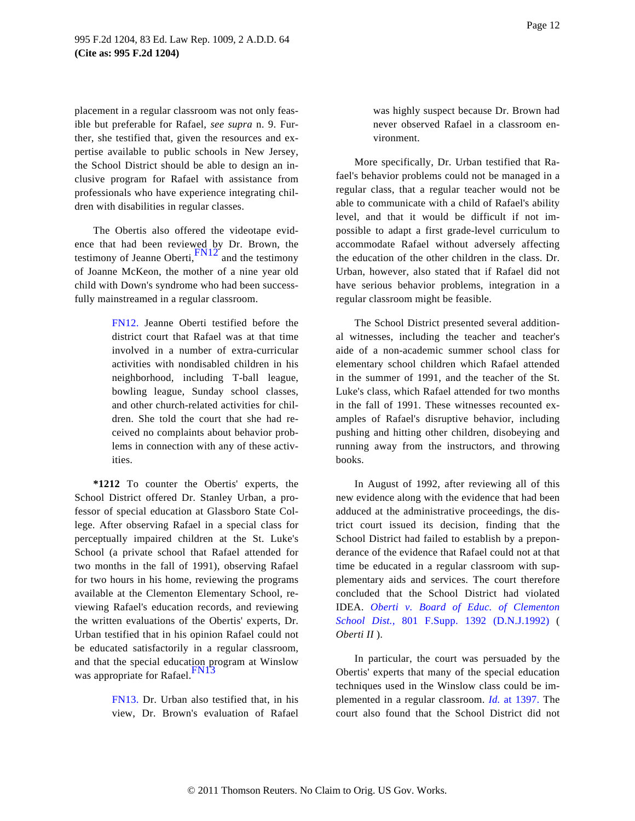placement in a regular classroom was not only feasible but preferable for Rafael, *see supra* n. 9. Further, she testified that, given the resources and expertise available to public schools in New Jersey, the School District should be able to design an inclusive program for Rafael with assistance from professionals who have experience integrating children with disabilities in regular classes.

<span id="page-11-1"></span>The Obertis also offered the videotape evid-ence that had been reviewed by Dr. Brown, the testimony of Jeanne [Oberti,](#page-11-0)  $\frac{FN12}{}$  and the testimony of Joanne McKeon, the mother of a nine year old child with Down's syndrome who had been successfully mainstreamed in a regular classroom.

> <span id="page-11-0"></span>[FN12.](#page-11-1) Jeanne Oberti testified before the district court that Rafael was at that time involved in a number of extra-curricular activities with nondisabled children in his neighborhood, including T-ball league, bowling league, Sunday school classes, and other church-related activities for children. She told the court that she had received no complaints about behavior problems in connection with any of these activities.

**\*1212** To counter the Obertis' experts, the School District offered Dr. Stanley Urban, a professor of special education at Glassboro State College. After observing Rafael in a special class for perceptually impaired children at the St. Luke's School (a private school that Rafael attended for two months in the fall of 1991), observing Rafael for two hours in his home, reviewing the programs available at the Clementon Elementary School, reviewing Rafael's education records, and reviewing the written evaluations of the Obertis' experts, Dr. Urban testified that in his opinion Rafael could not be educated satisfactorily in a regular classroom, and that the special education program at Winslow<br>was appropriate fo[r Rafael.](#page-11-2)

> <span id="page-11-3"></span><span id="page-11-2"></span>[FN13.](#page-11-3) Dr. Urban also testified that, in his view, Dr. Brown's evaluation of Rafael

was highly suspect because Dr. Brown had never observed Rafael in a classroom environment.

More specifically, Dr. Urban testified that Rafael's behavior problems could not be managed in a regular class, that a regular teacher would not be able to communicate with a child of Rafael's ability level, and that it would be difficult if not impossible to adapt a first grade-level curriculum to accommodate Rafael without adversely affecting the education of the other children in the class. Dr. Urban, however, also stated that if Rafael did not have serious behavior problems, integration in a regular classroom might be feasible.

The School District presented several additional witnesses, including the teacher and teacher's aide of a non-academic summer school class for elementary school children which Rafael attended in the summer of 1991, and the teacher of the St. Luke's class, which Rafael attended for two months in the fall of 1991. These witnesses recounted examples of Rafael's disruptive behavior, including pushing and hitting other children, disobeying and running away from the instructors, and throwing books.

In August of 1992, after reviewing all of this new evidence along with the evidence that had been adduced at the administrative proceedings, the district court issued its decision, finding that the School District had failed to establish by a preponderance of the evidence that Rafael could not at that time be educated in a regular classroom with supplementary aids and services. The court therefore concluded that the School District had violated IDEA. *[Oberti v. Board of Educ. of Cleme](http://www.westlaw.com/Find/Default.wl?rs=dfa1.0&vr=2.0&DB=345&FindType=Y&SerialNum=1992151684)nton [School Dist](http://www.westlaw.com/Find/Default.wl?rs=dfa1.0&vr=2.0&DB=345&FindType=Y&SerialNum=1992151684).,* [801 F.Supp. 1392 \(D.N.J.1](http://www.westlaw.com/Find/Default.wl?rs=dfa1.0&vr=2.0&DB=345&FindType=Y&SerialNum=1992151684)992) ( *Oberti II* ).

In particular, the court was persuaded by the Obertis' experts that many of the special education techniques used in the Winslow class could be implemented in a regular classroom. *[Id.](http://www.westlaw.com/Find/Default.wl?rs=dfa1.0&vr=2.0&FindType=Y&SerialNum=1992151684)* [at 1397](http://www.westlaw.com/Find/Default.wl?rs=dfa1.0&vr=2.0&FindType=Y&SerialNum=1992151684). The court also found that the School District did not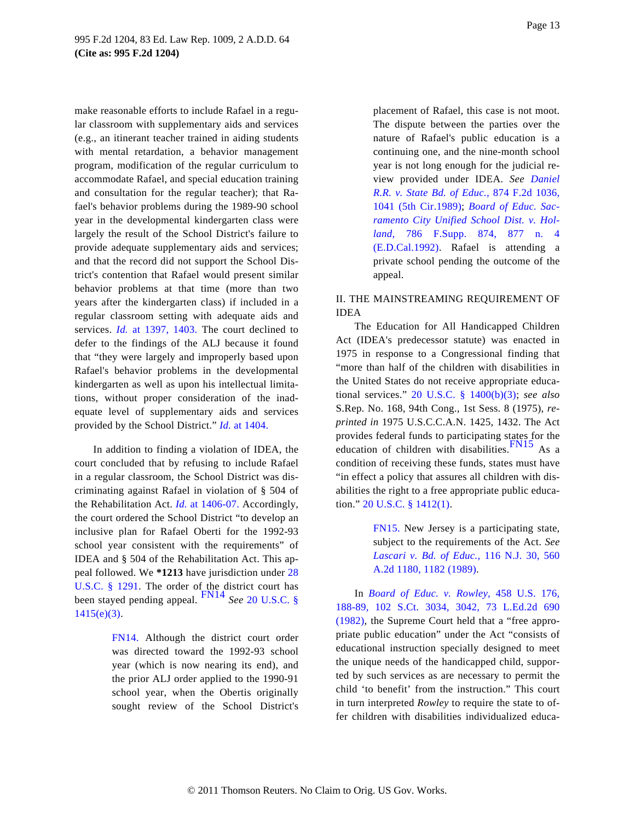make reasonable efforts to include Rafael in a regular classroom with supplementary aids and services (e.g., an itinerant teacher trained in aiding students with mental retardation, a behavior management program, modification of the regular curriculum to accommodate Rafael, and special education training and consultation for the regular teacher); that Rafael's behavior problems during the 1989-90 school year in the developmental kindergarten class were largely the result of the School District's failure to provide adequate supplementary aids and services; and that the record did not support the School District's contention that Rafael would present similar behavior problems at that time (more than two years after the kindergarten class) if included in a regular classroom setting with adequate aids and services. *[Id.](http://www.westlaw.com/Find/Default.wl?rs=dfa1.0&vr=2.0&FindType=Y&SerialNum=1992151684)* [at 1397, 1403](http://www.westlaw.com/Find/Default.wl?rs=dfa1.0&vr=2.0&FindType=Y&SerialNum=1992151684). The court declined to defer to the findings of the ALJ because it found that "they were largely and improperly based upon Rafael's behavior problems in the developmental kindergarten as well as upon his intellectual limitations, without proper consideration of the inadequate level of supplementary aids and services provided by the School District." *[Id](http://www.westlaw.com/Find/Default.wl?rs=dfa1.0&vr=2.0&FindType=Y&SerialNum=1992151684).* [at 1404](http://www.westlaw.com/Find/Default.wl?rs=dfa1.0&vr=2.0&FindType=Y&SerialNum=1992151684).

<span id="page-12-3"></span><span id="page-12-2"></span>In addition to finding a violation of IDEA, the court concluded that by refusing to include Rafael in a regular classroom, the School District was discriminating against Rafael in violation of § 504 of the Rehabilitation Act. *[Id](http://www.westlaw.com/Find/Default.wl?rs=dfa1.0&vr=2.0&FindType=Y&SerialNum=1992151684).* [at 1406-07](http://www.westlaw.com/Find/Default.wl?rs=dfa1.0&vr=2.0&FindType=Y&SerialNum=1992151684). Accordingly, the court ordered the School District "to develop an inclusive plan for Rafael Oberti for the 1992-93 school year consistent with the requirements" of IDEA and § 504 of the Rehabilitation Act. This appeal followed. We **\*1213** have jurisdiction under [28](http://www.westlaw.com/Find/Default.wl?rs=dfa1.0&vr=2.0&DB=1000546&DocName=28USCAS1291&FindType=L) [U.S.C. § 129](http://www.westlaw.com/Find/Default.wl?rs=dfa1.0&vr=2.0&DB=1000546&DocName=28USCAS1291&FindType=L)1. The order of the district court has been stayed pending appeal. [FN14](#page-12-0) *See* [20 U.S.C. §](http://www.westlaw.com/Find/Default.wl?rs=dfa1.0&vr=2.0&DB=1000546&DocName=20USCAS1415&FindType=L)  $1415(e)(3)$ .

> <span id="page-12-1"></span><span id="page-12-0"></span>[FN14.](#page-12-1) Although the district court order was directed toward the 1992-93 school year (which is now nearing its end), and the prior ALJ order applied to the 1990-91 school year, when the Obertis originally sought review of the School District's

placement of Rafael, this case is not moot. The dispute between the parties over the nature of Rafael's public education is a continuing one, and the nine-month school year is not long enough for the judicial review provided under IDEA. *See [Daniel](http://www.westlaw.com/Find/Default.wl?rs=dfa1.0&vr=2.0&DB=350&FindType=Y&ReferencePositionType=S&SerialNum=1989078426&ReferencePosition=1041) [R.R. v. State Bd. of Educ](http://www.westlaw.com/Find/Default.wl?rs=dfa1.0&vr=2.0&DB=350&FindType=Y&ReferencePositionType=S&SerialNum=1989078426&ReferencePosition=1041).,* [874 F.2d 1036](http://www.westlaw.com/Find/Default.wl?rs=dfa1.0&vr=2.0&DB=350&FindType=Y&ReferencePositionType=S&SerialNum=1989078426&ReferencePosition=1041), [1041 \(5th Cir.1989](http://www.westlaw.com/Find/Default.wl?rs=dfa1.0&vr=2.0&DB=350&FindType=Y&ReferencePositionType=S&SerialNum=1989078426&ReferencePosition=1041)); *[Board of Educ. Sac](http://www.westlaw.com/Find/Default.wl?rs=dfa1.0&vr=2.0&DB=345&FindType=Y&ReferencePositionType=S&SerialNum=1992058844&ReferencePosition=877)[ramento City Unified School Dist. v. Ho](http://www.westlaw.com/Find/Default.wl?rs=dfa1.0&vr=2.0&DB=345&FindType=Y&ReferencePositionType=S&SerialNum=1992058844&ReferencePosition=877)l[land,](http://www.westlaw.com/Find/Default.wl?rs=dfa1.0&vr=2.0&DB=345&FindType=Y&ReferencePositionType=S&SerialNum=1992058844&ReferencePosition=877)* [786 F.Supp. 874, 8](http://www.westlaw.com/Find/Default.wl?rs=dfa1.0&vr=2.0&DB=345&FindType=Y&ReferencePositionType=S&SerialNum=1992058844&ReferencePosition=877)77 n. 4 [\(E.D.Cal.1992\)](http://www.westlaw.com/Find/Default.wl?rs=dfa1.0&vr=2.0&DB=345&FindType=Y&ReferencePositionType=S&SerialNum=1992058844&ReferencePosition=877). Rafael is attending a private school pending the outcome of the appeal.

# II. THE MAINSTREAMING REQUIREMENT OF IDEA

The Education for All Handicapped Children Act (IDEA's predecessor statute) was enacted in 1975 in response to a Congressional finding that "more than half of the children with disabilities in the United States do not receive appropriate educational services." [20 U.S.C. § 1400\(b\)\(3](http://www.westlaw.com/Find/Default.wl?rs=dfa1.0&vr=2.0&DB=1000546&DocName=20USCAS1400&FindType=L)); *see also* S.Rep. No. 168, 94th Cong., 1st Sess. 8 (1975), *reprinted in* 1975 U.S.C.C.A.N. 1425, 1432. The Act provides federal funds to participating states for the education of children with [disabilities.](#page-12-2)  $\frac{FN}{T}$  As a condition of receiving these funds, states must have "in effect a policy that assures all children with disabilities the right to a free appropriate public education." [20 U.S.C. § 1412\(1\)](http://www.westlaw.com/Find/Default.wl?rs=dfa1.0&vr=2.0&DB=1000546&DocName=20USCAS1412&FindType=L).

> [FN15.](#page-12-3) New Jersey is a participating state, subject to the requirements of the Act. *See [Lascari v. Bd. of Educ](http://www.westlaw.com/Find/Default.wl?rs=dfa1.0&vr=2.0&DB=583&FindType=Y&SerialNum=1989111831).,* [116 N.J. 30, 56](http://www.westlaw.com/Find/Default.wl?rs=dfa1.0&vr=2.0&DB=583&FindType=Y&SerialNum=1989111831)0 [A.2d 1180, 1182 \(1989\)](http://www.westlaw.com/Find/Default.wl?rs=dfa1.0&vr=2.0&DB=583&FindType=Y&SerialNum=1989111831).

In *[Board of Educ. v. Rowl](http://www.westlaw.com/Find/Default.wl?rs=dfa1.0&vr=2.0&DB=708&FindType=Y&ReferencePositionType=S&SerialNum=1982129080&ReferencePosition=3042)ey,* [458 U.S. 176](http://www.westlaw.com/Find/Default.wl?rs=dfa1.0&vr=2.0&DB=708&FindType=Y&ReferencePositionType=S&SerialNum=1982129080&ReferencePosition=3042), [188-89, 102 S.Ct. 3034, 3042, 73 L.Ed.2d](http://www.westlaw.com/Find/Default.wl?rs=dfa1.0&vr=2.0&DB=708&FindType=Y&ReferencePositionType=S&SerialNum=1982129080&ReferencePosition=3042) 690 [\(1982\),](http://www.westlaw.com/Find/Default.wl?rs=dfa1.0&vr=2.0&DB=708&FindType=Y&ReferencePositionType=S&SerialNum=1982129080&ReferencePosition=3042) the Supreme Court held that a "free appropriate public education" under the Act "consists of educational instruction specially designed to meet the unique needs of the handicapped child, supported by such services as are necessary to permit the child 'to benefit' from the instruction." This court in turn interpreted *Rowley* to require the state to offer children with disabilities individualized educa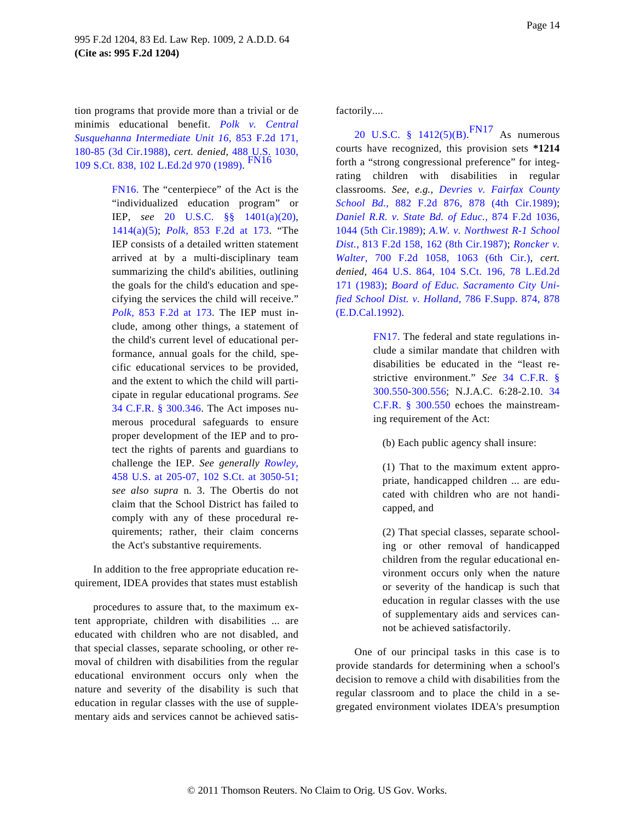<span id="page-13-3"></span><span id="page-13-1"></span>tion programs that provide more than a trivial or de minimis educational benefit. *[Polk v. Cent](http://www.westlaw.com/Find/Default.wl?rs=dfa1.0&vr=2.0&DB=350&FindType=Y&ReferencePositionType=S&SerialNum=1988096345&ReferencePosition=180)ral [Susquehanna Intermediate Unit 16](http://www.westlaw.com/Find/Default.wl?rs=dfa1.0&vr=2.0&DB=350&FindType=Y&ReferencePositionType=S&SerialNum=1988096345&ReferencePosition=180),* [853 F.2d 171](http://www.westlaw.com/Find/Default.wl?rs=dfa1.0&vr=2.0&DB=350&FindType=Y&ReferencePositionType=S&SerialNum=1988096345&ReferencePosition=180), [180-85 \(3d Cir.1988](http://www.westlaw.com/Find/Default.wl?rs=dfa1.0&vr=2.0&DB=350&FindType=Y&ReferencePositionType=S&SerialNum=1988096345&ReferencePosition=180)), *cert. denied,* [488 U.S. 1030,](http://www.westlaw.com/Find/Default.wl?rs=dfa1.0&vr=2.0&DB=708&FindType=Y&SerialNum=1989016880) [109 S.Ct. 838, 102 L.Ed.2d 970 \(1989\)](http://www.westlaw.com/Find/Default.wl?rs=dfa1.0&vr=2.0&DB=708&FindType=Y&SerialNum=1989016880). [FN16](#page-13-0)

> <span id="page-13-2"></span><span id="page-13-0"></span>[FN16.](#page-13-1) The "centerpiece" of the Act is the "individualized education program" or IEP, *see* [20 U.S.C. §§ 1401\(a](http://www.westlaw.com/Find/Default.wl?rs=dfa1.0&vr=2.0&DB=1000546&DocName=20USCAS1401&FindType=L))(20), [1414\(a\)\(5\)](http://www.westlaw.com/Find/Default.wl?rs=dfa1.0&vr=2.0&DB=1000546&DocName=20USCAS1414&FindType=L); *[Polk](http://www.westlaw.com/Find/Default.wl?rs=dfa1.0&vr=2.0&DB=350&FindType=Y&ReferencePositionType=S&SerialNum=1988096345&ReferencePosition=173),* [853 F.2d at 1](http://www.westlaw.com/Find/Default.wl?rs=dfa1.0&vr=2.0&DB=350&FindType=Y&ReferencePositionType=S&SerialNum=1988096345&ReferencePosition=173)73. "The IEP consists of a detailed written statement arrived at by a multi-disciplinary team summarizing the child's abilities, outlining the goals for the child's education and specifying the services the child will receive." *[Polk,](http://www.westlaw.com/Find/Default.wl?rs=dfa1.0&vr=2.0&DB=350&FindType=Y&ReferencePositionType=S&SerialNum=1988096345&ReferencePosition=173)* [853 F.2d at 1](http://www.westlaw.com/Find/Default.wl?rs=dfa1.0&vr=2.0&DB=350&FindType=Y&ReferencePositionType=S&SerialNum=1988096345&ReferencePosition=173)73. The IEP must include, among other things, a statement of the child's current level of educational performance, annual goals for the child, specific educational services to be provided, and the extent to which the child will participate in regular educational programs. *See* [34 C.F.R. § 300.346](http://www.westlaw.com/Find/Default.wl?rs=dfa1.0&vr=2.0&DB=1000547&DocName=34CFRS300.346&FindType=L). The Act imposes numerous procedural safeguards to ensure proper development of the IEP and to protect the rights of parents and guardians to challenge the IEP. *See generally [Rowley](http://www.westlaw.com/Find/Default.wl?rs=dfa1.0&vr=2.0&DB=708&FindType=Y&ReferencePositionType=S&SerialNum=1982129080&ReferencePosition=3050),* [458 U.S. at 205-07, 102 S.Ct. at 3050-5](http://www.westlaw.com/Find/Default.wl?rs=dfa1.0&vr=2.0&DB=708&FindType=Y&ReferencePositionType=S&SerialNum=1982129080&ReferencePosition=3050)1; *see also supra* n. 3. The Obertis do not claim that the School District has failed to comply with any of these procedural requirements; rather, their claim concerns the Act's substantive requirements.

In addition to the free appropriate education requirement, IDEA provides that states must establish

procedures to assure that, to the maximum extent appropriate, children with disabilities ... are educated with children who are not disabled, and that special classes, separate schooling, or other removal of children with disabilities from the regular educational environment occurs only when the nature and severity of the disability is such that education in regular classes with the use of supplementary aids and services cannot be achieved satis-

20 U.S.C.  $\S$  1412(5)(B). FN17 [As numer](#page-13-2)ous courts have recognized, this provision sets **\*1214** forth a "strong congressional preference" for integrating children with disabilities in regular classrooms. *See, e.g., [Devries v. Fairfax Coun](http://www.westlaw.com/Find/Default.wl?rs=dfa1.0&vr=2.0&DB=350&FindType=Y&ReferencePositionType=S&SerialNum=1989121271&ReferencePosition=878)ty [School Bd](http://www.westlaw.com/Find/Default.wl?rs=dfa1.0&vr=2.0&DB=350&FindType=Y&ReferencePositionType=S&SerialNum=1989121271&ReferencePosition=878).,* [882 F.2d 876, 878 \(4th Cir.](http://www.westlaw.com/Find/Default.wl?rs=dfa1.0&vr=2.0&DB=350&FindType=Y&ReferencePositionType=S&SerialNum=1989121271&ReferencePosition=878)1989); *[Daniel R.R. v. State Bd. of Edu](http://www.westlaw.com/Find/Default.wl?rs=dfa1.0&vr=2.0&DB=350&FindType=Y&ReferencePositionType=S&SerialNum=1989078426&ReferencePosition=1044)c.,* [874 F.2d 1036](http://www.westlaw.com/Find/Default.wl?rs=dfa1.0&vr=2.0&DB=350&FindType=Y&ReferencePositionType=S&SerialNum=1989078426&ReferencePosition=1044), [1044 \(5th Cir.1989](http://www.westlaw.com/Find/Default.wl?rs=dfa1.0&vr=2.0&DB=350&FindType=Y&ReferencePositionType=S&SerialNum=1989078426&ReferencePosition=1044)); *[A.W. v. Northwest R-1 Schoo](http://www.westlaw.com/Find/Default.wl?rs=dfa1.0&vr=2.0&DB=350&FindType=Y&ReferencePositionType=S&SerialNum=1987029159&ReferencePosition=162)l [Dist.,](http://www.westlaw.com/Find/Default.wl?rs=dfa1.0&vr=2.0&DB=350&FindType=Y&ReferencePositionType=S&SerialNum=1987029159&ReferencePosition=162)* [813 F.2d 158, 162 \(8th Cir.1987](http://www.westlaw.com/Find/Default.wl?rs=dfa1.0&vr=2.0&DB=350&FindType=Y&ReferencePositionType=S&SerialNum=1987029159&ReferencePosition=162)); *[Roncker v.](http://www.westlaw.com/Find/Default.wl?rs=dfa1.0&vr=2.0&DB=350&FindType=Y&ReferencePositionType=S&SerialNum=1983109640&ReferencePosition=1063) [Walter,](http://www.westlaw.com/Find/Default.wl?rs=dfa1.0&vr=2.0&DB=350&FindType=Y&ReferencePositionType=S&SerialNum=1983109640&ReferencePosition=1063)* [700 F.2d 1058, 1063 \(6th](http://www.westlaw.com/Find/Default.wl?rs=dfa1.0&vr=2.0&DB=350&FindType=Y&ReferencePositionType=S&SerialNum=1983109640&ReferencePosition=1063) Cir.), *cert. denied,* [464 U.S. 864, 104 S.Ct. 196, 78 L.Ed](http://www.westlaw.com/Find/Default.wl?rs=dfa1.0&vr=2.0&DB=708&FindType=Y&SerialNum=1983234875).2d [171 \(1983](http://www.westlaw.com/Find/Default.wl?rs=dfa1.0&vr=2.0&DB=708&FindType=Y&SerialNum=1983234875)); *[Board of Educ. Sacramento City Uni](http://www.westlaw.com/Find/Default.wl?rs=dfa1.0&vr=2.0&DB=345&FindType=Y&ReferencePositionType=S&SerialNum=1992058844&ReferencePosition=878)[fied School Dist. v. Holland](http://www.westlaw.com/Find/Default.wl?rs=dfa1.0&vr=2.0&DB=345&FindType=Y&ReferencePositionType=S&SerialNum=1992058844&ReferencePosition=878),* [786 F.Supp. 874, 878](http://www.westlaw.com/Find/Default.wl?rs=dfa1.0&vr=2.0&DB=345&FindType=Y&ReferencePositionType=S&SerialNum=1992058844&ReferencePosition=878) [\(E.D.Cal.1992\)](http://www.westlaw.com/Find/Default.wl?rs=dfa1.0&vr=2.0&DB=345&FindType=Y&ReferencePositionType=S&SerialNum=1992058844&ReferencePosition=878).

> [FN17.](#page-13-3) The federal and state regulations include a similar mandate that children with disabilities be educated in the "least restrictive environment." *See* [34 C.F.R.](http://www.westlaw.com/Find/Default.wl?rs=dfa1.0&vr=2.0&DB=1000547&DocName=34CFRS300.550&FindType=L) § [300.550](http://www.westlaw.com/Find/Default.wl?rs=dfa1.0&vr=2.0&DB=1000547&DocName=34CFRS300.550&FindType=L)[-300.556; N.J.A.C](http://www.westlaw.com/Find/Default.wl?rs=dfa1.0&vr=2.0&DB=1000547&DocName=34CFRS300.556&FindType=L). 6:28-2.10. [34](http://www.westlaw.com/Find/Default.wl?rs=dfa1.0&vr=2.0&DB=1000547&DocName=34CFRS300.550&FindType=L) [C.F.R. § 300.55](http://www.westlaw.com/Find/Default.wl?rs=dfa1.0&vr=2.0&DB=1000547&DocName=34CFRS300.550&FindType=L)0 echoes the mainstreaming requirement of the Act:

(b) Each public agency shall insure:

(1) That to the maximum extent appropriate, handicapped children ... are educated with children who are not handicapped, and

(2) That special classes, separate schooling or other removal of handicapped children from the regular educational environment occurs only when the nature or severity of the handicap is such that education in regular classes with the use of supplementary aids and services cannot be achieved satisfactorily.

One of our principal tasks in this case is to provide standards for determining when a school's decision to remove a child with disabilities from the regular classroom and to place the child in a segregated environment violates IDEA's presumption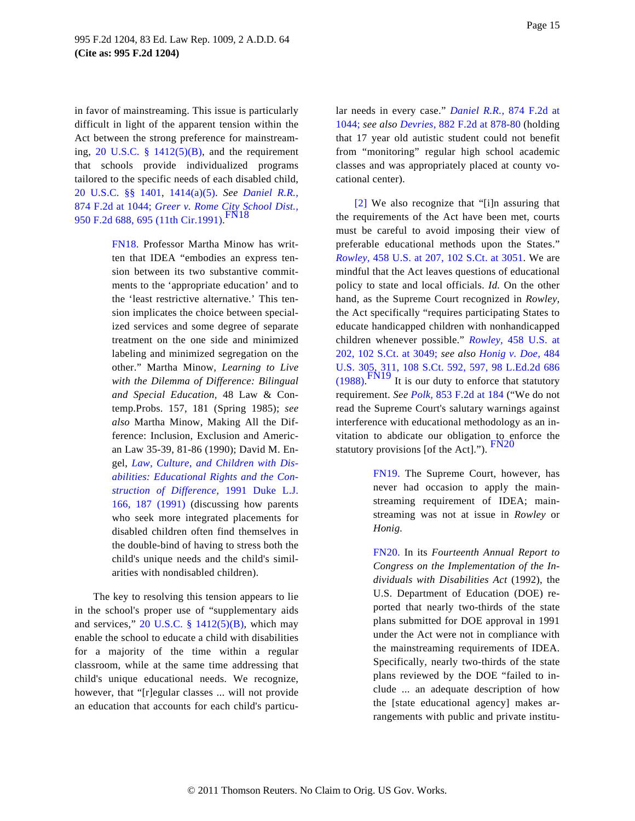in favor of mainstreaming. This issue is particularly difficult in light of the apparent tension within the Act between the strong preference for mainstreaming,  $20 \text{ U.S.C. }$  §  $1412(5)(B)$ , and the requirement that schools provide individualized programs tailored to the specific needs of each disabled child, [20 U.S.C. §§ 140](http://www.westlaw.com/Find/Default.wl?rs=dfa1.0&vr=2.0&DB=1000546&DocName=20USCAS1401&FindType=L)1, [1414\(a\)\(5\)](http://www.westlaw.com/Find/Default.wl?rs=dfa1.0&vr=2.0&DB=1000546&DocName=20USCAS1414&FindType=L). *See [Daniel R.R.](http://www.westlaw.com/Find/Default.wl?rs=dfa1.0&vr=2.0&DB=350&FindType=Y&ReferencePositionType=S&SerialNum=1989078426&ReferencePosition=1044),* [874 F.2d at 1044](http://www.westlaw.com/Find/Default.wl?rs=dfa1.0&vr=2.0&DB=350&FindType=Y&ReferencePositionType=S&SerialNum=1989078426&ReferencePosition=1044); *[Greer v. Rome City School Dist.](http://www.westlaw.com/Find/Default.wl?rs=dfa1.0&vr=2.0&DB=350&FindType=Y&ReferencePositionType=S&SerialNum=1991207821&ReferencePosition=695),* [950 F.2d 688, 695 \(11th Cir.1991\)](http://www.westlaw.com/Find/Default.wl?rs=dfa1.0&vr=2.0&DB=350&FindType=Y&ReferencePositionType=S&SerialNum=1991207821&ReferencePosition=695). [FN18](#page-14-1)

> <span id="page-14-5"></span><span id="page-14-2"></span><span id="page-14-1"></span><span id="page-14-0"></span>[FN18.](#page-14-2) Professor Martha Minow has written that IDEA "embodies an express tension between its two substantive commitments to the 'appropriate education' and to the 'least restrictive alternative.' This tension implicates the choice between specialized services and some degree of separate treatment on the one side and minimized labeling and minimized segregation on the other." Martha Minow, *Learning to Live with the Dilemma of Difference: Bilingual and Special Education,* 48 Law & Contemp.Probs. 157, 181 (Spring 1985); *see also* Martha Minow, Making All the Difference: Inclusion, Exclusion and American Law 35-39, 81-86 (1990); David M. Engel, *[Law, Culture, and Children with Dis](http://www.westlaw.com/Find/Default.wl?rs=dfa1.0&vr=2.0&DB=1133&FindType=Y&ReferencePositionType=S&SerialNum=0100997733&ReferencePosition=187)[abilities: Educational Rights and the Con](http://www.westlaw.com/Find/Default.wl?rs=dfa1.0&vr=2.0&DB=1133&FindType=Y&ReferencePositionType=S&SerialNum=0100997733&ReferencePosition=187)[struction of Differenc](http://www.westlaw.com/Find/Default.wl?rs=dfa1.0&vr=2.0&DB=1133&FindType=Y&ReferencePositionType=S&SerialNum=0100997733&ReferencePosition=187)e,* [1991 Duke L](http://www.westlaw.com/Find/Default.wl?rs=dfa1.0&vr=2.0&DB=1133&FindType=Y&ReferencePositionType=S&SerialNum=0100997733&ReferencePosition=187).J. [166, 187 \(1991](http://www.westlaw.com/Find/Default.wl?rs=dfa1.0&vr=2.0&DB=1133&FindType=Y&ReferencePositionType=S&SerialNum=0100997733&ReferencePosition=187)) (discussing how parents who seek more integrated placements for disabled children often find themselves in the double-bind of having to stress both the child's unique needs and the child's similarities with nondisabled children).

<span id="page-14-6"></span><span id="page-14-4"></span><span id="page-14-3"></span>The key to resolving this tension appears to lie in the school's proper use of "supplementary aids and services," 20 U.S.C. §  $1412(5)(B)$ , which may enable the school to educate a child with disabilities for a majority of the time within a regular classroom, while at the same time addressing that child's unique educational needs. We recognize, however, that "[r]egular classes ... will not provide an education that accounts for each child's particular needs in every case." *[Daniel R.R.](http://www.westlaw.com/Find/Default.wl?rs=dfa1.0&vr=2.0&DB=350&FindType=Y&ReferencePositionType=S&SerialNum=1989078426&ReferencePosition=1044),* [874 F.2d a](http://www.westlaw.com/Find/Default.wl?rs=dfa1.0&vr=2.0&DB=350&FindType=Y&ReferencePositionType=S&SerialNum=1989078426&ReferencePosition=1044)t [1044;](http://www.westlaw.com/Find/Default.wl?rs=dfa1.0&vr=2.0&DB=350&FindType=Y&ReferencePositionType=S&SerialNum=1989078426&ReferencePosition=1044) *see also [Devries](http://www.westlaw.com/Find/Default.wl?rs=dfa1.0&vr=2.0&DB=350&FindType=Y&ReferencePositionType=S&SerialNum=1989121271&ReferencePosition=878),* [882 F.2d at 878-80](http://www.westlaw.com/Find/Default.wl?rs=dfa1.0&vr=2.0&DB=350&FindType=Y&ReferencePositionType=S&SerialNum=1989121271&ReferencePosition=878) (holding that 17 year old autistic student could not benefit from "monitoring" regular high school academic classes and was appropriately placed at county vocational center).

[\[2\]](#page-0-1) We also recognize that "[i]n assuring that the requirements of the Act have been met, courts must be careful to avoid imposing their view of preferable educational methods upon the States." *[Rowley,](http://www.westlaw.com/Find/Default.wl?rs=dfa1.0&vr=2.0&DB=708&FindType=Y&ReferencePositionType=S&SerialNum=1982129080&ReferencePosition=3051)* [458 U.S. at 207, 102 S.Ct. at 305](http://www.westlaw.com/Find/Default.wl?rs=dfa1.0&vr=2.0&DB=708&FindType=Y&ReferencePositionType=S&SerialNum=1982129080&ReferencePosition=3051)1. We are mindful that the Act leaves questions of educational policy to state and local officials. *Id.* On the other hand, as the Supreme Court recognized in *Rowley,* the Act specifically "requires participating States to educate handicapped children with nonhandicapped children whenever possible." *[Rowley,](http://www.westlaw.com/Find/Default.wl?rs=dfa1.0&vr=2.0&DB=708&FindType=Y&ReferencePositionType=S&SerialNum=1982129080&ReferencePosition=3049)* [458 U.S. a](http://www.westlaw.com/Find/Default.wl?rs=dfa1.0&vr=2.0&DB=708&FindType=Y&ReferencePositionType=S&SerialNum=1982129080&ReferencePosition=3049)t [202, 102 S.Ct. at 3049](http://www.westlaw.com/Find/Default.wl?rs=dfa1.0&vr=2.0&DB=708&FindType=Y&ReferencePositionType=S&SerialNum=1982129080&ReferencePosition=3049); *see also [Honig v. Doe,](http://www.westlaw.com/Find/Default.wl?rs=dfa1.0&vr=2.0&DB=708&FindType=Y&ReferencePositionType=S&SerialNum=1988010760&ReferencePosition=597)* 484 [U.S. 305, 311, 108 S.Ct. 592, 597, 98 L.Ed.2d 68](http://www.westlaw.com/Find/Default.wl?rs=dfa1.0&vr=2.0&DB=708&FindType=Y&ReferencePositionType=S&SerialNum=1988010760&ReferencePosition=597)6  $(1988)$ . FN19 [It is ou](#page-14-3)r duty to enforce that statutory requirement. *See [Polk](http://www.westlaw.com/Find/Default.wl?rs=dfa1.0&vr=2.0&DB=350&FindType=Y&ReferencePositionType=S&SerialNum=1988096345&ReferencePosition=184),* [853 F.2d at 184](http://www.westlaw.com/Find/Default.wl?rs=dfa1.0&vr=2.0&DB=350&FindType=Y&ReferencePositionType=S&SerialNum=1988096345&ReferencePosition=184) ("We do not read the Supreme Court's salutary warnings against interference with educational methodology as an invitation to abdicate our obligation to enforce the statutory provisions [of the Act]."). [FN20](#page-14-4)

> [FN19.](#page-14-5) The Supreme Court, however, has never had occasion to apply the mainstreaming requirement of IDEA; mainstreaming was not at issue in *Rowley* or *Honig.*

> [FN20.](#page-14-6) In its *Fourteenth Annual Report to Congress on the Implementation of the Individuals with Disabilities Act* (1992), the U.S. Department of Education (DOE) reported that nearly two-thirds of the state plans submitted for DOE approval in 1991 under the Act were not in compliance with the mainstreaming requirements of IDEA. Specifically, nearly two-thirds of the state plans reviewed by the DOE "failed to include ... an adequate description of how the [state educational agency] makes arrangements with public and private institu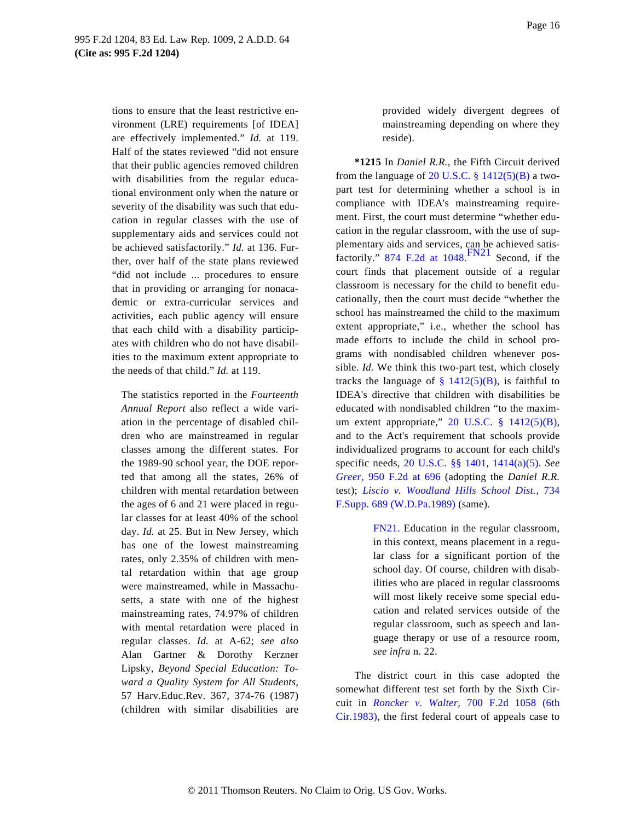<span id="page-15-1"></span>tions to ensure that the least restrictive environment (LRE) requirements [of IDEA] are effectively implemented." *Id.* at 119. Half of the states reviewed "did not ensure that their public agencies removed children with disabilities from the regular educational environment only when the nature or severity of the disability was such that education in regular classes with the use of supplementary aids and services could not be achieved satisfactorily." *Id.* at 136. Further, over half of the state plans reviewed "did not include ... procedures to ensure that in providing or arranging for nonacademic or extra-curricular services and activities, each public agency will ensure that each child with a disability participates with children who do not have disabilities to the maximum extent appropriate to the needs of that child." *Id.* at 119.

<span id="page-15-0"></span>The statistics reported in the *Fourteenth Annual Report* also reflect a wide variation in the percentage of disabled children who are mainstreamed in regular classes among the different states. For the 1989-90 school year, the DOE reported that among all the states, 26% of children with mental retardation between the ages of 6 and 21 were placed in regular classes for at least 40% of the school day. *Id.* at 25. But in New Jersey, which has one of the lowest mainstreaming rates, only 2.35% of children with mental retardation within that age group were mainstreamed, while in Massachusetts, a state with one of the highest mainstreaming rates, 74.97% of children with mental retardation were placed in regular classes. *Id.* at A-62; *see also* Alan Gartner & Dorothy Kerzner Lipsky, *Beyond Special Education: Toward a Quality System for All Students,* 57 Harv.Educ.Rev. 367, 374-76 (1987) (children with similar disabilities are

provided widely divergent degrees of mainstreaming depending on where they reside).

**\*1215** In *Daniel R.R.,* the Fifth Circuit derived from the language of 20 U.S.C.  $\S$  1412(5)(B) a twopart test for determining whether a school is in compliance with IDEA's mainstreaming requirement. First, the court must determine "whether education in the regular classroom, with the use of supplementary aids and services, can be achieved satisfactorily." 874 F.2d at  $1048$   $\frac{FN21}{FN21}$  [Seco](#page-15-0)nd, if the court finds that placement outside of a regular classroom is necessary for the child to benefit educationally, then the court must decide "whether the school has mainstreamed the child to the maximum extent appropriate," i.e., whether the school has made efforts to include the child in school programs with nondisabled children whenever possible. *Id.* We think this two-part test, which closely tracks the language of  $\S$  1412(5)(B), is faithful to IDEA's directive that children with disabilities be educated with nondisabled children "to the maximum extent appropriate," [20 U.S.C. § 1412\(5\)\(](http://www.westlaw.com/Find/Default.wl?rs=dfa1.0&vr=2.0&DB=1000546&DocName=20USCAS1412&FindType=L)B), and to the Act's requirement that schools provide individualized programs to account for each child's specific needs, [20 U.S.C. §§ 1401](http://www.westlaw.com/Find/Default.wl?rs=dfa1.0&vr=2.0&DB=1000546&DocName=20USCAS1401&FindType=L), [1414\(a\)\(5\)](http://www.westlaw.com/Find/Default.wl?rs=dfa1.0&vr=2.0&DB=1000546&DocName=20USCAS1414&FindType=L). *See [Greer,](http://www.westlaw.com/Find/Default.wl?rs=dfa1.0&vr=2.0&DB=350&FindType=Y&ReferencePositionType=S&SerialNum=1991207821&ReferencePosition=696)* [950 F.2d at 69](http://www.westlaw.com/Find/Default.wl?rs=dfa1.0&vr=2.0&DB=350&FindType=Y&ReferencePositionType=S&SerialNum=1991207821&ReferencePosition=696)6 (adopting the *Daniel R.R.* test); *[Liscio v. Woodland Hills School Dist.,](http://www.westlaw.com/Find/Default.wl?rs=dfa1.0&vr=2.0&DB=345&FindType=Y&SerialNum=1990062727)* 734 [F.Supp. 689 \(W.D.Pa.1989\)](http://www.westlaw.com/Find/Default.wl?rs=dfa1.0&vr=2.0&DB=345&FindType=Y&SerialNum=1990062727) (same).

> [FN21.](#page-15-1) Education in the regular classroom, in this context, means placement in a regular class for a significant portion of the school day. Of course, children with disabilities who are placed in regular classrooms will most likely receive some special education and related services outside of the regular classroom, such as speech and language therapy or use of a resource room, *see infra* n. 22.

The district court in this case adopted the somewhat different test set forth by the Sixth Circuit in *[Roncker v. Walte](http://www.westlaw.com/Find/Default.wl?rs=dfa1.0&vr=2.0&DB=350&FindType=Y&SerialNum=1983109640)r,* [700 F.2d 1058 \(](http://www.westlaw.com/Find/Default.wl?rs=dfa1.0&vr=2.0&DB=350&FindType=Y&SerialNum=1983109640)6th [Cir.1983\),](http://www.westlaw.com/Find/Default.wl?rs=dfa1.0&vr=2.0&DB=350&FindType=Y&SerialNum=1983109640) the first federal court of appeals case to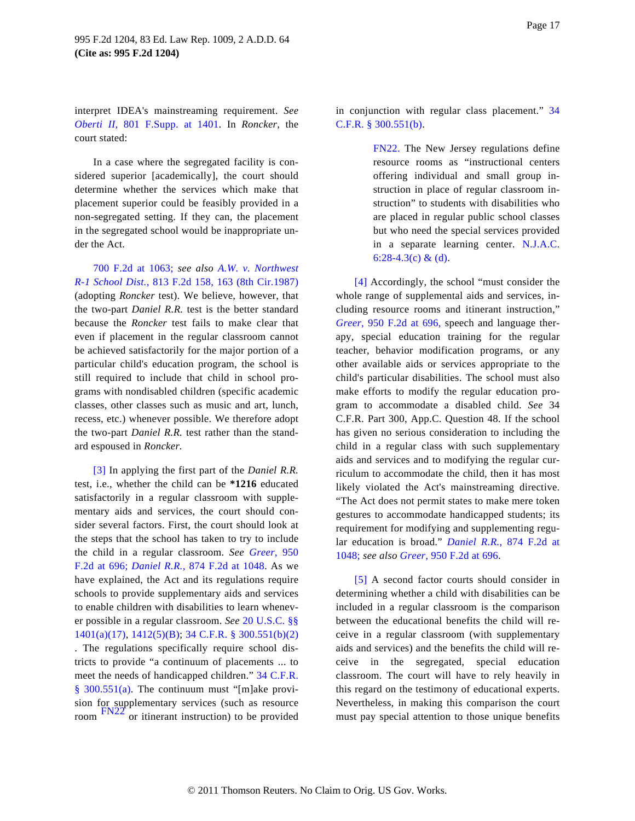interpret IDEA's mainstreaming requirement. *See [Oberti II](http://www.westlaw.com/Find/Default.wl?rs=dfa1.0&vr=2.0&DB=345&FindType=Y&ReferencePositionType=S&SerialNum=1992151684&ReferencePosition=1401),* [801 F.Supp. at 14](http://www.westlaw.com/Find/Default.wl?rs=dfa1.0&vr=2.0&DB=345&FindType=Y&ReferencePositionType=S&SerialNum=1992151684&ReferencePosition=1401)01. In *Roncker,* the court stated:

<span id="page-16-3"></span>In a case where the segregated facility is considered superior [academically], the court should determine whether the services which make that placement superior could be feasibly provided in a non-segregated setting. If they can, the placement in the segregated school would be inappropriate under the Act.

<span id="page-16-1"></span>[700 F.2d at 1063](http://www.westlaw.com/Find/Default.wl?rs=dfa1.0&vr=2.0&DB=350&FindType=Y&ReferencePositionType=S&SerialNum=1983109640&ReferencePosition=1063); *see also [A.W. v. Northwes](http://www.westlaw.com/Find/Default.wl?rs=dfa1.0&vr=2.0&DB=350&FindType=Y&ReferencePositionType=S&SerialNum=1987029159&ReferencePosition=163)t [R-1 School Dist.](http://www.westlaw.com/Find/Default.wl?rs=dfa1.0&vr=2.0&DB=350&FindType=Y&ReferencePositionType=S&SerialNum=1987029159&ReferencePosition=163),* [813 F.2d 158, 163 \(8th Cir.1987](http://www.westlaw.com/Find/Default.wl?rs=dfa1.0&vr=2.0&DB=350&FindType=Y&ReferencePositionType=S&SerialNum=1987029159&ReferencePosition=163)) (adopting *Roncker* test). We believe, however, that the two-part *Daniel R.R.* test is the better standard because the *Roncker* test fails to make clear that even if placement in the regular classroom cannot be achieved satisfactorily for the major portion of a particular child's education program, the school is still required to include that child in school programs with nondisabled children (specific academic classes, other classes such as music and art, lunch, recess, etc.) whenever possible. We therefore adopt the two-part *Daniel R.R.* test rather than the standard espoused in *Roncker.*

<span id="page-16-4"></span><span id="page-16-2"></span><span id="page-16-0"></span>[\[3\]](#page-1-0) In applying the first part of the *Daniel R.R.* test, i.e., whether the child can be **\*1216** educated satisfactorily in a regular classroom with supplementary aids and services, the court should consider several factors. First, the court should look at the steps that the school has taken to try to include the child in a regular classroom. *See [Greer,](http://www.westlaw.com/Find/Default.wl?rs=dfa1.0&vr=2.0&DB=350&FindType=Y&ReferencePositionType=S&SerialNum=1991207821&ReferencePosition=696)* 950 [F.2d at 696](http://www.westlaw.com/Find/Default.wl?rs=dfa1.0&vr=2.0&DB=350&FindType=Y&ReferencePositionType=S&SerialNum=1991207821&ReferencePosition=696); *[Daniel R.R.](http://www.westlaw.com/Find/Default.wl?rs=dfa1.0&vr=2.0&DB=350&FindType=Y&ReferencePositionType=S&SerialNum=1989078426&ReferencePosition=1048),* [874 F.2d at 104](http://www.westlaw.com/Find/Default.wl?rs=dfa1.0&vr=2.0&DB=350&FindType=Y&ReferencePositionType=S&SerialNum=1989078426&ReferencePosition=1048)8. As we have explained, the Act and its regulations require schools to provide supplementary aids and services to enable children with disabilities to learn whenever possible in a regular classroom. *See* [20 U.S.C. §§](http://www.westlaw.com/Find/Default.wl?rs=dfa1.0&vr=2.0&DB=1000546&DocName=20USCAS1401&FindType=L) [1401\(a\)\(17\)](http://www.westlaw.com/Find/Default.wl?rs=dfa1.0&vr=2.0&DB=1000546&DocName=20USCAS1401&FindType=L), [1412\(5\)\(B\)](http://www.westlaw.com/Find/Default.wl?rs=dfa1.0&vr=2.0&DB=1000546&DocName=20USCAS1412&FindType=L); [34 C.F.R. § 300.551\(b\)\(2\)](http://www.westlaw.com/Find/Default.wl?rs=dfa1.0&vr=2.0&DB=1000547&DocName=34CFRS300.551&FindType=L) . The regulations specifically require school districts to provide "a continuum of placements ... to meet the needs of handicapped children." [34 C.F.R.](http://www.westlaw.com/Find/Default.wl?rs=dfa1.0&vr=2.0&DB=1000547&DocName=34CFRS300.551&FindType=L) [§ 300.551\(a](http://www.westlaw.com/Find/Default.wl?rs=dfa1.0&vr=2.0&DB=1000547&DocName=34CFRS300.551&FindType=L)). The continuum must "[m]ake provision for supplementary services (such as resource [FN22](#page-16-3)<sup>F</sup> or itinerant instruction) to be provided

in conjunction with regular class placement." [34](http://www.westlaw.com/Find/Default.wl?rs=dfa1.0&vr=2.0&DB=1000547&DocName=34CFRS300.551&FindType=L) [C.F.R. § 300.551\(b\)](http://www.westlaw.com/Find/Default.wl?rs=dfa1.0&vr=2.0&DB=1000547&DocName=34CFRS300.551&FindType=L).

> [FN22.](#page-16-4) The New Jersey regulations define resource rooms as "instructional centers offering individual and small group instruction in place of regular classroom instruction" to students with disabilities who are placed in regular public school classes but who need the special services provided in a separate learning center. [N.J.A.C.](http://www.westlaw.com/Find/Default.wl?rs=dfa1.0&vr=2.0&DB=1012299&DocName=NJADC6%3A28-4.3&FindType=L) [6:28-4.3\(c\) & \(d\)](http://www.westlaw.com/Find/Default.wl?rs=dfa1.0&vr=2.0&DB=1012299&DocName=NJADC6%3A28-4.3&FindType=L).

[\[4\]](#page-1-1) Accordingly, the school "must consider the whole range of supplemental aids and services, including resource rooms and itinerant instruction," *[Greer,](http://www.westlaw.com/Find/Default.wl?rs=dfa1.0&vr=2.0&DB=350&FindType=Y&ReferencePositionType=S&SerialNum=1991207821&ReferencePosition=696)* [950 F.2d at 696](http://www.westlaw.com/Find/Default.wl?rs=dfa1.0&vr=2.0&DB=350&FindType=Y&ReferencePositionType=S&SerialNum=1991207821&ReferencePosition=696), speech and language therapy, special education training for the regular teacher, behavior modification programs, or any other available aids or services appropriate to the child's particular disabilities. The school must also make efforts to modify the regular education program to accommodate a disabled child. *See* 34 C.F.R. Part 300, App.C. Question 48. If the school has given no serious consideration to including the child in a regular class with such supplementary aids and services and to modifying the regular curriculum to accommodate the child, then it has most likely violated the Act's mainstreaming directive. "The Act does not permit states to make mere token gestures to accommodate handicapped students; its requirement for modifying and supplementing regular education is broad." *[Daniel R.R.](http://www.westlaw.com/Find/Default.wl?rs=dfa1.0&vr=2.0&DB=350&FindType=Y&ReferencePositionType=S&SerialNum=1989078426&ReferencePosition=1048),* [874 F.2d a](http://www.westlaw.com/Find/Default.wl?rs=dfa1.0&vr=2.0&DB=350&FindType=Y&ReferencePositionType=S&SerialNum=1989078426&ReferencePosition=1048)t [1048;](http://www.westlaw.com/Find/Default.wl?rs=dfa1.0&vr=2.0&DB=350&FindType=Y&ReferencePositionType=S&SerialNum=1989078426&ReferencePosition=1048) *see also [Greer](http://www.westlaw.com/Find/Default.wl?rs=dfa1.0&vr=2.0&DB=350&FindType=Y&ReferencePositionType=S&SerialNum=1991207821&ReferencePosition=696),* [950 F.2d at 696](http://www.westlaw.com/Find/Default.wl?rs=dfa1.0&vr=2.0&DB=350&FindType=Y&ReferencePositionType=S&SerialNum=1991207821&ReferencePosition=696).

[\[5\]](#page-1-2) A second factor courts should consider in determining whether a child with disabilities can be included in a regular classroom is the comparison between the educational benefits the child will receive in a regular classroom (with supplementary aids and services) and the benefits the child will receive in the segregated, special education classroom. The court will have to rely heavily in this regard on the testimony of educational experts. Nevertheless, in making this comparison the court must pay special attention to those unique benefits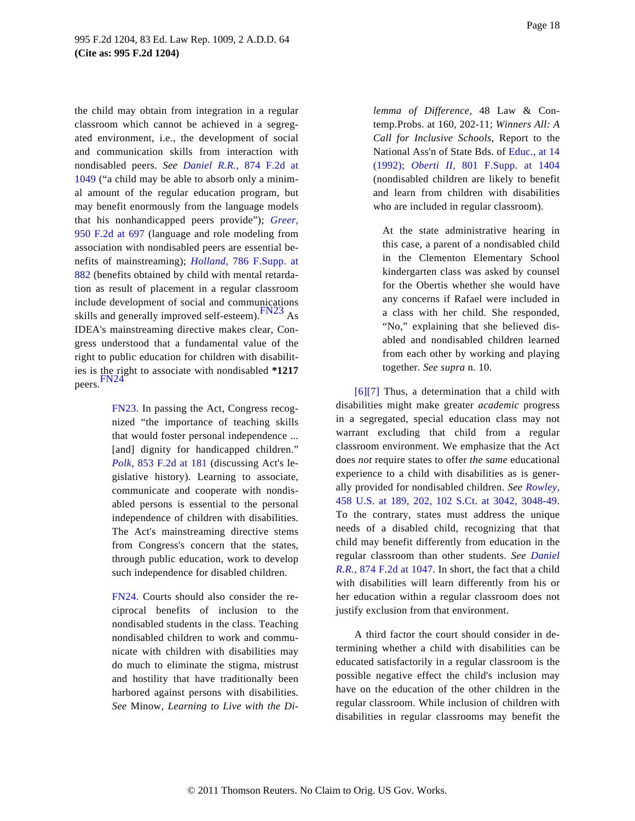the child may obtain from integration in a regular classroom which cannot be achieved in a segregated environment, i.e., the development of social and communication skills from interaction with nondisabled peers. *See [Daniel R.R](http://www.westlaw.com/Find/Default.wl?rs=dfa1.0&vr=2.0&DB=350&FindType=Y&ReferencePositionType=S&SerialNum=1989078426&ReferencePosition=1049).,* [874 F.2d](http://www.westlaw.com/Find/Default.wl?rs=dfa1.0&vr=2.0&DB=350&FindType=Y&ReferencePositionType=S&SerialNum=1989078426&ReferencePosition=1049) at [1049](http://www.westlaw.com/Find/Default.wl?rs=dfa1.0&vr=2.0&DB=350&FindType=Y&ReferencePositionType=S&SerialNum=1989078426&ReferencePosition=1049) ("a child may be able to absorb only a minimal amount of the regular education program, but may benefit enormously from the language models that his nonhandicapped peers provide"); *[Greer](http://www.westlaw.com/Find/Default.wl?rs=dfa1.0&vr=2.0&DB=350&FindType=Y&ReferencePositionType=S&SerialNum=1991207821&ReferencePosition=697),* [950 F.2d at 69](http://www.westlaw.com/Find/Default.wl?rs=dfa1.0&vr=2.0&DB=350&FindType=Y&ReferencePositionType=S&SerialNum=1991207821&ReferencePosition=697)7 (language and role modeling from association with nondisabled peers are essential benefits of mainstreaming); *[Holland,](http://www.westlaw.com/Find/Default.wl?rs=dfa1.0&vr=2.0&DB=345&FindType=Y&ReferencePositionType=S&SerialNum=1992058844&ReferencePosition=882)* [786 F.Supp. a](http://www.westlaw.com/Find/Default.wl?rs=dfa1.0&vr=2.0&DB=345&FindType=Y&ReferencePositionType=S&SerialNum=1992058844&ReferencePosition=882)t [882](http://www.westlaw.com/Find/Default.wl?rs=dfa1.0&vr=2.0&DB=345&FindType=Y&ReferencePositionType=S&SerialNum=1992058844&ReferencePosition=882) (benefits obtained by child with mental retardation as result of placement in a regular classroom include development of social and communications skills and generally improved [self-esteem\).](#page-17-1)  $\frac{FN23}{}$  As IDEA's mainstreaming directive makes clear, Congress understood that a fundamental value of the right to public education for children with disabilities is the right to associate with nondisabled **\*1217** [peers.](#page-17-2) FN24

> <span id="page-17-4"></span><span id="page-17-3"></span><span id="page-17-1"></span><span id="page-17-0"></span>[FN23.](#page-17-3) In passing the Act, Congress recognized "the importance of teaching skills that would foster personal independence ... [and] dignity for handicapped children." *[Polk,](http://www.westlaw.com/Find/Default.wl?rs=dfa1.0&vr=2.0&DB=350&FindType=Y&ReferencePositionType=S&SerialNum=1988096345&ReferencePosition=181)* [853 F.2d at 18](http://www.westlaw.com/Find/Default.wl?rs=dfa1.0&vr=2.0&DB=350&FindType=Y&ReferencePositionType=S&SerialNum=1988096345&ReferencePosition=181)1 (discussing Act's legislative history). Learning to associate, communicate and cooperate with nondisabled persons is essential to the personal independence of children with disabilities. The Act's mainstreaming directive stems from Congress's concern that the states, through public education, work to develop such independence for disabled children.

> <span id="page-17-2"></span>[FN24.](#page-17-4) Courts should also consider the reciprocal benefits of inclusion to the nondisabled students in the class. Teaching nondisabled children to work and communicate with children with disabilities may do much to eliminate the stigma, mistrust and hostility that have traditionally been harbored against persons with disabilities. *See* Minow, *Learning to Live with the Di-*

*lemma of Difference,* 48 Law & Contemp.Probs. at 160, 202-11; *Winners All: A Call for Inclusive Schools,* Report to the National Ass'n of State Bds. of [Educ., at 14](http://www.westlaw.com/Find/Default.wl?rs=dfa1.0&vr=2.0&DB=345&FindType=Y&ReferencePositionType=S&SerialNum=1992151684&ReferencePosition=1404) [\(1992\);](http://www.westlaw.com/Find/Default.wl?rs=dfa1.0&vr=2.0&DB=345&FindType=Y&ReferencePositionType=S&SerialNum=1992151684&ReferencePosition=1404) *[Oberti I](http://www.westlaw.com/Find/Default.wl?rs=dfa1.0&vr=2.0&DB=345&FindType=Y&ReferencePositionType=S&SerialNum=1992151684&ReferencePosition=1404)I,* [801 F.Supp. at 1](http://www.westlaw.com/Find/Default.wl?rs=dfa1.0&vr=2.0&DB=345&FindType=Y&ReferencePositionType=S&SerialNum=1992151684&ReferencePosition=1404)404 (nondisabled children are likely to benefit and learn from children with disabilities who are included in regular classroom).

At the state administrative hearing in this case, a parent of a nondisabled child in the Clementon Elementary School kindergarten class was asked by counsel for the Obertis whether she would have any concerns if Rafael were included in a class with her child. She responded, "No," explaining that she believed disabled and nondisabled children learned from each other by working and playing together. *See supra* n. 10.

[\[6\]](#page-1-3)[\[7\]](#page-2-0) Thus, a determination that a child with disabilities might make greater *academic* progress in a segregated, special education class may not warrant excluding that child from a regular classroom environment. We emphasize that the Act does *not* require states to offer *the same* educational experience to a child with disabilities as is generally provided for nondisabled children. *See [Rowley](http://www.westlaw.com/Find/Default.wl?rs=dfa1.0&vr=2.0&DB=708&FindType=Y&ReferencePositionType=S&SerialNum=1982129080&ReferencePosition=3042),* [458 U.S. at 189, 202, 102 S.Ct. at 3042, 3048-](http://www.westlaw.com/Find/Default.wl?rs=dfa1.0&vr=2.0&DB=708&FindType=Y&ReferencePositionType=S&SerialNum=1982129080&ReferencePosition=3042)49. To the contrary, states must address the unique needs of a disabled child, recognizing that that child may benefit differently from education in the regular classroom than other students. *See [Daniel](http://www.westlaw.com/Find/Default.wl?rs=dfa1.0&vr=2.0&DB=350&FindType=Y&ReferencePositionType=S&SerialNum=1989078426&ReferencePosition=1047) [R.R.,](http://www.westlaw.com/Find/Default.wl?rs=dfa1.0&vr=2.0&DB=350&FindType=Y&ReferencePositionType=S&SerialNum=1989078426&ReferencePosition=1047)* [874 F.2d at 1047](http://www.westlaw.com/Find/Default.wl?rs=dfa1.0&vr=2.0&DB=350&FindType=Y&ReferencePositionType=S&SerialNum=1989078426&ReferencePosition=1047). In short, the fact that a child with disabilities will learn differently from his or her education within a regular classroom does not justify exclusion from that environment.

A third factor the court should consider in determining whether a child with disabilities can be educated satisfactorily in a regular classroom is the possible negative effect the child's inclusion may have on the education of the other children in the regular classroom. While inclusion of children with disabilities in regular classrooms may benefit the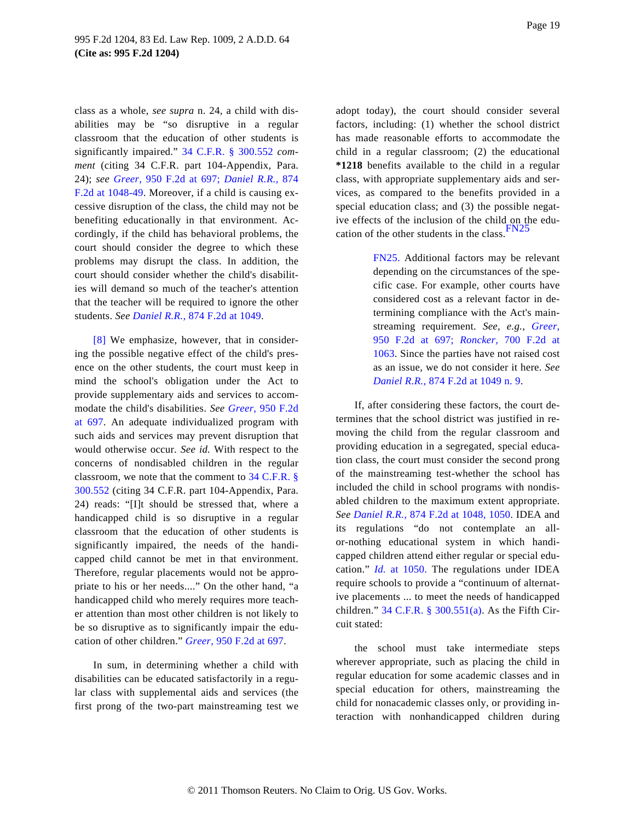class as a whole, *see supra* n. 24, a child with disabilities may be "so disruptive in a regular classroom that the education of other students is significantly impaired." [34 C.F.R. § 300.55](http://www.westlaw.com/Find/Default.wl?rs=dfa1.0&vr=2.0&DB=1000547&DocName=34CFRS300.552&FindType=L)2 *comment* (citing 34 C.F.R. part 104-Appendix, Para. 24); *see [Greer](http://www.westlaw.com/Find/Default.wl?rs=dfa1.0&vr=2.0&DB=350&FindType=Y&ReferencePositionType=S&SerialNum=1991207821&ReferencePosition=697),* [950 F.2d at 697](http://www.westlaw.com/Find/Default.wl?rs=dfa1.0&vr=2.0&DB=350&FindType=Y&ReferencePositionType=S&SerialNum=1991207821&ReferencePosition=697); *[Daniel R.R.,](http://www.westlaw.com/Find/Default.wl?rs=dfa1.0&vr=2.0&DB=350&FindType=Y&ReferencePositionType=S&SerialNum=1989078426&ReferencePosition=1048)* 874 [F.2d at 1048-49](http://www.westlaw.com/Find/Default.wl?rs=dfa1.0&vr=2.0&DB=350&FindType=Y&ReferencePositionType=S&SerialNum=1989078426&ReferencePosition=1048). Moreover, if a child is causing excessive disruption of the class, the child may not be benefiting educationally in that environment. Accordingly, if the child has behavioral problems, the court should consider the degree to which these problems may disrupt the class. In addition, the court should consider whether the child's disabilities will demand so much of the teacher's attention that the teacher will be required to ignore the other students. *See [Daniel R.R.,](http://www.westlaw.com/Find/Default.wl?rs=dfa1.0&vr=2.0&DB=350&FindType=Y&ReferencePositionType=S&SerialNum=1989078426&ReferencePosition=1049)* [874 F.2d at 1049](http://www.westlaw.com/Find/Default.wl?rs=dfa1.0&vr=2.0&DB=350&FindType=Y&ReferencePositionType=S&SerialNum=1989078426&ReferencePosition=1049).

<span id="page-18-2"></span><span id="page-18-1"></span><span id="page-18-0"></span>[\[8\]](#page-2-1) We emphasize, however, that in considering the possible negative effect of the child's presence on the other students, the court must keep in mind the school's obligation under the Act to provide supplementary aids and services to accommodate the child's disabilities. *See [Greer,](http://www.westlaw.com/Find/Default.wl?rs=dfa1.0&vr=2.0&DB=350&FindType=Y&ReferencePositionType=S&SerialNum=1991207821&ReferencePosition=697)* [950 F.2d](http://www.westlaw.com/Find/Default.wl?rs=dfa1.0&vr=2.0&DB=350&FindType=Y&ReferencePositionType=S&SerialNum=1991207821&ReferencePosition=697) [at 697](http://www.westlaw.com/Find/Default.wl?rs=dfa1.0&vr=2.0&DB=350&FindType=Y&ReferencePositionType=S&SerialNum=1991207821&ReferencePosition=697). An adequate individualized program with such aids and services may prevent disruption that would otherwise occur. *See id.* With respect to the concerns of nondisabled children in the regular classroom, we note that the comment to [34 C.F.R. §](http://www.westlaw.com/Find/Default.wl?rs=dfa1.0&vr=2.0&DB=1000547&DocName=34CFRS300.552&FindType=L) [300.552](http://www.westlaw.com/Find/Default.wl?rs=dfa1.0&vr=2.0&DB=1000547&DocName=34CFRS300.552&FindType=L) (citing 34 C.F.R. part 104-Appendix, Para. 24) reads: "[I]t should be stressed that, where a handicapped child is so disruptive in a regular classroom that the education of other students is significantly impaired, the needs of the handicapped child cannot be met in that environment. Therefore, regular placements would not be appropriate to his or her needs...." On the other hand, "a handicapped child who merely requires more teacher attention than most other children is not likely to be so disruptive as to significantly impair the education of other children." *[Greer](http://www.westlaw.com/Find/Default.wl?rs=dfa1.0&vr=2.0&DB=350&FindType=Y&ReferencePositionType=S&SerialNum=1991207821&ReferencePosition=697),* [950 F.2d at 697](http://www.westlaw.com/Find/Default.wl?rs=dfa1.0&vr=2.0&DB=350&FindType=Y&ReferencePositionType=S&SerialNum=1991207821&ReferencePosition=697).

In sum, in determining whether a child with disabilities can be educated satisfactorily in a regular class with supplemental aids and services (the first prong of the two-part mainstreaming test we

adopt today), the court should consider several factors, including: (1) whether the school district has made reasonable efforts to accommodate the child in a regular classroom; (2) the educational **\*1218** benefits available to the child in a regular class, with appropriate supplementary aids and services, as compared to the benefits provided in a special education class; and (3) the possible negative effects of the inclusion of the child on the edu-

cation of the other students in th[e class.](#page-18-1)  $F_{\text{N2}}$ 

[FN25.](#page-18-2) Additional factors may be relevant depending on the circumstances of the specific case. For example, other courts have considered cost as a relevant factor in determining compliance with the Act's mainstreaming requirement. *See, e.g., [Greer](http://www.westlaw.com/Find/Default.wl?rs=dfa1.0&vr=2.0&DB=350&FindType=Y&ReferencePositionType=S&SerialNum=1991207821&ReferencePosition=697),* [950 F.2d at 69](http://www.westlaw.com/Find/Default.wl?rs=dfa1.0&vr=2.0&DB=350&FindType=Y&ReferencePositionType=S&SerialNum=1991207821&ReferencePosition=697)7; *[Roncker,](http://www.westlaw.com/Find/Default.wl?rs=dfa1.0&vr=2.0&DB=350&FindType=Y&ReferencePositionType=S&SerialNum=1983109640&ReferencePosition=1063)* [700 F.2d](http://www.westlaw.com/Find/Default.wl?rs=dfa1.0&vr=2.0&DB=350&FindType=Y&ReferencePositionType=S&SerialNum=1983109640&ReferencePosition=1063) at [1063.](http://www.westlaw.com/Find/Default.wl?rs=dfa1.0&vr=2.0&DB=350&FindType=Y&ReferencePositionType=S&SerialNum=1983109640&ReferencePosition=1063) Since the parties have not raised cost as an issue, we do not consider it here. *See [Daniel R.R.](http://www.westlaw.com/Find/Default.wl?rs=dfa1.0&vr=2.0&DB=350&FindType=Y&ReferencePositionType=S&SerialNum=1989078426&ReferencePosition=1049),* [874 F.2d at 1049 n. 9](http://www.westlaw.com/Find/Default.wl?rs=dfa1.0&vr=2.0&DB=350&FindType=Y&ReferencePositionType=S&SerialNum=1989078426&ReferencePosition=1049).

If, after considering these factors, the court determines that the school district was justified in removing the child from the regular classroom and providing education in a segregated, special education class, the court must consider the second prong of the mainstreaming test-whether the school has included the child in school programs with nondisabled children to the maximum extent appropriate. *See [Daniel R.R.,](http://www.westlaw.com/Find/Default.wl?rs=dfa1.0&vr=2.0&DB=350&FindType=Y&ReferencePositionType=S&SerialNum=1989078426&ReferencePosition=1048)* [874 F.2d at 1048, 1050](http://www.westlaw.com/Find/Default.wl?rs=dfa1.0&vr=2.0&DB=350&FindType=Y&ReferencePositionType=S&SerialNum=1989078426&ReferencePosition=1048). IDEA and its regulations "do not contemplate an allor-nothing educational system in which handicapped children attend either regular or special education." *[Id.](http://www.westlaw.com/Find/Default.wl?rs=dfa1.0&vr=2.0&FindType=Y&SerialNum=1989078426)* [at 1050](http://www.westlaw.com/Find/Default.wl?rs=dfa1.0&vr=2.0&FindType=Y&SerialNum=1989078426). The regulations under IDEA require schools to provide a "continuum of alternative placements ... to meet the needs of handicapped children."  $34$  C.F.R. §  $300.551(a)$ . As the Fifth Circuit stated:

the school must take intermediate steps wherever appropriate, such as placing the child in regular education for some academic classes and in special education for others, mainstreaming the child for nonacademic classes only, or providing interaction with nonhandicapped children during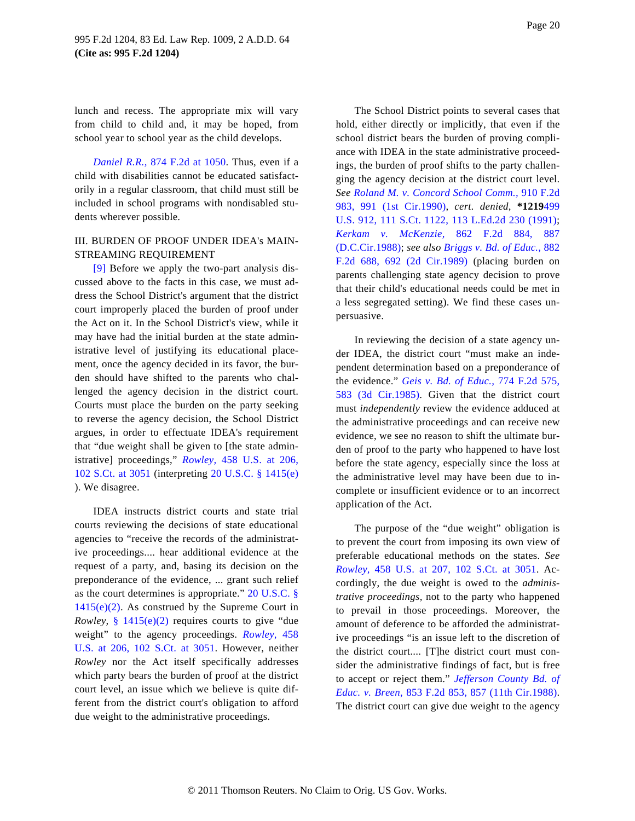lunch and recess. The appropriate mix will vary from child to child and, it may be hoped, from school year to school year as the child develops.

*[Daniel R.R.](http://www.westlaw.com/Find/Default.wl?rs=dfa1.0&vr=2.0&DB=350&FindType=Y&ReferencePositionType=S&SerialNum=1989078426&ReferencePosition=1050),* [874 F.2d at 105](http://www.westlaw.com/Find/Default.wl?rs=dfa1.0&vr=2.0&DB=350&FindType=Y&ReferencePositionType=S&SerialNum=1989078426&ReferencePosition=1050)0. Thus, even if a child with disabilities cannot be educated satisfactorily in a regular classroom, that child must still be included in school programs with nondisabled students wherever possible.

# III. BURDEN OF PROOF UNDER IDEA's MAIN-STREAMING REQUIREMENT

<span id="page-19-0"></span>[\[9\]](#page-2-2) Before we apply the two-part analysis discussed above to the facts in this case, we must address the School District's argument that the district court improperly placed the burden of proof under the Act on it. In the School District's view, while it may have had the initial burden at the state administrative level of justifying its educational placement, once the agency decided in its favor, the burden should have shifted to the parents who challenged the agency decision in the district court. Courts must place the burden on the party seeking to reverse the agency decision, the School District argues, in order to effectuate IDEA's requirement that "due weight shall be given to [the state administrative] proceedings," *[Rowley](http://www.westlaw.com/Find/Default.wl?rs=dfa1.0&vr=2.0&DB=708&FindType=Y&ReferencePositionType=S&SerialNum=1982129080&ReferencePosition=3051),* [458 U.S. at 20](http://www.westlaw.com/Find/Default.wl?rs=dfa1.0&vr=2.0&DB=708&FindType=Y&ReferencePositionType=S&SerialNum=1982129080&ReferencePosition=3051)6, [102 S.Ct. at 3051](http://www.westlaw.com/Find/Default.wl?rs=dfa1.0&vr=2.0&DB=708&FindType=Y&ReferencePositionType=S&SerialNum=1982129080&ReferencePosition=3051) (interpreting [20 U.S.C. § 1415\(e](http://www.westlaw.com/Find/Default.wl?rs=dfa1.0&vr=2.0&DB=1000546&DocName=20USCAS1415&FindType=L)) ). We disagree.

IDEA instructs district courts and state trial courts reviewing the decisions of state educational agencies to "receive the records of the administrative proceedings.... hear additional evidence at the request of a party, and, basing its decision on the preponderance of the evidence, ... grant such relief as the court determines is appropriate." [20 U.S.C. §](http://www.westlaw.com/Find/Default.wl?rs=dfa1.0&vr=2.0&DB=1000546&DocName=20USCAS1415&FindType=L)  $1415(e)(2)$ . As construed by the Supreme Court in *Rowley*, [§ 1415\(e\)\(2](http://www.westlaw.com/Find/Default.wl?rs=dfa1.0&vr=2.0&DB=1000546&DocName=20USCAS1415&FindType=L)) requires courts to give "due weight" to the agency proceedings. *[Rowley,](http://www.westlaw.com/Find/Default.wl?rs=dfa1.0&vr=2.0&DB=708&FindType=Y&ReferencePositionType=S&SerialNum=1982129080&ReferencePosition=3051)* 458 [U.S. at 206, 102 S.Ct. at 30](http://www.westlaw.com/Find/Default.wl?rs=dfa1.0&vr=2.0&DB=708&FindType=Y&ReferencePositionType=S&SerialNum=1982129080&ReferencePosition=3051)51. However, neither *Rowley* nor the Act itself specifically addresses which party bears the burden of proof at the district court level, an issue which we believe is quite different from the district court's obligation to afford due weight to the administrative proceedings.

The School District points to several cases that hold, either directly or implicitly, that even if the school district bears the burden of proving compliance with IDEA in the state administrative proceedings, the burden of proof shifts to the party challenging the agency decision at the district court level. *See [Roland M. v. Concord School Comm.](http://www.westlaw.com/Find/Default.wl?rs=dfa1.0&vr=2.0&DB=350&FindType=Y&ReferencePositionType=S&SerialNum=1990115878&ReferencePosition=991),* [910 F.2d](http://www.westlaw.com/Find/Default.wl?rs=dfa1.0&vr=2.0&DB=350&FindType=Y&ReferencePositionType=S&SerialNum=1990115878&ReferencePosition=991)

In reviewing the decision of a state agency under IDEA, the district court "must make an independent determination based on a preponderance of the evidence." *[Geis v. Bd. of Educ](http://www.westlaw.com/Find/Default.wl?rs=dfa1.0&vr=2.0&DB=350&FindType=Y&ReferencePositionType=S&SerialNum=1985148207&ReferencePosition=583).,* [774 F.2d 575](http://www.westlaw.com/Find/Default.wl?rs=dfa1.0&vr=2.0&DB=350&FindType=Y&ReferencePositionType=S&SerialNum=1985148207&ReferencePosition=583), [583 \(3d Cir.198](http://www.westlaw.com/Find/Default.wl?rs=dfa1.0&vr=2.0&DB=350&FindType=Y&ReferencePositionType=S&SerialNum=1985148207&ReferencePosition=583)5). Given that the district court must *independently* review the evidence adduced at the administrative proceedings and can receive new evidence, we see no reason to shift the ultimate burden of proof to the party who happened to have lost before the state agency, especially since the loss at the administrative level may have been due to incomplete or insufficient evidence or to an incorrect application of the Act.

[983, 991 \(1st Cir.199](http://www.westlaw.com/Find/Default.wl?rs=dfa1.0&vr=2.0&DB=350&FindType=Y&ReferencePositionType=S&SerialNum=1990115878&ReferencePosition=991)0), *cert. denied,* **[\\*1219](http://www.westlaw.com/Find/Default.wl?rs=dfa1.0&vr=2.0&DB=708&FindType=Y&SerialNum=1991024184)**499 [U.S. 912, 111 S.Ct. 1122, 113 L.Ed.2d 230 \(1991](http://www.westlaw.com/Find/Default.wl?rs=dfa1.0&vr=2.0&DB=708&FindType=Y&SerialNum=1991024184)); *[Kerkam v. McKen](http://www.westlaw.com/Find/Default.wl?rs=dfa1.0&vr=2.0&DB=350&FindType=Y&ReferencePositionType=S&SerialNum=1988158078&ReferencePosition=887)zie,* [862 F.2d 884](http://www.westlaw.com/Find/Default.wl?rs=dfa1.0&vr=2.0&DB=350&FindType=Y&ReferencePositionType=S&SerialNum=1988158078&ReferencePosition=887), 887 [\(D.C.Cir.1988\);](http://www.westlaw.com/Find/Default.wl?rs=dfa1.0&vr=2.0&DB=350&FindType=Y&ReferencePositionType=S&SerialNum=1988158078&ReferencePosition=887) *see also [Briggs v. Bd. of Educ.,](http://www.westlaw.com/Find/Default.wl?rs=dfa1.0&vr=2.0&DB=350&FindType=Y&ReferencePositionType=S&SerialNum=1989121721&ReferencePosition=692)* 882 [F.2d 688, 692 \(2d Cir.198](http://www.westlaw.com/Find/Default.wl?rs=dfa1.0&vr=2.0&DB=350&FindType=Y&ReferencePositionType=S&SerialNum=1989121721&ReferencePosition=692)9) (placing burden on parents challenging state agency decision to prove that their child's educational needs could be met in a less segregated setting). We find these cases un-

persuasive.

The purpose of the "due weight" obligation is to prevent the court from imposing its own view of preferable educational methods on the states. *See [Rowley,](http://www.westlaw.com/Find/Default.wl?rs=dfa1.0&vr=2.0&DB=708&FindType=Y&ReferencePositionType=S&SerialNum=1982129080&ReferencePosition=3051)* [458 U.S. at 207, 102 S.Ct. at 3](http://www.westlaw.com/Find/Default.wl?rs=dfa1.0&vr=2.0&DB=708&FindType=Y&ReferencePositionType=S&SerialNum=1982129080&ReferencePosition=3051)051. Accordingly, the due weight is owed to the *administrative proceedings,* not to the party who happened to prevail in those proceedings. Moreover, the amount of deference to be afforded the administrative proceedings "is an issue left to the discretion of the district court.... [T]he district court must consider the administrative findings of fact, but is free to accept or reject them." *[Jefferson County Bd. o](http://www.westlaw.com/Find/Default.wl?rs=dfa1.0&vr=2.0&DB=350&FindType=Y&ReferencePositionType=S&SerialNum=1988103802&ReferencePosition=857)f [Educ. v. Breen](http://www.westlaw.com/Find/Default.wl?rs=dfa1.0&vr=2.0&DB=350&FindType=Y&ReferencePositionType=S&SerialNum=1988103802&ReferencePosition=857),* [853 F.2d 853, 857 \(11th Cir.1988](http://www.westlaw.com/Find/Default.wl?rs=dfa1.0&vr=2.0&DB=350&FindType=Y&ReferencePositionType=S&SerialNum=1988103802&ReferencePosition=857)). The district court can give due weight to the agency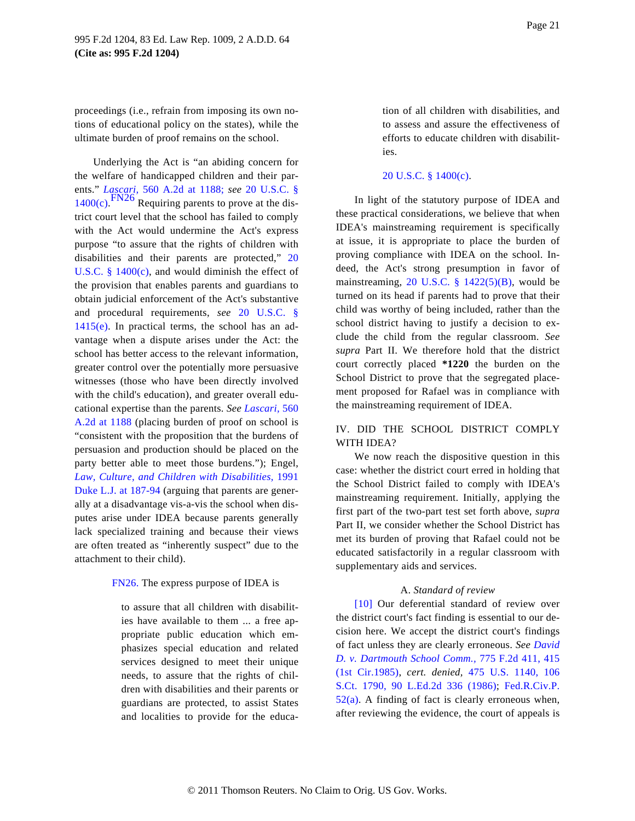proceedings (i.e., refrain from imposing its own notions of educational policy on the states), while the ultimate burden of proof remains on the school.

<span id="page-20-2"></span>Underlying the Act is "an abiding concern for the welfare of handicapped children and their parents." *[Lascari](http://www.westlaw.com/Find/Default.wl?rs=dfa1.0&vr=2.0&DB=162&FindType=Y&ReferencePositionType=S&SerialNum=1989111831&ReferencePosition=1188),* [560 A.2d at 1188](http://www.westlaw.com/Find/Default.wl?rs=dfa1.0&vr=2.0&DB=162&FindType=Y&ReferencePositionType=S&SerialNum=1989111831&ReferencePosition=1188); *see* [20 U.S.C. §](http://www.westlaw.com/Find/Default.wl?rs=dfa1.0&vr=2.0&DB=1000546&DocName=20USCAS1400&FindType=L)  $1400(c)$ . FN26 [Requirin](#page-20-1)g parents to prove at the district court level that the school has failed to comply with the Act would undermine the Act's express purpose "to assure that the rights of children with disabilities and their parents are protected," [20](http://www.westlaw.com/Find/Default.wl?rs=dfa1.0&vr=2.0&DB=1000546&DocName=20USCAS1400&FindType=L) U.S.C.  $\S$  1400(c), and would diminish the effect of the provision that enables parents and guardians to obtain judicial enforcement of the Act's substantive and procedural requirements, *see* [20 U.S.C.](http://www.westlaw.com/Find/Default.wl?rs=dfa1.0&vr=2.0&DB=1000546&DocName=20USCAS1415&FindType=L) §  $1415(e)$ . In practical terms, the school has an advantage when a dispute arises under the Act: the school has better access to the relevant information, greater control over the potentially more persuasive witnesses (those who have been directly involved with the child's education), and greater overall educational expertise than the parents. *See [Lascari,](http://www.westlaw.com/Find/Default.wl?rs=dfa1.0&vr=2.0&DB=162&FindType=Y&ReferencePositionType=S&SerialNum=1989111831&ReferencePosition=1188)* 560 [A.2d at 1188](http://www.westlaw.com/Find/Default.wl?rs=dfa1.0&vr=2.0&DB=162&FindType=Y&ReferencePositionType=S&SerialNum=1989111831&ReferencePosition=1188) (placing burden of proof on school is "consistent with the proposition that the burdens of persuasion and production should be placed on the party better able to meet those burdens."); Engel, *[Law, Culture, and Children with Disabilities,](http://www.westlaw.com/Find/Default.wl?rs=dfa1.0&vr=2.0&DB=1133&FindType=Y&ReferencePositionType=S&SerialNum=0100997733&ReferencePosition=187)* 1991 [Duke L.J. at 187-94](http://www.westlaw.com/Find/Default.wl?rs=dfa1.0&vr=2.0&DB=1133&FindType=Y&ReferencePositionType=S&SerialNum=0100997733&ReferencePosition=187) (arguing that parents are generally at a disadvantage vis-a-vis the school when disputes arise under IDEA because parents generally lack specialized training and because their views are often treated as "inherently suspect" due to the attachment to their child).

#### <span id="page-20-1"></span><span id="page-20-0"></span>[FN26.](#page-20-2) The express purpose of IDEA is

to assure that all children with disabilities have available to them ... a free appropriate public education which emphasizes special education and related services designed to meet their unique needs, to assure that the rights of children with disabilities and their parents or guardians are protected, to assist States and localities to provide for the education of all children with disabilities, and to assess and assure the effectiveness of efforts to educate children with disabilities.

#### [20 U.S.C. § 1400\(c\)](http://www.westlaw.com/Find/Default.wl?rs=dfa1.0&vr=2.0&DB=1000546&DocName=20USCAS1400&FindType=L).

In light of the statutory purpose of IDEA and these practical considerations, we believe that when IDEA's mainstreaming requirement is specifically at issue, it is appropriate to place the burden of proving compliance with IDEA on the school. Indeed, the Act's strong presumption in favor of mainstreaming,  $20$  U.S.C. §  $1422(5)(B)$ , would be turned on its head if parents had to prove that their child was worthy of being included, rather than the school district having to justify a decision to exclude the child from the regular classroom. *See supra* Part II. We therefore hold that the district court correctly placed **\*1220** the burden on the School District to prove that the segregated placement proposed for Rafael was in compliance with the mainstreaming requirement of IDEA.

# IV. DID THE SCHOOL DISTRICT COMPLY WITH IDEA?

We now reach the dispositive question in this case: whether the district court erred in holding that the School District failed to comply with IDEA's mainstreaming requirement. Initially, applying the first part of the two-part test set forth above, *supra* Part II, we consider whether the School District has met its burden of proving that Rafael could not be educated satisfactorily in a regular classroom with supplementary aids and services.

# A. *Standard of review*

[\[10\]](#page-2-3) Our deferential standard of review over the district court's fact finding is essential to our decision here. We accept the district court's findings of fact unless they are clearly erroneous. *See [David](http://www.westlaw.com/Find/Default.wl?rs=dfa1.0&vr=2.0&DB=350&FindType=Y&ReferencePositionType=S&SerialNum=1985150616&ReferencePosition=415) [D. v. Dartmouth School Comm](http://www.westlaw.com/Find/Default.wl?rs=dfa1.0&vr=2.0&DB=350&FindType=Y&ReferencePositionType=S&SerialNum=1985150616&ReferencePosition=415).,* [775 F.2d 411, 415](http://www.westlaw.com/Find/Default.wl?rs=dfa1.0&vr=2.0&DB=350&FindType=Y&ReferencePositionType=S&SerialNum=1985150616&ReferencePosition=415) [\(1st Cir.1985](http://www.westlaw.com/Find/Default.wl?rs=dfa1.0&vr=2.0&DB=350&FindType=Y&ReferencePositionType=S&SerialNum=1985150616&ReferencePosition=415)), *cert. denied,* [475 U.S. 1140, 10](http://www.westlaw.com/Find/Default.wl?rs=dfa1.0&vr=2.0&DB=708&FindType=Y&SerialNum=1986223164)6 [S.Ct. 1790, 90 L.Ed.2d 336 \(19](http://www.westlaw.com/Find/Default.wl?rs=dfa1.0&vr=2.0&DB=708&FindType=Y&SerialNum=1986223164)86); [Fed.R.Civ.P.](http://www.westlaw.com/Find/Default.wl?rs=dfa1.0&vr=2.0&DB=1004365&DocName=USFRCPR52&FindType=L)  $52(a)$ . A finding of fact is clearly erroneous when, after reviewing the evidence, the court of appeals is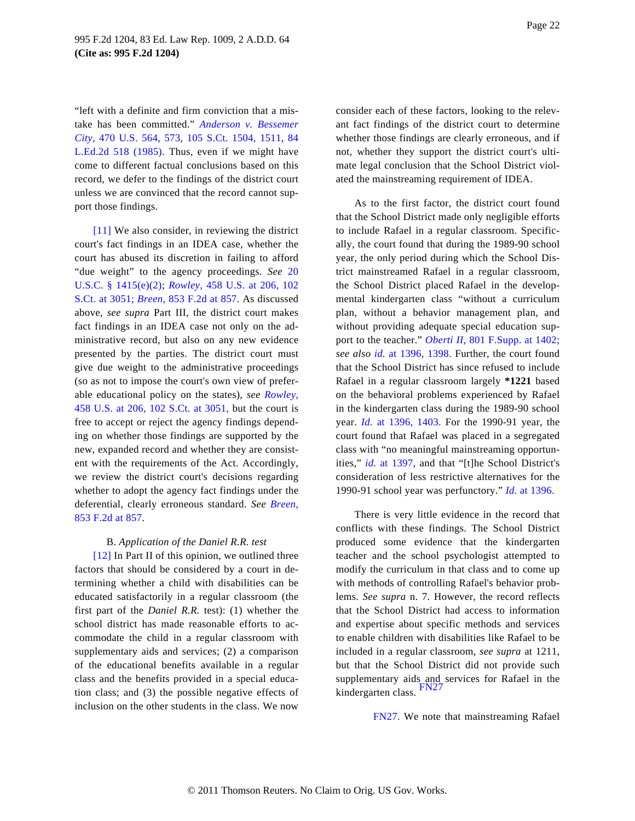"left with a definite and firm conviction that a mistake has been committed." *[Anderson v. Bessemer](http://www.westlaw.com/Find/Default.wl?rs=dfa1.0&vr=2.0&DB=708&FindType=Y&ReferencePositionType=S&SerialNum=1985114055&ReferencePosition=1511) [City,](http://www.westlaw.com/Find/Default.wl?rs=dfa1.0&vr=2.0&DB=708&FindType=Y&ReferencePositionType=S&SerialNum=1985114055&ReferencePosition=1511)* [470 U.S. 564, 573, 105 S.Ct. 1504, 1511, 8](http://www.westlaw.com/Find/Default.wl?rs=dfa1.0&vr=2.0&DB=708&FindType=Y&ReferencePositionType=S&SerialNum=1985114055&ReferencePosition=1511)4 [L.Ed.2d 518 \(1985](http://www.westlaw.com/Find/Default.wl?rs=dfa1.0&vr=2.0&DB=708&FindType=Y&ReferencePositionType=S&SerialNum=1985114055&ReferencePosition=1511)). Thus, even if we might have come to different factual conclusions based on this record, we defer to the findings of the district court unless we are convinced that the record cannot support those findings.

<span id="page-21-0"></span>[\[11\]](#page-3-0) We also consider, in reviewing the district court's fact findings in an IDEA case, whether the court has abused its discretion in failing to afford "due weight" to the agency proceedings. *See* [20](http://www.westlaw.com/Find/Default.wl?rs=dfa1.0&vr=2.0&DB=1000546&DocName=20USCAS1415&FindType=L) [U.S.C. § 1415\(e\)\(2](http://www.westlaw.com/Find/Default.wl?rs=dfa1.0&vr=2.0&DB=1000546&DocName=20USCAS1415&FindType=L)); *[Rowley,](http://www.westlaw.com/Find/Default.wl?rs=dfa1.0&vr=2.0&DB=708&FindType=Y&ReferencePositionType=S&SerialNum=1982129080&ReferencePosition=3051)* [458 U.S. at 206, 102](http://www.westlaw.com/Find/Default.wl?rs=dfa1.0&vr=2.0&DB=708&FindType=Y&ReferencePositionType=S&SerialNum=1982129080&ReferencePosition=3051) [S.Ct. at 3051](http://www.westlaw.com/Find/Default.wl?rs=dfa1.0&vr=2.0&DB=708&FindType=Y&ReferencePositionType=S&SerialNum=1982129080&ReferencePosition=3051); *[Breen](http://www.westlaw.com/Find/Default.wl?rs=dfa1.0&vr=2.0&DB=350&FindType=Y&ReferencePositionType=S&SerialNum=1988103802&ReferencePosition=857),* [853 F.2d at 857](http://www.westlaw.com/Find/Default.wl?rs=dfa1.0&vr=2.0&DB=350&FindType=Y&ReferencePositionType=S&SerialNum=1988103802&ReferencePosition=857). As discussed above, *see supra* Part III, the district court makes fact findings in an IDEA case not only on the administrative record, but also on any new evidence presented by the parties. The district court must give due weight to the administrative proceedings (so as not to impose the court's own view of preferable educational policy on the states), *see [Rowley](http://www.westlaw.com/Find/Default.wl?rs=dfa1.0&vr=2.0&DB=708&FindType=Y&ReferencePositionType=S&SerialNum=1982129080&ReferencePosition=3051),* [458 U.S. at 206, 102 S.Ct. at 3051](http://www.westlaw.com/Find/Default.wl?rs=dfa1.0&vr=2.0&DB=708&FindType=Y&ReferencePositionType=S&SerialNum=1982129080&ReferencePosition=3051), but the court is free to accept or reject the agency findings depending on whether those findings are supported by the new, expanded record and whether they are consistent with the requirements of the Act. Accordingly, we review the district court's decisions regarding whether to adopt the agency fact findings under the deferential, clearly erroneous standard. *See [Breen](http://www.westlaw.com/Find/Default.wl?rs=dfa1.0&vr=2.0&DB=350&FindType=Y&ReferencePositionType=S&SerialNum=1988103802&ReferencePosition=857),* [853 F.2d at 857](http://www.westlaw.com/Find/Default.wl?rs=dfa1.0&vr=2.0&DB=350&FindType=Y&ReferencePositionType=S&SerialNum=1988103802&ReferencePosition=857).

#### B. *Application of the Daniel R.R. test*

<span id="page-21-3"></span><span id="page-21-2"></span><span id="page-21-1"></span>[\[12\]](#page-3-1) In Part II of this opinion, we outlined three factors that should be considered by a court in determining whether a child with disabilities can be educated satisfactorily in a regular classroom (the first part of the *Daniel R.R.* test): (1) whether the school district has made reasonable efforts to accommodate the child in a regular classroom with supplementary aids and services; (2) a comparison of the educational benefits available in a regular class and the benefits provided in a special education class; and (3) the possible negative effects of inclusion on the other students in the class. We now

consider each of these factors, looking to the relevant fact findings of the district court to determine whether those findings are clearly erroneous, and if not, whether they support the district court's ultimate legal conclusion that the School District violated the mainstreaming requirement of IDEA.

As to the first factor, the district court found that the School District made only negligible efforts to include Rafael in a regular classroom. Specifically, the court found that during the 1989-90 school year, the only period during which the School District mainstreamed Rafael in a regular classroom, the School District placed Rafael in the developmental kindergarten class "without a curriculum plan, without a behavior management plan, and without providing adequate special education support to the teacher." *[Oberti II](http://www.westlaw.com/Find/Default.wl?rs=dfa1.0&vr=2.0&DB=345&FindType=Y&ReferencePositionType=S&SerialNum=1992151684&ReferencePosition=1402),* [801 F.Supp. at 1402](http://www.westlaw.com/Find/Default.wl?rs=dfa1.0&vr=2.0&DB=345&FindType=Y&ReferencePositionType=S&SerialNum=1992151684&ReferencePosition=1402); *see also [id](http://www.westlaw.com/Find/Default.wl?rs=dfa1.0&vr=2.0&FindType=Y&SerialNum=1992151684).* [at 1396, 1398](http://www.westlaw.com/Find/Default.wl?rs=dfa1.0&vr=2.0&FindType=Y&SerialNum=1992151684). Further, the court found that the School District has since refused to include Rafael in a regular classroom largely **\*1221** based on the behavioral problems experienced by Rafael in the kindergarten class during the 1989-90 school year. *[Id](http://www.westlaw.com/Find/Default.wl?rs=dfa1.0&vr=2.0&FindType=Y&SerialNum=1992151684).* [at 1396, 1403](http://www.westlaw.com/Find/Default.wl?rs=dfa1.0&vr=2.0&FindType=Y&SerialNum=1992151684). For the 1990-91 year, the court found that Rafael was placed in a segregated class with "no meaningful mainstreaming opportunities," *[id](http://www.westlaw.com/Find/Default.wl?rs=dfa1.0&vr=2.0&FindType=Y&SerialNum=1992151684).* [at 1397](http://www.westlaw.com/Find/Default.wl?rs=dfa1.0&vr=2.0&FindType=Y&SerialNum=1992151684), and that "[t]he School District's consideration of less restrictive alternatives for the 1990-91 school year was perfunctory." *[Id](http://www.westlaw.com/Find/Default.wl?rs=dfa1.0&vr=2.0&FindType=Y&SerialNum=1992151684).* [at 1396](http://www.westlaw.com/Find/Default.wl?rs=dfa1.0&vr=2.0&FindType=Y&SerialNum=1992151684).

There is very little evidence in the record that conflicts with these findings. The School District produced some evidence that the kindergarten teacher and the school psychologist attempted to modify the curriculum in that class and to come up with methods of controlling Rafael's behavior problems. *See supra* n. 7. However, the record reflects that the School District had access to information and expertise about specific methods and services to enable children with disabilities like Rafael to be included in a regular classroom, *see supra* at 1211, but that the School District did not provide such supplementary aids and services for Rafael in the<br>kindergarten class. [FN27](#page-21-2)

[FN27.](#page-21-3) We note that mainstreaming Rafael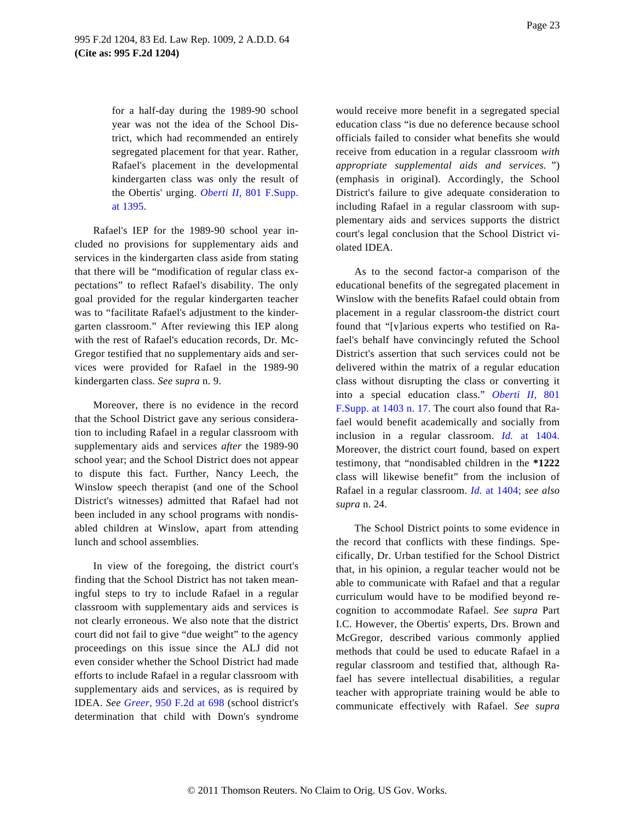for a half-day during the 1989-90 school year was not the idea of the School District, which had recommended an entirely segregated placement for that year. Rather, Rafael's placement in the developmental kindergarten class was only the result of the Obertis' urging. *[Oberti II](http://www.westlaw.com/Find/Default.wl?rs=dfa1.0&vr=2.0&DB=345&FindType=Y&ReferencePositionType=S&SerialNum=1992151684&ReferencePosition=1395),* [801 F.Supp.](http://www.westlaw.com/Find/Default.wl?rs=dfa1.0&vr=2.0&DB=345&FindType=Y&ReferencePositionType=S&SerialNum=1992151684&ReferencePosition=1395) [at 1395](http://www.westlaw.com/Find/Default.wl?rs=dfa1.0&vr=2.0&DB=345&FindType=Y&ReferencePositionType=S&SerialNum=1992151684&ReferencePosition=1395).

Rafael's IEP for the 1989-90 school year included no provisions for supplementary aids and services in the kindergarten class aside from stating that there will be "modification of regular class expectations" to reflect Rafael's disability. The only goal provided for the regular kindergarten teacher was to "facilitate Rafael's adjustment to the kindergarten classroom." After reviewing this IEP along with the rest of Rafael's education records, Dr. Mc-Gregor testified that no supplementary aids and services were provided for Rafael in the 1989-90 kindergarten class. *See supra* n. 9.

Moreover, there is no evidence in the record that the School District gave any serious consideration to including Rafael in a regular classroom with supplementary aids and services *after* the 1989-90 school year; and the School District does not appear to dispute this fact. Further, Nancy Leech, the Winslow speech therapist (and one of the School District's witnesses) admitted that Rafael had not been included in any school programs with nondisabled children at Winslow, apart from attending lunch and school assemblies.

In view of the foregoing, the district court's finding that the School District has not taken meaningful steps to try to include Rafael in a regular classroom with supplementary aids and services is not clearly erroneous. We also note that the district court did not fail to give "due weight" to the agency proceedings on this issue since the ALJ did not even consider whether the School District had made efforts to include Rafael in a regular classroom with supplementary aids and services, as is required by IDEA. *See [Greer](http://www.westlaw.com/Find/Default.wl?rs=dfa1.0&vr=2.0&DB=350&FindType=Y&ReferencePositionType=S&SerialNum=1991207821&ReferencePosition=698),* [950 F.2d at 698](http://www.westlaw.com/Find/Default.wl?rs=dfa1.0&vr=2.0&DB=350&FindType=Y&ReferencePositionType=S&SerialNum=1991207821&ReferencePosition=698) (school district's determination that child with Down's syndrome

would receive more benefit in a segregated special education class "is due no deference because school officials failed to consider what benefits she would receive from education in a regular classroom *with appropriate supplemental aids and services.* ") (emphasis in original). Accordingly, the School District's failure to give adequate consideration to including Rafael in a regular classroom with supplementary aids and services supports the district court's legal conclusion that the School District violated IDEA.

As to the second factor-a comparison of the educational benefits of the segregated placement in Winslow with the benefits Rafael could obtain from placement in a regular classroom-the district court found that "[v]arious experts who testified on Rafael's behalf have convincingly refuted the School District's assertion that such services could not be delivered within the matrix of a regular education class without disrupting the class or converting it into a special education class." *[Oberti II,](http://www.westlaw.com/Find/Default.wl?rs=dfa1.0&vr=2.0&DB=345&FindType=Y&ReferencePositionType=S&SerialNum=1992151684&ReferencePosition=1403)* 801 [F.Supp. at 1403 n. 17](http://www.westlaw.com/Find/Default.wl?rs=dfa1.0&vr=2.0&DB=345&FindType=Y&ReferencePositionType=S&SerialNum=1992151684&ReferencePosition=1403). The court also found that Rafael would benefit academically and socially from inclusion in a regular classroom. *[Id](http://www.westlaw.com/Find/Default.wl?rs=dfa1.0&vr=2.0&FindType=Y&SerialNum=1992151684).* [at 140](http://www.westlaw.com/Find/Default.wl?rs=dfa1.0&vr=2.0&FindType=Y&SerialNum=1992151684)4. Moreover, the district court found, based on expert testimony, that "nondisabled children in the **\*1222** class will likewise benefit" from the inclusion of Rafael in a regular classroom. *[Id.](http://www.westlaw.com/Find/Default.wl?rs=dfa1.0&vr=2.0&FindType=Y&SerialNum=1992151684)* [at 1404](http://www.westlaw.com/Find/Default.wl?rs=dfa1.0&vr=2.0&FindType=Y&SerialNum=1992151684); *see also supra* n. 24.

The School District points to some evidence in the record that conflicts with these findings. Specifically, Dr. Urban testified for the School District that, in his opinion, a regular teacher would not be able to communicate with Rafael and that a regular curriculum would have to be modified beyond recognition to accommodate Rafael. *See supra* Part I.C. However, the Obertis' experts, Drs. Brown and McGregor, described various commonly applied methods that could be used to educate Rafael in a regular classroom and testified that, although Rafael has severe intellectual disabilities, a regular teacher with appropriate training would be able to communicate effectively with Rafael. *See supra*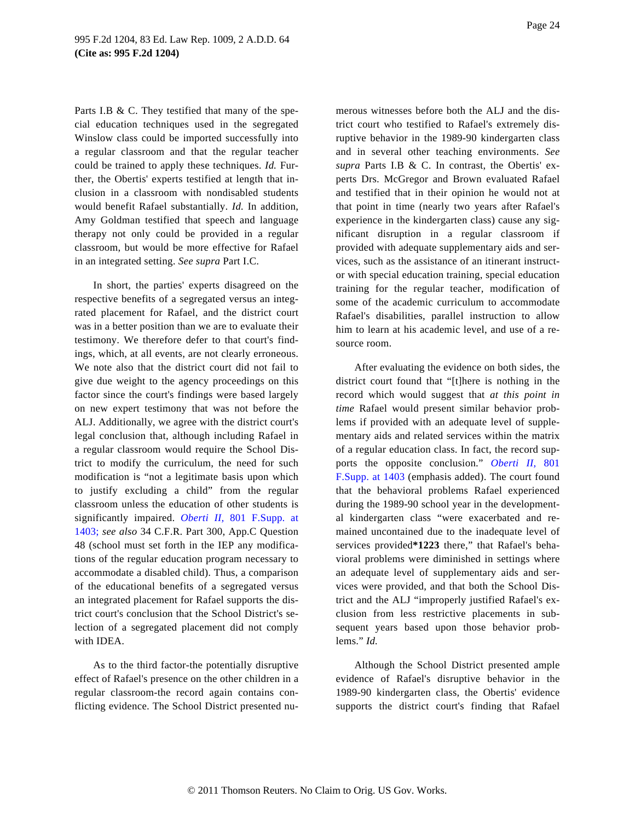Parts I.B & C. They testified that many of the special education techniques used in the segregated Winslow class could be imported successfully into a regular classroom and that the regular teacher could be trained to apply these techniques. *Id.* Further, the Obertis' experts testified at length that inclusion in a classroom with nondisabled students would benefit Rafael substantially. *Id.* In addition, Amy Goldman testified that speech and language therapy not only could be provided in a regular classroom, but would be more effective for Rafael in an integrated setting. *See supra* Part I.C.

In short, the parties' experts disagreed on the respective benefits of a segregated versus an integrated placement for Rafael, and the district court was in a better position than we are to evaluate their testimony. We therefore defer to that court's findings, which, at all events, are not clearly erroneous. We note also that the district court did not fail to give due weight to the agency proceedings on this factor since the court's findings were based largely on new expert testimony that was not before the ALJ. Additionally, we agree with the district court's legal conclusion that, although including Rafael in a regular classroom would require the School District to modify the curriculum, the need for such modification is "not a legitimate basis upon which to justify excluding a child" from the regular classroom unless the education of other students is significantly impaired. *[Oberti II](http://www.westlaw.com/Find/Default.wl?rs=dfa1.0&vr=2.0&DB=345&FindType=Y&ReferencePositionType=S&SerialNum=1992151684&ReferencePosition=1403),* [801 F.Supp.](http://www.westlaw.com/Find/Default.wl?rs=dfa1.0&vr=2.0&DB=345&FindType=Y&ReferencePositionType=S&SerialNum=1992151684&ReferencePosition=1403) at [1403;](http://www.westlaw.com/Find/Default.wl?rs=dfa1.0&vr=2.0&DB=345&FindType=Y&ReferencePositionType=S&SerialNum=1992151684&ReferencePosition=1403) *see also* 34 C.F.R. Part 300, App.C Question 48 (school must set forth in the IEP any modifications of the regular education program necessary to accommodate a disabled child). Thus, a comparison of the educational benefits of a segregated versus an integrated placement for Rafael supports the district court's conclusion that the School District's selection of a segregated placement did not comply with IDEA.

As to the third factor-the potentially disruptive effect of Rafael's presence on the other children in a regular classroom-the record again contains conflicting evidence. The School District presented numerous witnesses before both the ALJ and the district court who testified to Rafael's extremely disruptive behavior in the 1989-90 kindergarten class and in several other teaching environments. *See supra* Parts I.B & C. In contrast, the Obertis' experts Drs. McGregor and Brown evaluated Rafael and testified that in their opinion he would not at that point in time (nearly two years after Rafael's experience in the kindergarten class) cause any significant disruption in a regular classroom if provided with adequate supplementary aids and services, such as the assistance of an itinerant instructor with special education training, special education training for the regular teacher, modification of some of the academic curriculum to accommodate Rafael's disabilities, parallel instruction to allow him to learn at his academic level, and use of a resource room.

After evaluating the evidence on both sides, the district court found that "[t]here is nothing in the record which would suggest that *at this point in time* Rafael would present similar behavior problems if provided with an adequate level of supplementary aids and related services within the matrix of a regular education class. In fact, the record supports the opposite conclusion." *[Oberti II,](http://www.westlaw.com/Find/Default.wl?rs=dfa1.0&vr=2.0&DB=345&FindType=Y&ReferencePositionType=S&SerialNum=1992151684&ReferencePosition=1403)* 801 [F.Supp. at 1403](http://www.westlaw.com/Find/Default.wl?rs=dfa1.0&vr=2.0&DB=345&FindType=Y&ReferencePositionType=S&SerialNum=1992151684&ReferencePosition=1403) (emphasis added). The court found that the behavioral problems Rafael experienced during the 1989-90 school year in the developmental kindergarten class "were exacerbated and remained uncontained due to the inadequate level of services provided**\*1223** there," that Rafael's behavioral problems were diminished in settings where an adequate level of supplementary aids and services were provided, and that both the School District and the ALJ "improperly justified Rafael's exclusion from less restrictive placements in subsequent years based upon those behavior problems." *Id.*

Although the School District presented ample evidence of Rafael's disruptive behavior in the 1989-90 kindergarten class, the Obertis' evidence supports the district court's finding that Rafael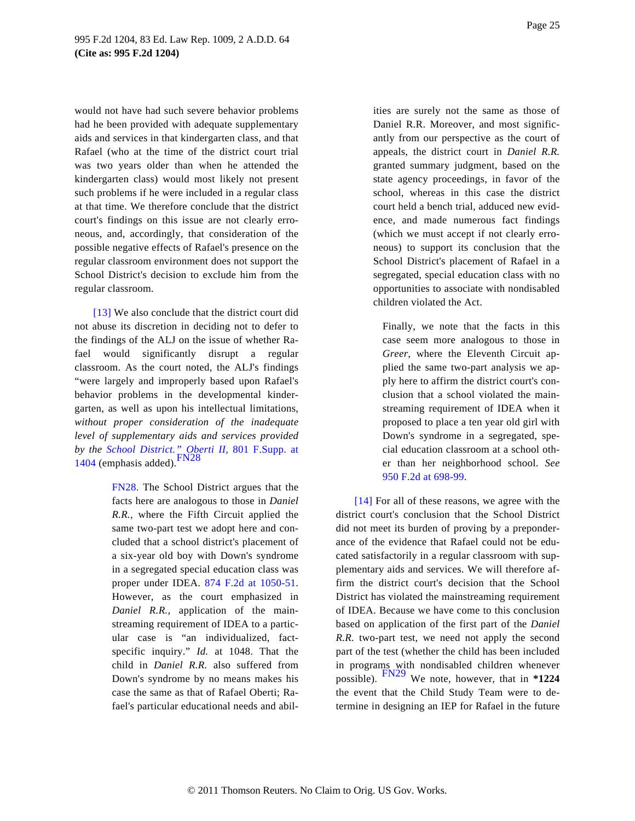would not have had such severe behavior problems had he been provided with adequate supplementary aids and services in that kindergarten class, and that Rafael (who at the time of the district court trial was two years older than when he attended the kindergarten class) would most likely not present such problems if he were included in a regular class at that time. We therefore conclude that the district court's findings on this issue are not clearly erroneous, and, accordingly, that consideration of the possible negative effects of Rafael's presence on the regular classroom environment does not support the School District's decision to exclude him from the regular classroom.

<span id="page-24-0"></span>[\[13\]](#page-3-2) We also conclude that the district court did not abuse its discretion in deciding not to defer to the findings of the ALJ on the issue of whether Rafael would significantly disrupt a regular classroom. As the court noted, the ALJ's findings "were largely and improperly based upon Rafael's behavior problems in the developmental kindergarten, as well as upon his intellectual limitations, *without proper consideration of the inadequate level of supplementary aids and services provided by the [School District.](http://www.westlaw.com/Find/Default.wl?rs=dfa1.0&vr=2.0&DB=345&FindType=Y&ReferencePositionType=S&SerialNum=1992151684&ReferencePosition=1404)*" *[Oberti II](http://www.westlaw.com/Find/Default.wl?rs=dfa1.0&vr=2.0&DB=345&FindType=Y&ReferencePositionType=S&SerialNum=1992151684&ReferencePosition=1404)*, [801 F.Supp. a](http://www.westlaw.com/Find/Default.wl?rs=dfa1.0&vr=2.0&DB=345&FindType=Y&ReferencePositionType=S&SerialNum=1992151684&ReferencePosition=1404)t [1404](http://www.westlaw.com/Find/Default.wl?rs=dfa1.0&vr=2.0&DB=345&FindType=Y&ReferencePositionType=S&SerialNum=1992151684&ReferencePosition=1404) (emphasis [added\).](#page-24-2)

> <span id="page-24-4"></span><span id="page-24-3"></span><span id="page-24-2"></span><span id="page-24-1"></span>[FN28.](#page-24-3) The School District argues that the facts here are analogous to those in *Daniel R.R.,* where the Fifth Circuit applied the same two-part test we adopt here and concluded that a school district's placement of a six-year old boy with Down's syndrome in a segregated special education class was proper under IDEA. [874 F.2d at 1050-5](http://www.westlaw.com/Find/Default.wl?rs=dfa1.0&vr=2.0&DB=350&FindType=Y&ReferencePositionType=S&SerialNum=1989078426&ReferencePosition=1050)1. However, as the court emphasized in *Daniel R.R.,* application of the mainstreaming requirement of IDEA to a particular case is "an individualized, factspecific inquiry." *Id.* at 1048. That the child in *Daniel R.R.* also suffered from Down's syndrome by no means makes his case the same as that of Rafael Oberti; Rafael's particular educational needs and abil

ities are surely not the same as those of Daniel R.R. Moreover, and most significantly from our perspective as the court of appeals, the district court in *Daniel R.R.* granted summary judgment, based on the state agency proceedings, in favor of the school, whereas in this case the district court held a bench trial, adduced new evidence, and made numerous fact findings (which we must accept if not clearly erroneous) to support its conclusion that the School District's placement of Rafael in a segregated, special education class with no opportunities to associate with nondisabled children violated the Act.

Finally, we note that the facts in this case seem more analogous to those in *Greer,* where the Eleventh Circuit applied the same two-part analysis we apply here to affirm the district court's conclusion that a school violated the mainstreaming requirement of IDEA when it proposed to place a ten year old girl with Down's syndrome in a segregated, special education classroom at a school other than her neighborhood school. *See* [950 F.2d at 698-99](http://www.westlaw.com/Find/Default.wl?rs=dfa1.0&vr=2.0&DB=350&FindType=Y&ReferencePositionType=S&SerialNum=1991207821&ReferencePosition=698).

[\[14\]](#page-4-0) For all of these reasons, we agree with the district court's conclusion that the School District did not meet its burden of proving by a preponderance of the evidence that Rafael could not be educated satisfactorily in a regular classroom with supplementary aids and services. We will therefore affirm the district court's decision that the School District has violated the mainstreaming requirement of IDEA. Because we have come to this conclusion based on application of the first part of the *Daniel R.R.* two-part test, we need not apply the second part of the test (whether the child has been included in programs with nondisabled children whenever possible). [FN29](#page-25-1) We note, however, that in **\*1224** the event that the Child Study Team were to determine in designing an IEP for Rafael in the future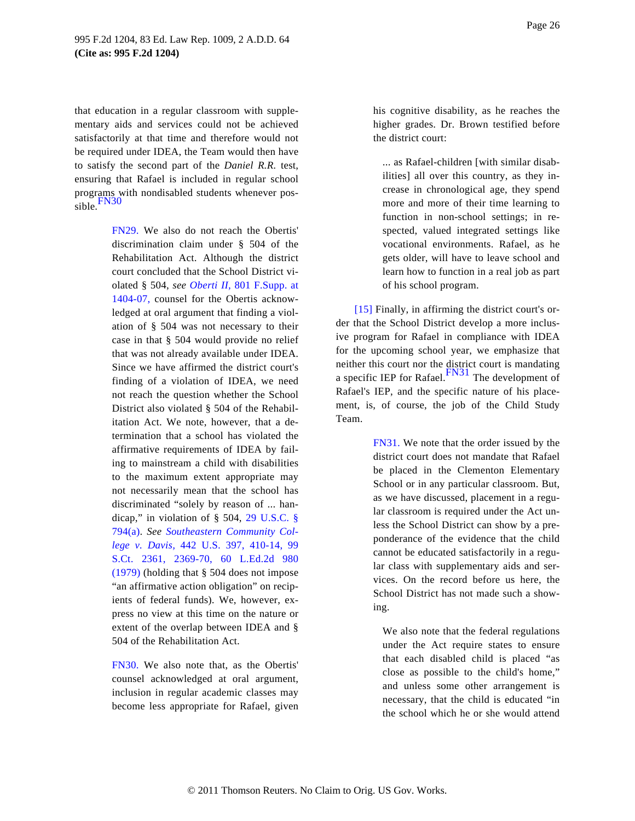that education in a regular classroom with supplementary aids and services could not be achieved satisfactorily at that time and therefore would not be required under IDEA, the Team would then have to satisfy the second part of the *Daniel R.R.* test, ensuring that Rafael is included in regular school programs with nondisabled students whenever pos-<br>[sible.](#page-25-2)

> <span id="page-25-5"></span><span id="page-25-4"></span><span id="page-25-3"></span><span id="page-25-1"></span><span id="page-25-0"></span>[FN29.](#page-24-4) We also do not reach the Obertis' discrimination claim under § 504 of the Rehabilitation Act. Although the district court concluded that the School District violated § 504, *see [Oberti II](http://www.westlaw.com/Find/Default.wl?rs=dfa1.0&vr=2.0&DB=345&FindType=Y&ReferencePositionType=S&SerialNum=1992151684&ReferencePosition=1404),* [801 F.Supp. at](http://www.westlaw.com/Find/Default.wl?rs=dfa1.0&vr=2.0&DB=345&FindType=Y&ReferencePositionType=S&SerialNum=1992151684&ReferencePosition=1404) [1404-07,](http://www.westlaw.com/Find/Default.wl?rs=dfa1.0&vr=2.0&DB=345&FindType=Y&ReferencePositionType=S&SerialNum=1992151684&ReferencePosition=1404) counsel for the Obertis acknowledged at oral argument that finding a violation of § 504 was not necessary to their case in that § 504 would provide no relief that was not already available under IDEA. Since we have affirmed the district court's finding of a violation of IDEA, we need not reach the question whether the School District also violated § 504 of the Rehabilitation Act. We note, however, that a determination that a school has violated the affirmative requirements of IDEA by failing to mainstream a child with disabilities to the maximum extent appropriate may not necessarily mean that the school has discriminated "solely by reason of ... handicap," in violation of § 504, [29 U.S.C. §](http://www.westlaw.com/Find/Default.wl?rs=dfa1.0&vr=2.0&DB=1000546&DocName=29USCAS794&FindType=L) [794\(a\).](http://www.westlaw.com/Find/Default.wl?rs=dfa1.0&vr=2.0&DB=1000546&DocName=29USCAS794&FindType=L) *See [Southeastern Community Col](http://www.westlaw.com/Find/Default.wl?rs=dfa1.0&vr=2.0&DB=708&FindType=Y&ReferencePositionType=S&SerialNum=1979135140&ReferencePosition=2369)[lege v. Davi](http://www.westlaw.com/Find/Default.wl?rs=dfa1.0&vr=2.0&DB=708&FindType=Y&ReferencePositionType=S&SerialNum=1979135140&ReferencePosition=2369)s,* [442 U.S. 397, 410-14,](http://www.westlaw.com/Find/Default.wl?rs=dfa1.0&vr=2.0&DB=708&FindType=Y&ReferencePositionType=S&SerialNum=1979135140&ReferencePosition=2369) 99 [S.Ct. 2361, 2369-70, 60 L.Ed.2d](http://www.westlaw.com/Find/Default.wl?rs=dfa1.0&vr=2.0&DB=708&FindType=Y&ReferencePositionType=S&SerialNum=1979135140&ReferencePosition=2369) 980 [\(1979\)](http://www.westlaw.com/Find/Default.wl?rs=dfa1.0&vr=2.0&DB=708&FindType=Y&ReferencePositionType=S&SerialNum=1979135140&ReferencePosition=2369) (holding that § 504 does not impose "an affirmative action obligation" on recipients of federal funds). We, however, express no view at this time on the nature or extent of the overlap between IDEA and § 504 of the Rehabilitation Act.

> <span id="page-25-2"></span>[FN30.](#page-25-3) We also note that, as the Obertis' counsel acknowledged at oral argument, inclusion in regular academic classes may become less appropriate for Rafael, given

his cognitive disability, as he reaches the higher grades. Dr. Brown testified before the district court:

... as Rafael-children [with similar disabilities] all over this country, as they increase in chronological age, they spend more and more of their time learning to function in non-school settings; in respected, valued integrated settings like vocational environments. Rafael, as he gets older, will have to leave school and learn how to function in a real job as part of his school program.

[\[15\]](#page-4-1) Finally, in affirming the district court's order that the School District develop a more inclusive program for Rafael in compliance with IDEA for the upcoming school year, we emphasize that neither this court nor the district court is mandating a specific IEP for [Rafael.](#page-25-4) $\frac{FN31}{TN}$  The development of Rafael's IEP, and the specific nature of his placement, is, of course, the job of the Child Study Team.

> [FN31.](#page-25-5) We note that the order issued by the district court does not mandate that Rafael be placed in the Clementon Elementary School or in any particular classroom. But, as we have discussed, placement in a regular classroom is required under the Act unless the School District can show by a preponderance of the evidence that the child cannot be educated satisfactorily in a regular class with supplementary aids and services. On the record before us here, the School District has not made such a showing.

We also note that the federal regulations under the Act require states to ensure that each disabled child is placed "as close as possible to the child's home," and unless some other arrangement is necessary, that the child is educated "in the school which he or she would attend